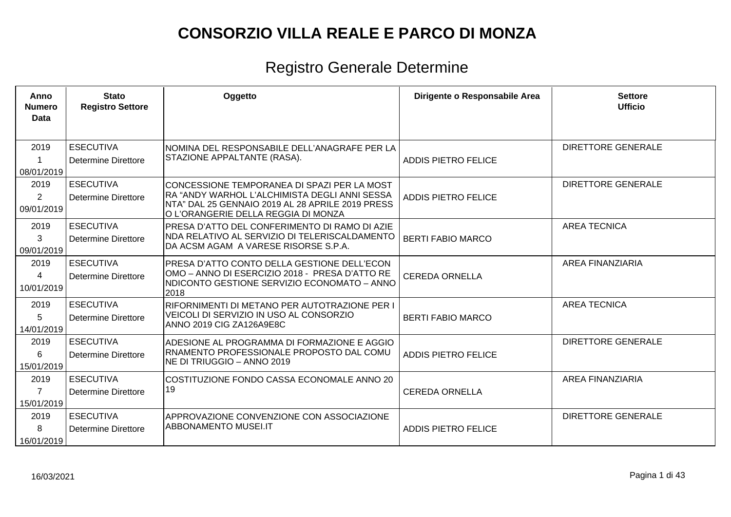| Anno<br><b>Numero</b><br>Data | <b>Stato</b><br><b>Registro Settore</b>        | Oggetto                                                                                                                                                                                 | Dirigente o Responsabile Area | <b>Settore</b><br><b>Ufficio</b> |
|-------------------------------|------------------------------------------------|-----------------------------------------------------------------------------------------------------------------------------------------------------------------------------------------|-------------------------------|----------------------------------|
| 2019<br>08/01/2019            | <b>ESECUTIVA</b><br><b>Determine Direttore</b> | NOMINA DEL RESPONSABILE DELL'ANAGRAFE PER LA<br>STAZIONE APPALTANTE (RASA).                                                                                                             | <b>ADDIS PIETRO FELICE</b>    | <b>DIRETTORE GENERALE</b>        |
| 2019<br>2<br>09/01/2019       | <b>ESECUTIVA</b><br><b>Determine Direttore</b> | CONCESSIONE TEMPORANEA DI SPAZI PER LA MOST<br>RA "ANDY WARHOL L'ALCHIMISTA DEGLI ANNI SESSA<br>NTA" DAL 25 GENNAIO 2019 AL 28 APRILE 2019 PRESS<br>O L'ORANGERIE DELLA REGGIA DI MONZA | <b>ADDIS PIETRO FELICE</b>    | <b>DIRETTORE GENERALE</b>        |
| 2019<br>3<br>09/01/2019       | <b>ESECUTIVA</b><br><b>Determine Direttore</b> | PRESA D'ATTO DEL CONFERIMENTO DI RAMO DI AZIE<br>NDA RELATIVO AL SERVIZIO DI TELERISCALDAMENTO<br>DA ACSM AGAM A VARESE RISORSE S.P.A.                                                  | <b>BERTI FABIO MARCO</b>      | <b>AREA TECNICA</b>              |
| 2019<br>4<br>10/01/2019       | <b>ESECUTIVA</b><br>Determine Direttore        | PRESA D'ATTO CONTO DELLA GESTIONE DELL'ECON<br>OMO – ANNO DI ESERCIZIO 2018 - PRESA D'ATTO RE<br>INDICONTO GESTIONE SERVIZIO ECONOMATO – ANNO<br>2018                                   | <b>CEREDA ORNELLA</b>         | <b>AREA FINANZIARIA</b>          |
| 2019<br>5<br>14/01/2019       | <b>ESECUTIVA</b><br>Determine Direttore        | RIFORNIMENTI DI METANO PER AUTOTRAZIONE PER I<br>VEICOLI DI SERVIZIO IN USO AL CONSORZIO<br>ANNO 2019 CIG ZA126A9E8C                                                                    | <b>BERTI FABIO MARCO</b>      | <b>AREA TECNICA</b>              |
| 2019<br>6<br>15/01/2019       | <b>ESECUTIVA</b><br>Determine Direttore        | ADESIONE AL PROGRAMMA DI FORMAZIONE E AGGIO<br>RNAMENTO PROFESSIONALE PROPOSTO DAL COMU<br>INE DI TRIUGGIO – ANNO 2019                                                                  | <b>ADDIS PIETRO FELICE</b>    | <b>DIRETTORE GENERALE</b>        |
| 2019<br>15/01/2019            | <b>ESECUTIVA</b><br>Determine Direttore        | COSTITUZIONE FONDO CASSA ECONOMALE ANNO 20<br>19                                                                                                                                        | <b>CEREDA ORNELLA</b>         | AREA FINANZIARIA                 |
| 2019<br>8<br>16/01/2019       | <b>ESECUTIVA</b><br>Determine Direttore        | <b>APPROVAZIONE CONVENZIONE CON ASSOCIAZIONE</b><br><b>ABBONAMENTO MUSEI.IT</b>                                                                                                         | <b>ADDIS PIETRO FELICE</b>    | <b>DIRETTORE GENERALE</b>        |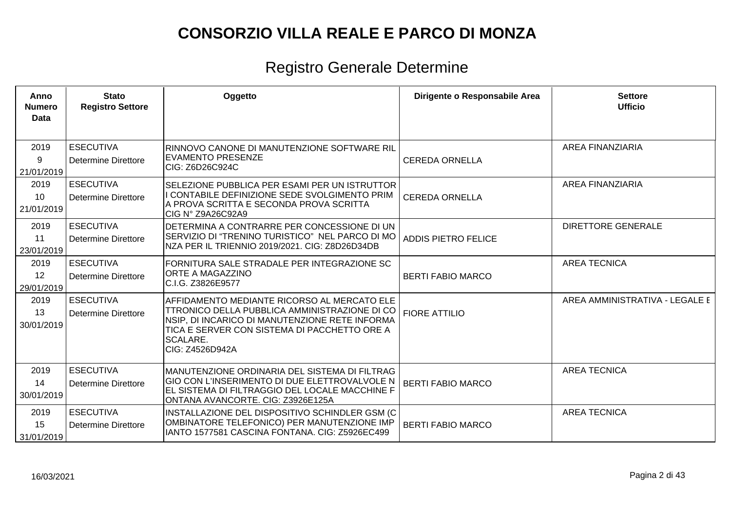| Anno<br><b>Numero</b><br><b>Data</b> | <b>Stato</b><br><b>Registro Settore</b>        | Oggetto                                                                                                                                                                                                                               | Dirigente o Responsabile Area | <b>Settore</b><br><b>Ufficio</b> |
|--------------------------------------|------------------------------------------------|---------------------------------------------------------------------------------------------------------------------------------------------------------------------------------------------------------------------------------------|-------------------------------|----------------------------------|
| 2019<br>9<br>21/01/2019              | <b>ESECUTIVA</b><br>Determine Direttore        | RINNOVO CANONE DI MANUTENZIONE SOFTWARE RIL<br><b>EVAMENTO PRESENZE</b><br>CIG: Z6D26C924C                                                                                                                                            | <b>CEREDA ORNELLA</b>         | <b>AREA FINANZIARIA</b>          |
| 2019<br>10<br>21/01/2019             | <b>ESECUTIVA</b><br>Determine Direttore        | SELEZIONE PUBBLICA PER ESAMI PER UN ISTRUTTOR<br>I CONTABILE DEFINIZIONE SEDE SVOLGIMENTO PRIM<br>A PROVA SCRITTA E SECONDA PROVA SCRITTA<br>CIG Nº Z9A26C92A9                                                                        | <b>CEREDA ORNELLA</b>         | <b>AREA FINANZIARIA</b>          |
| 2019<br>11<br>23/01/2019             | <b>ESECUTIVA</b><br>Determine Direttore        | DETERMINA A CONTRARRE PER CONCESSIONE DI UN<br>SERVIZIO DI "TRENINO TURISTICO" NEL PARCO DI MO<br>NZA PER IL TRIENNIO 2019/2021. CIG: Z8D26D34DB                                                                                      | <b>ADDIS PIETRO FELICE</b>    | <b>DIRETTORE GENERALE</b>        |
| 2019<br>12<br>29/01/2019             | <b>ESECUTIVA</b><br>Determine Direttore        | FORNITURA SALE STRADALE PER INTEGRAZIONE SC<br>ORTE A MAGAZZINO<br>C.I.G. Z3826E9577                                                                                                                                                  | <b>BERTI FABIO MARCO</b>      | <b>AREA TECNICA</b>              |
| 2019<br>13<br>30/01/2019             | <b>ESECUTIVA</b><br><b>Determine Direttore</b> | AFFIDAMENTO MEDIANTE RICORSO AL MERCATO ELE<br><b>TTRONICO DELLA PUBBLICA AMMINISTRAZIONE DI CO</b><br>NSIP, DI INCARICO DI MANUTENZIONE RETE INFORMA<br>TICA E SERVER CON SISTEMA DI PACCHETTO ORE A<br> SCALARE.<br>CIG: Z4526D942A | <b>FIORE ATTILIO</b>          | AREA AMMINISTRATIVA - LEGALE E   |
| 2019<br>14<br>30/01/2019             | <b>ESECUTIVA</b><br>Determine Direttore        | MANUTENZIONE ORDINARIA DEL SISTEMA DI FILTRAG<br>GIO CON L'INSERIMENTO DI DUE ELETTROVALVOLE N<br>EL SISTEMA DI FILTRAGGIO DEL LOCALE MACCHINE F<br>ONTANA AVANCORTE. CIG: Z3926E125A                                                 | <b>BERTI FABIO MARCO</b>      | <b>AREA TECNICA</b>              |
| 2019<br>15<br>31/01/2019             | <b>ESECUTIVA</b><br><b>Determine Direttore</b> | INSTALLAZIONE DEL DISPOSITIVO SCHINDLER GSM (C<br>OMBINATORE TELEFONICO) PER MANUTENZIONE IMP<br>IANTO 1577581 CASCINA FONTANA. CIG: Z5926EC499                                                                                       | <b>BERTI FABIO MARCO</b>      | <b>AREA TECNICA</b>              |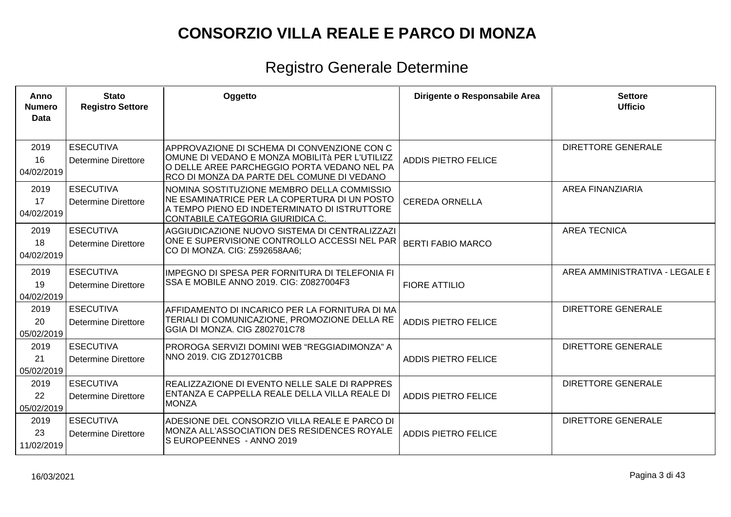| <b>ESECUTIVA</b><br>2019<br><b>DIRETTORE GENERALE</b><br>APPROVAZIONE DI SCHEMA DI CONVENZIONE CON C<br>OMUNE DI VEDANO E MONZA MOBILITÀ PER L'UTILIZZ<br>16<br><b>ADDIS PIETRO FELICE</b><br><b>Determine Direttore</b><br>O DELLE AREE PARCHEGGIO PORTA VEDANO NEL PA<br>04/02/2019<br>RCO DI MONZA DA PARTE DEL COMUNE DI VEDANO<br><b>ESECUTIVA</b><br><b>AREA FINANZIARIA</b><br>2019<br>NOMINA SOSTITUZIONE MEMBRO DELLA COMMISSIO<br>NE ESAMINATRICE PER LA COPERTURA DI UN POSTO<br>17<br><b>CEREDA ORNELLA</b><br><b>Determine Direttore</b><br>A TEMPO PIENO ED INDETERMINATO DI ISTRUTTORE<br>04/02/2019<br>CONTABILE CATEGORIA GIURIDICA C.<br><b>ESECUTIVA</b><br><b>AREA TECNICA</b><br>2019<br>AGGIUDICAZIONE NUOVO SISTEMA DI CENTRALIZZAZI<br>ONE E SUPERVISIONE CONTROLLO ACCESSI NEL PAR<br>18<br><b>BERTI FABIO MARCO</b><br><b>Determine Direttore</b><br>CO DI MONZA. CIG: Z592658AA6;<br>04/02/2019<br><b>ESECUTIVA</b><br>AREA AMMINISTRATIVA - LEGALE E<br>2019<br>IMPEGNO DI SPESA PER FORNITURA DI TELEFONIA FI<br>SSA E MOBILE ANNO 2019. CIG: Z0827004F3<br>19<br><b>FIORE ATTILIO</b><br><b>Determine Direttore</b><br>04/02/2019<br>2019<br><b>ESECUTIVA</b><br><b>DIRETTORE GENERALE</b><br>AFFIDAMENTO DI INCARICO PER LA FORNITURA DI MA<br>TERIALI DI COMUNICAZIONE, PROMOZIONE DELLA RE<br>20<br><b>ADDIS PIETRO FELICE</b><br><b>Determine Direttore</b><br>GGIA DI MONZA. CIG Z802701C78<br>05/02/2019<br><b>ESECUTIVA</b><br>2019<br><b>DIRETTORE GENERALE</b><br>PROROGA SERVIZI DOMINI WEB "REGGIADIMONZA" A<br>NNO 2019. CIG ZD12701CBB<br>21<br><b>ADDIS PIETRO FELICE</b><br>Determine Direttore<br>05/02/2019<br><b>ESECUTIVA</b><br><b>DIRETTORE GENERALE</b><br>2019<br>REALIZZAZIONE DI EVENTO NELLE SALE DI RAPPRES<br>ENTANZA E CAPPELLA REALE DELLA VILLA REALE DI<br>22<br><b>ADDIS PIETRO FELICE</b><br><b>Determine Direttore</b><br><b>IMONZA</b><br>05/02/2019<br>2019<br><b>ESECUTIVA</b><br><b>DIRETTORE GENERALE</b><br>ADESIONE DEL CONSORZIO VILLA REALE E PARCO DI<br>MONZA ALL'ASSOCIATION DES RESIDENCES ROYALE<br>23<br><b>ADDIS PIETRO FELICE</b><br><b>Determine Direttore</b><br>S EUROPEENNES - ANNO 2019<br>11/02/2019 | Anno<br><b>Numero</b><br><b>Data</b> | <b>Stato</b><br><b>Registro Settore</b> | Oggetto | Dirigente o Responsabile Area | <b>Settore</b><br><b>Ufficio</b> |
|----------------------------------------------------------------------------------------------------------------------------------------------------------------------------------------------------------------------------------------------------------------------------------------------------------------------------------------------------------------------------------------------------------------------------------------------------------------------------------------------------------------------------------------------------------------------------------------------------------------------------------------------------------------------------------------------------------------------------------------------------------------------------------------------------------------------------------------------------------------------------------------------------------------------------------------------------------------------------------------------------------------------------------------------------------------------------------------------------------------------------------------------------------------------------------------------------------------------------------------------------------------------------------------------------------------------------------------------------------------------------------------------------------------------------------------------------------------------------------------------------------------------------------------------------------------------------------------------------------------------------------------------------------------------------------------------------------------------------------------------------------------------------------------------------------------------------------------------------------------------------------------------------------------------------------------------------------------------------------------------------------------------------------------------------------------------------------------------------------------------------------------------------------------------------------------------|--------------------------------------|-----------------------------------------|---------|-------------------------------|----------------------------------|
|                                                                                                                                                                                                                                                                                                                                                                                                                                                                                                                                                                                                                                                                                                                                                                                                                                                                                                                                                                                                                                                                                                                                                                                                                                                                                                                                                                                                                                                                                                                                                                                                                                                                                                                                                                                                                                                                                                                                                                                                                                                                                                                                                                                              |                                      |                                         |         |                               |                                  |
|                                                                                                                                                                                                                                                                                                                                                                                                                                                                                                                                                                                                                                                                                                                                                                                                                                                                                                                                                                                                                                                                                                                                                                                                                                                                                                                                                                                                                                                                                                                                                                                                                                                                                                                                                                                                                                                                                                                                                                                                                                                                                                                                                                                              |                                      |                                         |         |                               |                                  |
|                                                                                                                                                                                                                                                                                                                                                                                                                                                                                                                                                                                                                                                                                                                                                                                                                                                                                                                                                                                                                                                                                                                                                                                                                                                                                                                                                                                                                                                                                                                                                                                                                                                                                                                                                                                                                                                                                                                                                                                                                                                                                                                                                                                              |                                      |                                         |         |                               |                                  |
|                                                                                                                                                                                                                                                                                                                                                                                                                                                                                                                                                                                                                                                                                                                                                                                                                                                                                                                                                                                                                                                                                                                                                                                                                                                                                                                                                                                                                                                                                                                                                                                                                                                                                                                                                                                                                                                                                                                                                                                                                                                                                                                                                                                              |                                      |                                         |         |                               |                                  |
|                                                                                                                                                                                                                                                                                                                                                                                                                                                                                                                                                                                                                                                                                                                                                                                                                                                                                                                                                                                                                                                                                                                                                                                                                                                                                                                                                                                                                                                                                                                                                                                                                                                                                                                                                                                                                                                                                                                                                                                                                                                                                                                                                                                              |                                      |                                         |         |                               |                                  |
|                                                                                                                                                                                                                                                                                                                                                                                                                                                                                                                                                                                                                                                                                                                                                                                                                                                                                                                                                                                                                                                                                                                                                                                                                                                                                                                                                                                                                                                                                                                                                                                                                                                                                                                                                                                                                                                                                                                                                                                                                                                                                                                                                                                              |                                      |                                         |         |                               |                                  |
|                                                                                                                                                                                                                                                                                                                                                                                                                                                                                                                                                                                                                                                                                                                                                                                                                                                                                                                                                                                                                                                                                                                                                                                                                                                                                                                                                                                                                                                                                                                                                                                                                                                                                                                                                                                                                                                                                                                                                                                                                                                                                                                                                                                              |                                      |                                         |         |                               |                                  |
|                                                                                                                                                                                                                                                                                                                                                                                                                                                                                                                                                                                                                                                                                                                                                                                                                                                                                                                                                                                                                                                                                                                                                                                                                                                                                                                                                                                                                                                                                                                                                                                                                                                                                                                                                                                                                                                                                                                                                                                                                                                                                                                                                                                              |                                      |                                         |         |                               |                                  |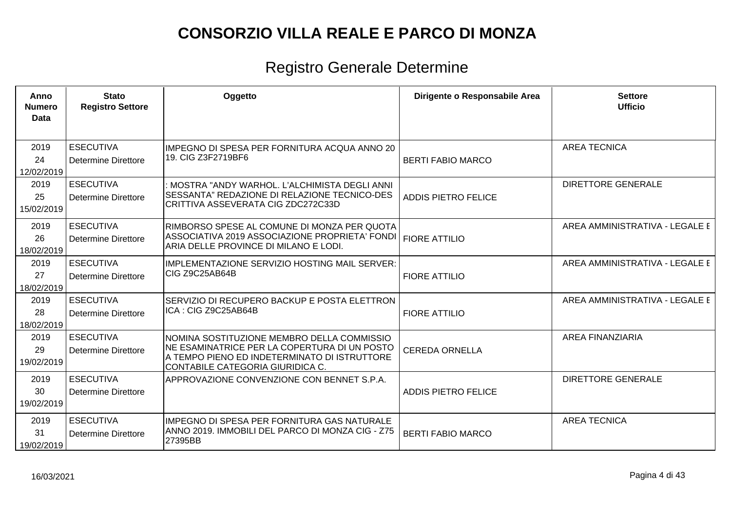| Anno<br><b>Numero</b><br><b>Data</b> | <b>Stato</b><br><b>Registro Settore</b>        | Oggetto                                                                                                                                                                        | Dirigente o Responsabile Area | <b>Settore</b><br><b>Ufficio</b> |
|--------------------------------------|------------------------------------------------|--------------------------------------------------------------------------------------------------------------------------------------------------------------------------------|-------------------------------|----------------------------------|
| 2019<br>24<br>12/02/2019             | <b>ESECUTIVA</b><br><b>Determine Direttore</b> | IMPEGNO DI SPESA PER FORNITURA ACQUA ANNO 20<br>19. CIG Z3F2719BF6                                                                                                             | <b>BERTI FABIO MARCO</b>      | <b>AREA TECNICA</b>              |
| 2019<br>25<br>15/02/2019             | <b>ESECUTIVA</b><br><b>Determine Direttore</b> | MOSTRA "ANDY WARHOL. L'ALCHIMISTA DEGLI ANNI<br>SESSANTA" REDAZIONE DI RELAZIONE TECNICO-DES<br>CRITTIVA ASSEVERATA CIG ZDC272C33D                                             | <b>ADDIS PIETRO FELICE</b>    | <b>DIRETTORE GENERALE</b>        |
| 2019<br>26<br>18/02/2019             | <b>ESECUTIVA</b><br>Determine Direttore        | RIMBORSO SPESE AL COMUNE DI MONZA PER QUOTA<br>ASSOCIATIVA 2019 ASSOCIAZIONE PROPRIETA' FONDI<br>ARIA DELLE PROVINCE DI MILANO E LODI.                                         | <b>FIORE ATTILIO</b>          | AREA AMMINISTRATIVA - LEGALE E   |
| 2019<br>27<br>18/02/2019             | <b>ESECUTIVA</b><br>Determine Direttore        | IMPLEMENTAZIONE SERVIZIO HOSTING MAIL SERVER:<br>ICIG Z9C25AB64B                                                                                                               | <b>FIORE ATTILIO</b>          | AREA AMMINISTRATIVA - LEGALE E   |
| 2019<br>28<br>18/02/2019             | <b>ESECUTIVA</b><br><b>Determine Direttore</b> | SERVIZIO DI RECUPERO BACKUP E POSTA ELETTRON<br>ICA: CIG Z9C25AB64B                                                                                                            | <b>FIORE ATTILIO</b>          | AREA AMMINISTRATIVA - LEGALE E   |
| 2019<br>29<br>19/02/2019             | <b>ESECUTIVA</b><br><b>Determine Direttore</b> | NOMINA SOSTITUZIONE MEMBRO DELLA COMMISSIO<br>NE ESAMINATRICE PER LA COPERTURA DI UN POSTO<br>A TEMPO PIENO ED INDETERMINATO DI ISTRUTTORE<br>CONTABILE CATEGORIA GIURIDICA C. | <b>CEREDA ORNELLA</b>         | <b>AREA FINANZIARIA</b>          |
| 2019<br>30<br>19/02/2019             | <b>ESECUTIVA</b><br>Determine Direttore        | APPROVAZIONE CONVENZIONE CON BENNET S.P.A.                                                                                                                                     | <b>ADDIS PIETRO FELICE</b>    | <b>DIRETTORE GENERALE</b>        |
| 2019<br>31<br>19/02/2019             | <b>ESECUTIVA</b><br><b>Determine Direttore</b> | IMPEGNO DI SPESA PER FORNITURA GAS NATURALE<br>ANNO 2019. IMMOBILI DEL PARCO DI MONZA CIG - Z75<br>27395BB                                                                     | <b>BERTI FABIO MARCO</b>      | <b>AREA TECNICA</b>              |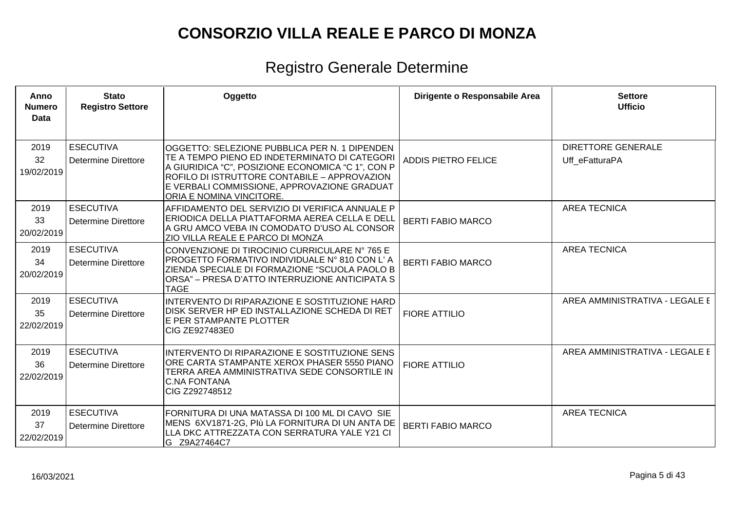| Anno<br><b>Numero</b><br>Data | <b>Stato</b><br><b>Registro Settore</b>        | Oggetto                                                                                                                                                                                                                                                                        | Dirigente o Responsabile Area | <b>Settore</b><br><b>Ufficio</b>            |
|-------------------------------|------------------------------------------------|--------------------------------------------------------------------------------------------------------------------------------------------------------------------------------------------------------------------------------------------------------------------------------|-------------------------------|---------------------------------------------|
| 2019<br>32<br>19/02/2019      | <b>ESECUTIVA</b><br><b>Determine Direttore</b> | OGGETTO: SELEZIONE PUBBLICA PER N. 1 DIPENDEN<br>TE A TEMPO PIENO ED INDETERMINATO DI CATEGORI<br>A GIURIDICA "C", POSIZIONE ECONOMICA "C 1", CON P<br>ROFILO DI ISTRUTTORE CONTABILE - APPROVAZION<br>E VERBALI COMMISSIONE, APPROVAZIONE GRADUAT<br>ORIA E NOMINA VINCITORE. | <b>ADDIS PIETRO FELICE</b>    | <b>DIRETTORE GENERALE</b><br>Uff eFatturaPA |
| 2019<br>33<br>20/02/2019      | <b>ESECUTIVA</b><br><b>Determine Direttore</b> | AFFIDAMENTO DEL SERVIZIO DI VERIFICA ANNUALE P<br>ERIODICA DELLA PIATTAFORMA AEREA CELLA E DELL<br>A GRU AMCO VEBA IN COMODATO D'USO AL CONSOR<br>ZIO VILLA REALE E PARCO DI MONZA                                                                                             | <b>BERTI FABIO MARCO</b>      | <b>AREA TECNICA</b>                         |
| 2019<br>34<br>20/02/2019      | <b>ESECUTIVA</b><br><b>Determine Direttore</b> | CONVENZIONE DI TIROCINIO CURRICULARE Nº 765 E<br>PROGETTO FORMATIVO INDIVIDUALE Nº 810 CON L'A<br>ZIENDA SPECIALE DI FORMAZIONE "SCUOLA PAOLO B<br>ORSA" - PRESA D'ATTO INTERRUZIONE ANTICIPATA S<br><b>TAGE</b>                                                               | <b>BERTI FABIO MARCO</b>      | <b>AREA TECNICA</b>                         |
| 2019<br>35<br>22/02/2019      | <b>ESECUTIVA</b><br><b>Determine Direttore</b> | INTERVENTO DI RIPARAZIONE E SOSTITUZIONE HARD<br>DISK SERVER HP ED INSTALLAZIONE SCHEDA DI RET<br>E PER STAMPANTE PLOTTER<br>CIG ZE927483E0                                                                                                                                    | <b>FIORE ATTILIO</b>          | AREA AMMINISTRATIVA - LEGALE E              |
| 2019<br>36<br>22/02/2019      | <b>ESECUTIVA</b><br>Determine Direttore        | INTERVENTO DI RIPARAZIONE E SOSTITUZIONE SENS<br>ORE CARTA STAMPANTE XEROX PHASER 5550 PIANO<br>TERRA AREA AMMINISTRATIVA SEDE CONSORTILE IN<br><b>C.NA FONTANA</b><br>CIG Z292748512                                                                                          | <b>FIORE ATTILIO</b>          | AREA AMMINISTRATIVA - LEGALE E              |
| 2019<br>37<br>22/02/2019      | <b>ESECUTIVA</b><br><b>Determine Direttore</b> | FORNITURA DI UNA MATASSA DI 100 ML DI CAVO SIE<br>MENS 6XV1871-2G, PIù LA FORNITURA DI UN ANTA DE<br>LLA DKC ATTREZZATA CON SERRATURA YALE Y21 CI<br>G Z9A27464C7                                                                                                              | <b>BERTI FABIO MARCO</b>      | <b>AREA TECNICA</b>                         |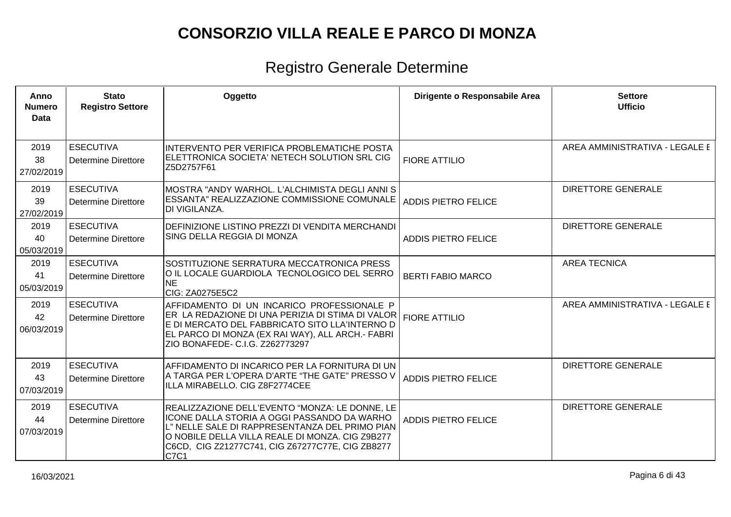| Anno<br><b>Numero</b><br><b>Data</b> | <b>Stato</b><br><b>Registro Settore</b>        | Oggetto                                                                                                                                                                                                                                                        | Dirigente o Responsabile Area | <b>Settore</b><br><b>Ufficio</b> |
|--------------------------------------|------------------------------------------------|----------------------------------------------------------------------------------------------------------------------------------------------------------------------------------------------------------------------------------------------------------------|-------------------------------|----------------------------------|
| 2019<br>38<br>27/02/2019             | <b>ESECUTIVA</b><br>Determine Direttore        | INTERVENTO PER VERIFICA PROBLEMATICHE POSTA<br>ELETTRONICA SOCIETA' NETECH SOLUTION SRL CIG<br>IZ5D2757F61                                                                                                                                                     | <b>FIORE ATTILIO</b>          | AREA AMMINISTRATIVA - LEGALE E   |
| 2019<br>39<br>27/02/2019             | <b>ESECUTIVA</b><br>Determine Direttore        | MOSTRA "ANDY WARHOL, L'ALCHIMISTA DEGLI ANNI S<br><b>ESSANTA" REALIZZAZIONE COMMISSIONE COMUNALE</b><br><b>DI VIGILANZA.</b>                                                                                                                                   | <b>ADDIS PIETRO FELICE</b>    | <b>DIRETTORE GENERALE</b>        |
| 2019<br>40<br>05/03/2019             | <b>ESECUTIVA</b><br><b>Determine Direttore</b> | DEFINIZIONE LISTINO PREZZI DI VENDITA MERCHANDI<br>SING DELLA REGGIA DI MONZA                                                                                                                                                                                  | <b>ADDIS PIETRO FELICE</b>    | <b>DIRETTORE GENERALE</b>        |
| 2019<br>41<br>05/03/2019             | <b>ESECUTIVA</b><br>Determine Direttore        | SOSTITUZIONE SERRATURA MECCATRONICA PRESS<br>O IL LOCALE GUARDIOLA TECNOLOGICO DEL SERRO<br><b>NE</b><br>CIG: ZA0275E5C2                                                                                                                                       | <b>BERTI FABIO MARCO</b>      | <b>AREA TECNICA</b>              |
| 2019<br>42<br>06/03/2019             | <b>ESECUTIVA</b><br><b>Determine Direttore</b> | AFFIDAMENTO DI UN INCARICO PROFESSIONALE P<br>ER LA REDAZIONE DI UNA PERIZIA DI STIMA DI VALOR<br>E DI MERCATO DEL FABBRICATO SITO LLA'INTERNO D<br>EL PARCO DI MONZA (EX RAI WAY), ALL ARCH.- FABRI<br>ZIO BONAFEDE- C.I.G. Z262773297                        | <b>FIORE ATTILIO</b>          | AREA AMMINISTRATIVA - LEGALE E   |
| 2019<br>43<br>07/03/2019             | <b>ESECUTIVA</b><br><b>Determine Direttore</b> | AFFIDAMENTO DI INCARICO PER LA FORNITURA DI UN<br>A TARGA PER L'OPERA D'ARTE "THE GATE" PRESSO V<br>ILLA MIRABELLO. CIG Z8F2774CEE                                                                                                                             | <b>ADDIS PIETRO FELICE</b>    | <b>DIRETTORE GENERALE</b>        |
| 2019<br>44<br>07/03/2019             | <b>ESECUTIVA</b><br>Determine Direttore        | REALIZZAZIONE DELL'EVENTO "MONZA: LE DONNE, LE<br>ICONE DALLA STORIA A OGGI PASSANDO DA WARHO<br>L" NELLE SALE DI RAPPRESENTANZA DEL PRIMO PIAN<br>O NOBILE DELLA VILLA REALE DI MONZA. CIG Z9B277<br>C6CD, CIG Z21277C741, CIG Z67277C77E, CIG ZB8277<br>C7C1 | <b>ADDIS PIETRO FELICE</b>    | <b>DIRETTORE GENERALE</b>        |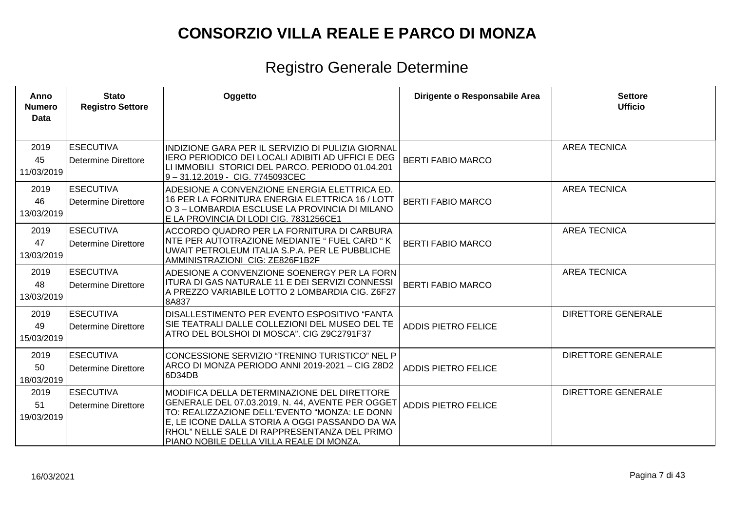| Anno<br><b>Numero</b><br><b>Data</b> | <b>Stato</b><br><b>Registro Settore</b> | Oggetto                                                                                                                                                                                                                                                                                        | Dirigente o Responsabile Area | <b>Settore</b><br><b>Ufficio</b> |
|--------------------------------------|-----------------------------------------|------------------------------------------------------------------------------------------------------------------------------------------------------------------------------------------------------------------------------------------------------------------------------------------------|-------------------------------|----------------------------------|
| 2019<br>45<br>11/03/2019             | <b>ESECUTIVA</b><br>Determine Direttore | INDIZIONE GARA PER IL SERVIZIO DI PULIZIA GIORNAL<br>IERO PERIODICO DEI LOCALI ADIBITI AD UFFICI E DEG<br>LI IMMOBILI STORICI DEL PARCO. PERIODO 01.04.201<br>9-31.12.2019 - CIG. 7745093CEC                                                                                                   | <b>BERTI FABIO MARCO</b>      | <b>AREA TECNICA</b>              |
| 2019<br>46<br>13/03/2019             | <b>ESECUTIVA</b><br>Determine Direttore | ADESIONE A CONVENZIONE ENERGIA ELETTRICA ED.<br>16 PER LA FORNITURA ENERGIA ELETTRICA 16 / LOTT<br>O 3 – LOMBARDIA ESCLUSE LA PROVINCIA DI MILANO<br>E LA PROVINCIA DI LODI CIG. 7831256CE1                                                                                                    | <b>BERTI FABIO MARCO</b>      | <b>AREA TECNICA</b>              |
| 2019<br>47<br>13/03/2019             | <b>ESECUTIVA</b><br>Determine Direttore | ACCORDO QUADRO PER LA FORNITURA DI CARBURA<br>NTE PER AUTOTRAZIONE MEDIANTE " FUEL CARD " K<br>UWAIT PETROLEUM ITALIA S.P.A. PER LE PUBBLICHE<br>AMMINISTRAZIONI CIG: ZE826F1B2F                                                                                                               | <b>BERTI FABIO MARCO</b>      | <b>AREA TECNICA</b>              |
| 2019<br>48<br>13/03/2019             | <b>ESECUTIVA</b><br>Determine Direttore | ADESIONE A CONVENZIONE SOENERGY PER LA FORN<br>ITURA DI GAS NATURALE 11 E DEI SERVIZI CONNESSI<br>A PREZZO VARIABILE LOTTO 2 LOMBARDIA CIG. Z6F27<br>8A837                                                                                                                                     | <b>BERTI FABIO MARCO</b>      | <b>AREA TECNICA</b>              |
| 2019<br>49<br>15/03/2019             | <b>ESECUTIVA</b><br>Determine Direttore | DISALLESTIMENTO PER EVENTO ESPOSITIVO "FANTA<br>SIE TEATRALI DALLE COLLEZIONI DEL MUSEO DEL TE<br>ATRO DEL BOLSHOI DI MOSCA". CIG Z9C2791F37                                                                                                                                                   | <b>ADDIS PIETRO FELICE</b>    | <b>DIRETTORE GENERALE</b>        |
| 2019<br>50<br>18/03/2019             | <b>ESECUTIVA</b><br>Determine Direttore | CONCESSIONE SERVIZIO "TRENINO TURISTICO" NEL P<br>ARCO DI MONZA PERIODO ANNI 2019-2021 - CIG Z8D2<br>6D34DB                                                                                                                                                                                    | <b>ADDIS PIETRO FELICE</b>    | <b>DIRETTORE GENERALE</b>        |
| 2019<br>51<br>19/03/2019             | <b>ESECUTIVA</b><br>Determine Direttore | MODIFICA DELLA DETERMINAZIONE DEL DIRETTORE<br>GENERALE DEL 07.03.2019, N. 44, AVENTE PER OGGET<br>TO: REALIZZAZIONE DELL'EVENTO "MONZA: LE DONN<br>E, LE ICONE DALLA STORIA A OGGI PASSANDO DA WA<br>RHOL" NELLE SALE DI RAPPRESENTANZA DEL PRIMO<br>PIANO NOBILE DELLA VILLA REALE DI MONZA. | <b>ADDIS PIETRO FELICE</b>    | <b>DIRETTORE GENERALE</b>        |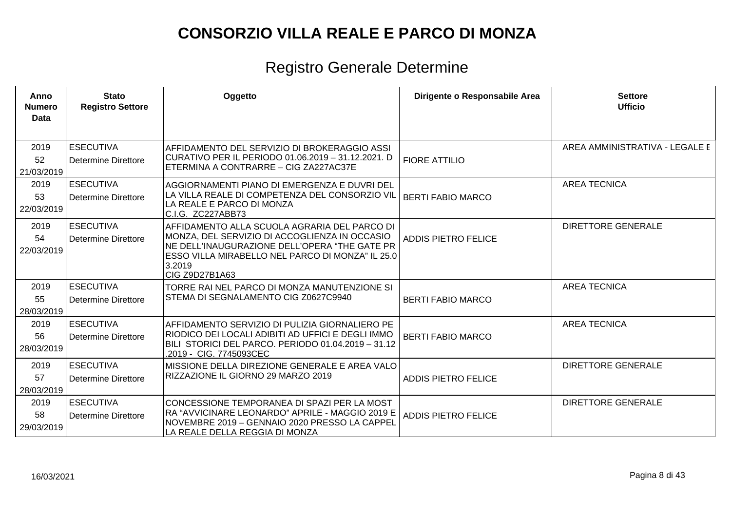| Anno<br><b>Numero</b><br><b>Data</b> | <b>Stato</b><br><b>Registro Settore</b>        | Oggetto                                                                                                                                                                                                                        | Dirigente o Responsabile Area | <b>Settore</b><br><b>Ufficio</b> |
|--------------------------------------|------------------------------------------------|--------------------------------------------------------------------------------------------------------------------------------------------------------------------------------------------------------------------------------|-------------------------------|----------------------------------|
| 2019<br>52<br>21/03/2019             | <b>ESECUTIVA</b><br>Determine Direttore        | AFFIDAMENTO DEL SERVIZIO DI BROKERAGGIO ASSI<br>CURATIVO PER IL PERIODO 01.06.2019 - 31.12.2021. D<br>ETERMINA A CONTRARRE - CIG ZA227AC37E                                                                                    | <b>FIORE ATTILIO</b>          | AREA AMMINISTRATIVA - LEGALE E   |
| 2019<br>53<br>22/03/2019             | <b>ESECUTIVA</b><br><b>Determine Direttore</b> | AGGIORNAMENTI PIANO DI EMERGENZA E DUVRI DEL<br>LA VILLA REALE DI COMPETENZA DEL CONSORZIO VIL<br>LA REALE E PARCO DI MONZA<br>C.I.G. ZC227ABB73                                                                               | <b>BERTI FABIO MARCO</b>      | <b>AREA TECNICA</b>              |
| 2019<br>54<br>22/03/2019             | <b>ESECUTIVA</b><br><b>Determine Direttore</b> | AFFIDAMENTO ALLA SCUOLA AGRARIA DEL PARCO DI<br>MONZA, DEL SERVIZIO DI ACCOGLIENZA IN OCCASIO<br>NE DELL'INAUGURAZIONE DELL'OPERA "THE GATE PR<br>ESSO VILLA MIRABELLO NEL PARCO DI MONZA" IL 25.0<br>3.2019<br>CIG Z9D27B1A63 | <b>ADDIS PIETRO FELICE</b>    | <b>DIRETTORE GENERALE</b>        |
| 2019<br>55<br>28/03/2019             | <b>ESECUTIVA</b><br><b>Determine Direttore</b> | TORRE RAI NEL PARCO DI MONZA MANUTENZIONE SI<br>STEMA DI SEGNALAMENTO CIG Z0627C9940                                                                                                                                           | <b>BERTI FABIO MARCO</b>      | <b>AREA TECNICA</b>              |
| 2019<br>56<br>28/03/2019             | <b>ESECUTIVA</b><br><b>Determine Direttore</b> | AFFIDAMENTO SERVIZIO DI PULIZIA GIORNALIERO PE<br>RIODICO DEI LOCALI ADIBITI AD UFFICI E DEGLI IMMO<br>BILI STORICI DEL PARCO. PERIODO 01.04.2019 - 31.12<br>.2019 - CIG. 7745093CEC                                           | <b>BERTI FABIO MARCO</b>      | <b>AREA TECNICA</b>              |
| 2019<br>57<br>28/03/2019             | <b>ESECUTIVA</b><br>Determine Direttore        | MISSIONE DELLA DIREZIONE GENERALE E AREA VALO<br>RIZZAZIONE IL GIORNO 29 MARZO 2019                                                                                                                                            | <b>ADDIS PIETRO FELICE</b>    | <b>DIRETTORE GENERALE</b>        |
| 2019<br>58<br>29/03/2019             | <b>ESECUTIVA</b><br><b>Determine Direttore</b> | CONCESSIONE TEMPORANEA DI SPAZI PER LA MOST<br>RA "AVVICINARE LEONARDO" APRILE - MAGGIO 2019 E<br>NOVEMBRE 2019 - GENNAIO 2020 PRESSO LA CAPPEL<br>LA REALE DELLA REGGIA DI MONZA                                              | <b>ADDIS PIETRO FELICE</b>    | <b>DIRETTORE GENERALE</b>        |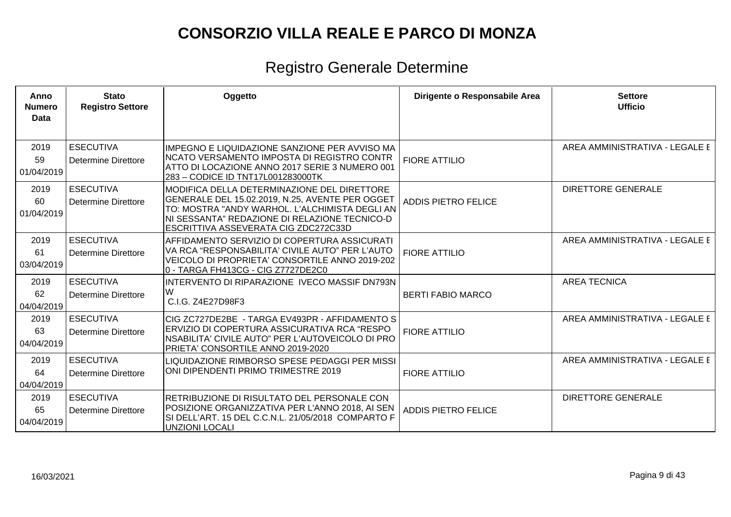| Anno<br><b>Numero</b><br><b>Data</b> | <b>Stato</b><br><b>Registro Settore</b>        | Oggetto                                                                                                                                                                                                                                   | Dirigente o Responsabile Area | <b>Settore</b><br><b>Ufficio</b> |
|--------------------------------------|------------------------------------------------|-------------------------------------------------------------------------------------------------------------------------------------------------------------------------------------------------------------------------------------------|-------------------------------|----------------------------------|
| 2019<br>59<br>01/04/2019             | <b>ESECUTIVA</b><br><b>Determine Direttore</b> | <b>IMPEGNO E LIQUIDAZIONE SANZIONE PER AVVISO MA</b><br>NCATO VERSAMENTO IMPOSTA DI REGISTRO CONTR<br>ATTO DI LOCAZIONE ANNO 2017 SERIE 3 NUMERO 001<br>283 - CODICE ID TNT17L001283000TK                                                 | <b>FIORE ATTILIO</b>          | AREA AMMINISTRATIVA - LEGALE E   |
| 2019<br>60<br>01/04/2019             | <b>ESECUTIVA</b><br><b>Determine Direttore</b> | MODIFICA DELLA DETERMINAZIONE DEL DIRETTORE<br>GENERALE DEL 15.02.2019, N.25, AVENTE PER OGGET<br>TO: MOSTRA "ANDY WARHOL. L'ALCHIMISTA DEGLI AN<br>NI SESSANTA" REDAZIONE DI RELAZIONE TECNICO-D<br>ESCRITTIVA ASSEVERATA CIG ZDC272C33D | ADDIS PIETRO FELICE           | <b>DIRETTORE GENERALE</b>        |
| 2019<br>61<br>03/04/2019             | <b>ESECUTIVA</b><br><b>Determine Direttore</b> | AFFIDAMENTO SERVIZIO DI COPERTURA ASSICURATI<br>VA RCA "RESPONSABILITA' CIVILE AUTO" PER L'AUTO<br>VEICOLO DI PROPRIETA' CONSORTILE ANNO 2019-202<br>0 - TARGA FH413CG - CIG Z7727DE2C0                                                   | <b>FIORE ATTILIO</b>          | AREA AMMINISTRATIVA - LEGALE E   |
| 2019<br>62<br>04/04/2019             | <b>ESECUTIVA</b><br>Determine Direttore        | INTERVENTO DI RIPARAZIONE IVECO MASSIF DN793N<br>W<br>C.I.G. Z4E27D98F3                                                                                                                                                                   | <b>BERTI FABIO MARCO</b>      | <b>AREA TECNICA</b>              |
| 2019<br>63<br>04/04/2019             | <b>ESECUTIVA</b><br><b>Determine Direttore</b> | CIG ZC727DE2BE - TARGA EV493PR - AFFIDAMENTO S<br>ERVIZIO DI COPERTURA ASSICURATIVA RCA "RESPO<br>NSABILITA' CIVILE AUTO" PER L'AUTOVEICOLO DI PRO<br>PRIETA' CONSORTILE ANNO 2019-2020                                                   | <b>FIORE ATTILIO</b>          | AREA AMMINISTRATIVA - LEGALE E   |
| 2019<br>64<br>04/04/2019             | <b>ESECUTIVA</b><br><b>Determine Direttore</b> | LIQUIDAZIONE RIMBORSO SPESE PEDAGGI PER MISSI<br>ONI DIPENDENTI PRIMO TRIMESTRE 2019                                                                                                                                                      | <b>FIORE ATTILIO</b>          | AREA AMMINISTRATIVA - LEGALE E   |
| 2019<br>65<br>04/04/2019             | <b>ESECUTIVA</b><br><b>Determine Direttore</b> | RETRIBUZIONE DI RISULTATO DEL PERSONALE CON<br>POSIZIONE ORGANIZZATIVA PER L'ANNO 2018, AI SEN<br>SI DELL'ART. 15 DEL C.C.N.L. 21/05/2018 COMPARTO F<br><b>UNZIONI LOCALI</b>                                                             | <b>ADDIS PIETRO FELICE</b>    | <b>DIRETTORE GENERALE</b>        |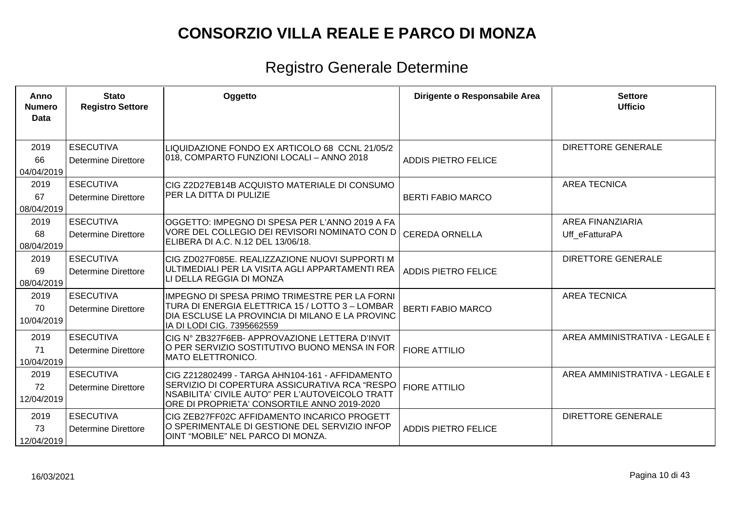| Anno<br><b>Numero</b><br>Data | <b>Stato</b><br><b>Registro Settore</b>        | Oggetto                                                                                                                                                                                                    | Dirigente o Responsabile Area | <b>Settore</b><br><b>Ufficio</b>          |
|-------------------------------|------------------------------------------------|------------------------------------------------------------------------------------------------------------------------------------------------------------------------------------------------------------|-------------------------------|-------------------------------------------|
| 2019<br>66<br>04/04/2019      | <b>ESECUTIVA</b><br><b>Determine Direttore</b> | LIQUIDAZIONE FONDO EX ARTICOLO 68 CCNL 21/05/2<br>018, COMPARTO FUNZIONI LOCALI - ANNO 2018                                                                                                                | <b>ADDIS PIETRO FELICE</b>    | <b>DIRETTORE GENERALE</b>                 |
| 2019<br>67<br>08/04/2019      | <b>ESECUTIVA</b><br><b>Determine Direttore</b> | CIG Z2D27EB14B ACQUISTO MATERIALE DI CONSUMO<br><b>PER LA DITTA DI PULIZIE</b>                                                                                                                             | <b>BERTI FABIO MARCO</b>      | <b>AREA TECNICA</b>                       |
| 2019<br>68<br>08/04/2019      | <b>ESECUTIVA</b><br><b>Determine Direttore</b> | OGGETTO: IMPEGNO DI SPESA PER L'ANNO 2019 A FA<br>VORE DEL COLLEGIO DEI REVISORI NOMINATO CON D<br> ELIBERA DI A.C. N.12 DEL 13/06/18.                                                                     | <b>CEREDA ORNELLA</b>         | <b>AREA FINANZIARIA</b><br>Uff_eFatturaPA |
| 2019<br>69<br>08/04/2019      | <b>ESECUTIVA</b><br>Determine Direttore        | CIG ZD027F085E. REALIZZAZIONE NUOVI SUPPORTI M<br>ULTIMEDIALI PER LA VISITA AGLI APPARTAMENTI REA<br>LI DELLA REGGIA DI MONZA                                                                              | <b>ADDIS PIETRO FELICE</b>    | <b>DIRETTORE GENERALE</b>                 |
| 2019<br>70<br>10/04/2019      | <b>ESECUTIVA</b><br><b>Determine Direttore</b> | IMPEGNO DI SPESA PRIMO TRIMESTRE PER LA FORNI<br>TURA DI ENERGIA ELETTRICA 15 / LOTTO 3 – LOMBAR<br>DIA ESCLUSE LA PROVINCIA DI MILANO E LA PROVINC<br>IA DI LODI CIG. 7395662559                          | <b>BERTI FABIO MARCO</b>      | <b>AREA TECNICA</b>                       |
| 2019<br>71<br>10/04/2019      | <b>ESECUTIVA</b><br><b>Determine Direttore</b> | CIG N° ZB327F6EB- APPROVAZIONE LETTERA D'INVIT<br>O PER SERVIZIO SOSTITUTIVO BUONO MENSA IN FOR<br>IMATO ELETTRONICO.                                                                                      | <b>FIORE ATTILIO</b>          | AREA AMMINISTRATIVA - LEGALE E            |
| 2019<br>72<br>12/04/2019      | <b>ESECUTIVA</b><br><b>Determine Direttore</b> | CIG Z212802499 - TARGA AHN104-161 - AFFIDAMENTO<br>SERVIZIO DI COPERTURA ASSICURATIVA RCA "RESPO<br><b>INSABILITA' CIVILE AUTO" PER L'AUTOVEICOLO TRATT</b><br>ORE DI PROPRIETA' CONSORTILE ANNO 2019-2020 | <b>FIORE ATTILIO</b>          | AREA AMMINISTRATIVA - LEGALE E            |
| 2019<br>73<br>12/04/2019      | <b>ESECUTIVA</b><br>Determine Direttore        | CIG ZEB27FF02C AFFIDAMENTO INCARICO PROGETT<br>O SPERIMENTALE DI GESTIONE DEL SERVIZIO INFOP<br>OINT "MOBILE" NEL PARCO DI MONZA.                                                                          | <b>ADDIS PIETRO FELICE</b>    | <b>DIRETTORE GENERALE</b>                 |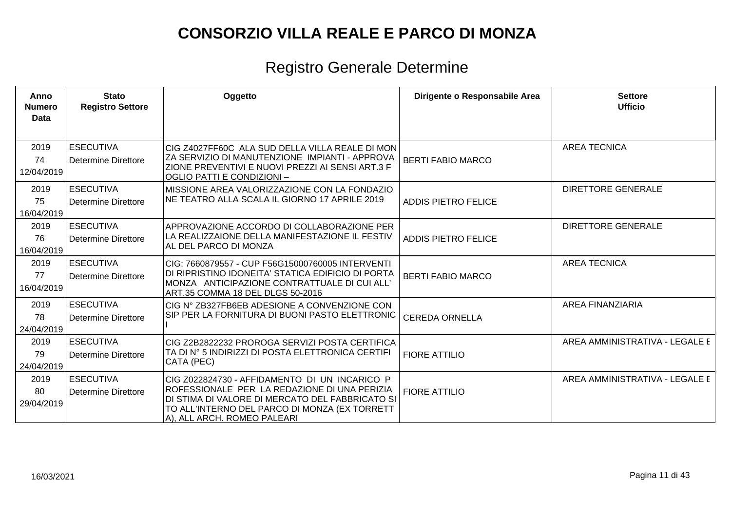| Anno<br><b>Numero</b><br>Data | <b>Stato</b><br><b>Registro Settore</b>        | Oggetto                                                                                                                                                                                                                          | Dirigente o Responsabile Area | <b>Settore</b><br><b>Ufficio</b> |
|-------------------------------|------------------------------------------------|----------------------------------------------------------------------------------------------------------------------------------------------------------------------------------------------------------------------------------|-------------------------------|----------------------------------|
| 2019<br>74<br>12/04/2019      | <b>ESECUTIVA</b><br><b>Determine Direttore</b> | ICIG Z4027FF60C ALA SUD DELLA VILLA REALE DI MON<br>ZA SERVIZIO DI MANUTENZIONE IMPIANTI - APPROVA<br>ZIONE PREVENTIVI E NUOVI PREZZI AI SENSI ART.3 F<br> OGLIO PATTI E CONDIZIONI –                                            | <b>BERTI FABIO MARCO</b>      | <b>AREA TECNICA</b>              |
| 2019<br>75<br>16/04/2019      | <b>ESECUTIVA</b><br><b>Determine Direttore</b> | MISSIONE AREA VALORIZZAZIONE CON LA FONDAZIO<br>NE TEATRO ALLA SCALA IL GIORNO 17 APRILE 2019                                                                                                                                    | <b>ADDIS PIETRO FELICE</b>    | <b>DIRETTORE GENERALE</b>        |
| 2019<br>76<br>16/04/2019      | <b>ESECUTIVA</b><br><b>Determine Direttore</b> | APPROVAZIONE ACCORDO DI COLLABORAZIONE PER<br>LA REALIZZAIONE DELLA MANIFESTAZIONE IL FESTIV<br>AL DEL PARCO DI MONZA                                                                                                            | <b>ADDIS PIETRO FELICE</b>    | <b>DIRETTORE GENERALE</b>        |
| 2019<br>77<br>16/04/2019      | <b>ESECUTIVA</b><br><b>Determine Direttore</b> | CIG: 7660879557 - CUP F56G15000760005 INTERVENTI<br>DI RIPRISTINO IDONEITA' STATICA EDIFICIO DI PORTA<br>MONZA ANTICIPAZIONE CONTRATTUALE DI CUI ALL'<br>ART.35 COMMA 18 DEL DLGS 50-2016                                        | <b>BERTI FABIO MARCO</b>      | <b>AREA TECNICA</b>              |
| 2019<br>78<br>24/04/2019      | <b>ESECUTIVA</b><br>Determine Direttore        | CIG N° ZB327FB6EB ADESIONE A CONVENZIONE CON<br>SIP PER LA FORNITURA DI BUONI PASTO ELETTRONIC                                                                                                                                   | <b>CEREDA ORNELLA</b>         | <b>AREA FINANZIARIA</b>          |
| 2019<br>79<br>24/04/2019      | <b>ESECUTIVA</b><br><b>Determine Direttore</b> | CIG Z2B2822232 PROROGA SERVIZI POSTA CERTIFICA<br>TA DI Nº 5 INDIRIZZI DI POSTA ELETTRONICA CERTIFI<br>CATA (PEC)                                                                                                                | <b>FIORE ATTILIO</b>          | AREA AMMINISTRATIVA - LEGALE E   |
| 2019<br>80<br>29/04/2019      | <b>ESECUTIVA</b><br><b>Determine Direttore</b> | CIG Z022824730 - AFFIDAMENTO DI UN INCARICO P<br>ROFESSIONALE PER LA REDAZIONE DI UNA PERIZIA<br>DI STIMA DI VALORE DI MERCATO DEL FABBRICATO SI<br>TO ALL'INTERNO DEL PARCO DI MONZA (EX TORRETT<br>A), ALL ARCH. ROMEO PALEARI | <b>FIORE ATTILIO</b>          | AREA AMMINISTRATIVA - LEGALE E   |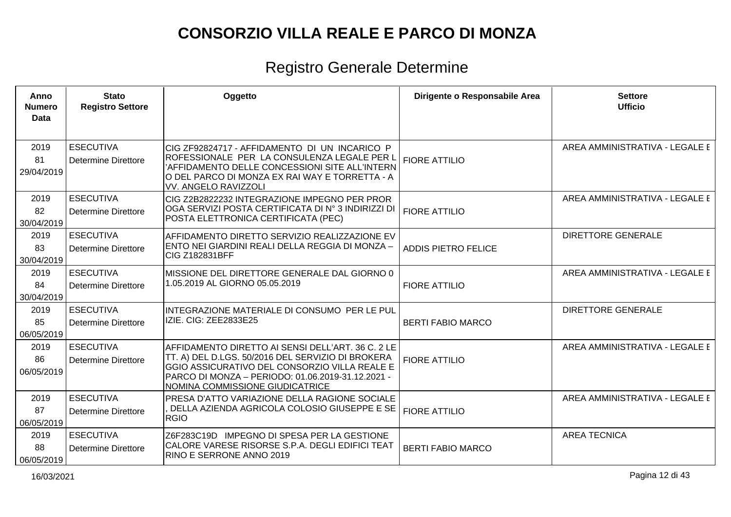| Anno<br><b>Numero</b><br>Data | <b>Stato</b><br><b>Registro Settore</b>        | Oggetto                                                                                                                                                                                                                                         | Dirigente o Responsabile Area | <b>Settore</b><br><b>Ufficio</b> |
|-------------------------------|------------------------------------------------|-------------------------------------------------------------------------------------------------------------------------------------------------------------------------------------------------------------------------------------------------|-------------------------------|----------------------------------|
| 2019<br>81                    | <b>ESECUTIVA</b><br><b>Determine Direttore</b> | CIG ZF92824717 - AFFIDAMENTO DI UN INCARICO P<br>ROFESSIONALE PER LA CONSULENZA LEGALE PER L                                                                                                                                                    | <b>FIORE ATTILIO</b>          | AREA AMMINISTRATIVA - LEGALE E   |
| 29/04/2019                    |                                                | 'AFFIDAMENTO DELLE CONCESSIONI SITE ALL'INTERN<br>O DEL PARCO DI MONZA EX RAI WAY E TORRETTA - A<br><b>VV. ANGELO RAVIZZOLI</b>                                                                                                                 |                               |                                  |
| 2019<br>82<br>30/04/2019      | <b>ESECUTIVA</b><br><b>Determine Direttore</b> | CIG Z2B2822232 INTEGRAZIONE IMPEGNO PER PROR<br>OGA SERVIZI POSTA CERTIFICATA DI Nº 3 INDIRIZZI DI<br>POSTA ELETTRONICA CERTIFICATA (PEC)                                                                                                       | <b>FIORE ATTILIO</b>          | AREA AMMINISTRATIVA - LEGALE E   |
| 2019<br>83<br>30/04/2019      | <b>ESECUTIVA</b><br><b>Determine Direttore</b> | AFFIDAMENTO DIRETTO SERVIZIO REALIZZAZIONE EV<br>ENTO NEI GIARDINI REALI DELLA REGGIA DI MONZA -<br>CIG Z182831BFF                                                                                                                              | <b>ADDIS PIETRO FELICE</b>    | <b>DIRETTORE GENERALE</b>        |
| 2019<br>84                    | <b>ESECUTIVA</b><br><b>Determine Direttore</b> | MISSIONE DEL DIRETTORE GENERALE DAL GIORNO 0<br>1.05.2019 AL GIORNO 05.05.2019                                                                                                                                                                  | <b>FIORE ATTILIO</b>          | AREA AMMINISTRATIVA - LEGALE E   |
| 30/04/2019                    |                                                |                                                                                                                                                                                                                                                 |                               |                                  |
| 2019                          | <b>ESECUTIVA</b>                               | INTEGRAZIONE MATERIALE DI CONSUMO PER LE PUL                                                                                                                                                                                                    |                               | <b>DIRETTORE GENERALE</b>        |
| 85<br>06/05/2019              | <b>Determine Direttore</b>                     | IZIE. CIG: ZEE2833E25                                                                                                                                                                                                                           | <b>BERTI FABIO MARCO</b>      |                                  |
| 2019<br>86<br>06/05/2019      | <b>ESECUTIVA</b><br><b>Determine Direttore</b> | AFFIDAMENTO DIRETTO AI SENSI DELL'ART. 36 C. 2 LE<br>TT. A) DEL D.LGS. 50/2016 DEL SERVIZIO DI BROKERA<br>GGIO ASSICURATIVO DEL CONSORZIO VILLA REALE E<br>PARCO DI MONZA - PERIODO: 01.06.2019-31.12.2021 -<br>NOMINA COMMISSIONE GIUDICATRICE | <b>FIORE ATTILIO</b>          | AREA AMMINISTRATIVA - LEGALE E   |
| 2019                          | <b>ESECUTIVA</b>                               | PRESA D'ATTO VARIAZIONE DELLA RAGIONE SOCIALE                                                                                                                                                                                                   |                               | AREA AMMINISTRATIVA - LEGALE E   |
| 87<br>06/05/2019              | Determine Direttore                            | DELLA AZIENDA AGRICOLA COLOSIO GIUSEPPE E SE<br><b>RGIO</b>                                                                                                                                                                                     | <b>FIORE ATTILIO</b>          |                                  |
| 2019                          | <b>ESECUTIVA</b>                               | Z6F283C19D IMPEGNO DI SPESA PER LA GESTIONE                                                                                                                                                                                                     |                               | <b>AREA TECNICA</b>              |
| 88<br>06/05/2019              | <b>Determine Direttore</b>                     | CALORE VARESE RISORSE S.P.A. DEGLI EDIFICI TEAT<br>RINO E SERRONE ANNO 2019                                                                                                                                                                     | <b>BERTI FABIO MARCO</b>      |                                  |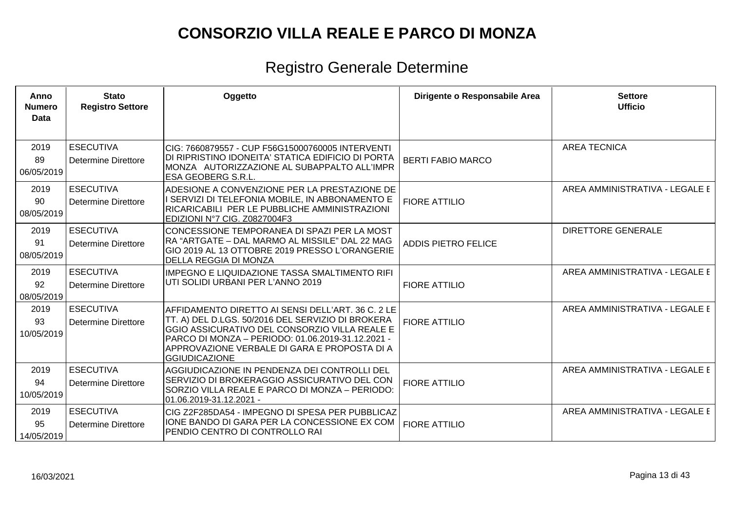| Anno<br><b>Numero</b><br><b>Data</b> | <b>Stato</b><br><b>Registro Settore</b>        | Oggetto                                                                                                                                                                                                                                                                              | Dirigente o Responsabile Area | <b>Settore</b><br><b>Ufficio</b> |
|--------------------------------------|------------------------------------------------|--------------------------------------------------------------------------------------------------------------------------------------------------------------------------------------------------------------------------------------------------------------------------------------|-------------------------------|----------------------------------|
| 2019<br>89<br>06/05/2019             | <b>ESECUTIVA</b><br>Determine Direttore        | CIG: 7660879557 - CUP F56G15000760005 INTERVENTI<br>DI RIPRISTINO IDONEITA' STATICA EDIFICIO DI PORTA<br>MONZA AUTORIZZAZIONE AL SUBAPPALTO ALL'IMPR<br><b>ESA GEOBERG S.R.L.</b>                                                                                                    | <b>BERTI FABIO MARCO</b>      | <b>AREA TECNICA</b>              |
| 2019<br>90<br>08/05/2019             | <b>ESECUTIVA</b><br><b>Determine Direttore</b> | ADESIONE A CONVENZIONE PER LA PRESTAZIONE DE<br>I SERVIZI DI TELEFONIA MOBILE, IN ABBONAMENTO E<br>RICARICABILI PER LE PUBBLICHE AMMINISTRAZIONI<br>EDIZIONI Nº7 CIG. Z0827004F3                                                                                                     | <b>FIORE ATTILIO</b>          | AREA AMMINISTRATIVA - LEGALE E   |
| 2019<br>91<br>08/05/2019             | <b>ESECUTIVA</b><br>Determine Direttore        | CONCESSIONE TEMPORANEA DI SPAZI PER LA MOST<br>RA "ARTGATE – DAL MARMO AL MISSILE" DAL 22 MAG<br>GIO 2019 AL 13 OTTOBRE 2019 PRESSO L'ORANGERIE<br><b>DELLA REGGIA DI MONZA</b>                                                                                                      | <b>ADDIS PIETRO FELICE</b>    | <b>DIRETTORE GENERALE</b>        |
| 2019<br>92<br>08/05/2019             | <b>ESECUTIVA</b><br>Determine Direttore        | <b>IMPEGNO E LIQUIDAZIONE TASSA SMALTIMENTO RIFI</b><br>UTI SOLIDI URBANI PER L'ANNO 2019                                                                                                                                                                                            | <b>FIORE ATTILIO</b>          | AREA AMMINISTRATIVA - LEGALE E   |
| 2019<br>93<br>10/05/2019             | <b>ESECUTIVA</b><br>Determine Direttore        | AFFIDAMENTO DIRETTO AI SENSI DELL'ART. 36 C. 2 LE<br>TT. A) DEL D.LGS. 50/2016 DEL SERVIZIO DI BROKERA<br>GGIO ASSICURATIVO DEL CONSORZIO VILLA REALE E<br>PARCO DI MONZA - PERIODO: 01.06.2019-31.12.2021 -<br>APPROVAZIONE VERBALE DI GARA E PROPOSTA DI A<br><b>GGIUDICAZIONE</b> | <b>FIORE ATTILIO</b>          | AREA AMMINISTRATIVA - LEGALE E   |
| 2019<br>94<br>10/05/2019             | <b>ESECUTIVA</b><br><b>Determine Direttore</b> | AGGIUDICAZIONE IN PENDENZA DEI CONTROLLI DEL<br>SERVIZIO DI BROKERAGGIO ASSICURATIVO DEL CON<br>SORZIO VILLA REALE E PARCO DI MONZA – PERIODO:<br>01.06.2019-31.12.2021 -                                                                                                            | <b>FIORE ATTILIO</b>          | AREA AMMINISTRATIVA - LEGALE E   |
| 2019<br>95<br>14/05/2019             | <b>ESECUTIVA</b><br>Determine Direttore        | CIG Z2F285DA54 - IMPEGNO DI SPESA PER PUBBLICAZ<br>IONE BANDO DI GARA PER LA CONCESSIONE EX COM<br>PENDIO CENTRO DI CONTROLLO RAI                                                                                                                                                    | <b>FIORE ATTILIO</b>          | AREA AMMINISTRATIVA - LEGALE E   |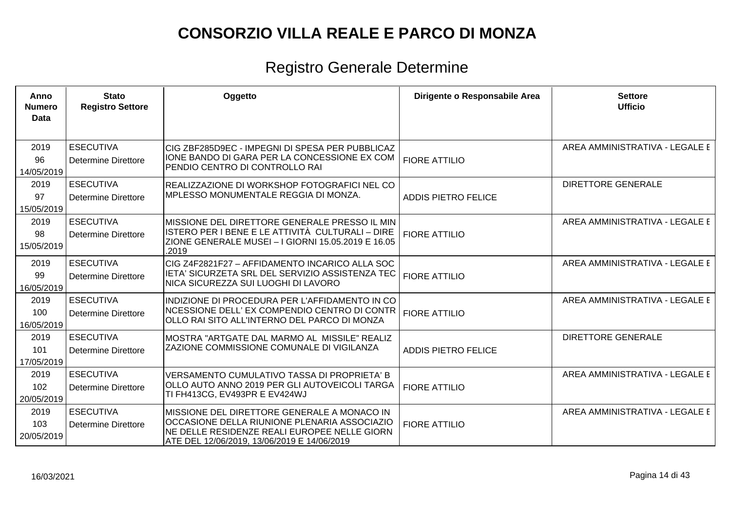| Anno<br>Numero<br>Data    | <b>Stato</b><br><b>Registro Settore</b>        | Oggetto                                                                                                                                                                                    | Dirigente o Responsabile Area | <b>Settore</b><br><b>Ufficio</b> |
|---------------------------|------------------------------------------------|--------------------------------------------------------------------------------------------------------------------------------------------------------------------------------------------|-------------------------------|----------------------------------|
| 2019<br>96<br>14/05/2019  | <b>ESECUTIVA</b><br><b>Determine Direttore</b> | CIG ZBF285D9EC - IMPEGNI DI SPESA PER PUBBLICAZ<br>IONE BANDO DI GARA PER LA CONCESSIONE EX COM<br>PENDIO CENTRO DI CONTROLLO RAI                                                          | <b>FIORE ATTILIO</b>          | AREA AMMINISTRATIVA - LEGALE E   |
| 2019<br>97<br>15/05/2019  | <b>ESECUTIVA</b><br><b>Determine Direttore</b> | REALIZZAZIONE DI WORKSHOP FOTOGRAFICI NEL CO<br><b>IMPLESSO MONUMENTALE REGGIA DI MONZA.</b>                                                                                               | <b>ADDIS PIETRO FELICE</b>    | <b>DIRETTORE GENERALE</b>        |
| 2019<br>98<br>15/05/2019  | <b>ESECUTIVA</b><br><b>Determine Direttore</b> | MISSIONE DEL DIRETTORE GENERALE PRESSO IL MIN<br>ISTERO PER I BENE E LE ATTIVITÀ CULTURALI – DIRE<br>ZIONE GENERALE MUSEI - I GIORNI 15.05.2019 E 16.05<br>.2019                           | <b>FIORE ATTILIO</b>          | AREA AMMINISTRATIVA - LEGALE E   |
| 2019<br>99<br>16/05/2019  | <b>ESECUTIVA</b><br><b>Determine Direttore</b> | CIG Z4F2821F27 - AFFIDAMENTO INCARICO ALLA SOC<br>IETA' SICURZETA SRL DEL SERVIZIO ASSISTENZA TEC<br>NICA SICUREZZA SUI LUOGHI DI LAVORO                                                   | <b>FIORE ATTILIO</b>          | AREA AMMINISTRATIVA - LEGALE E   |
| 2019<br>100<br>16/05/2019 | <b>ESECUTIVA</b><br><b>Determine Direttore</b> | INDIZIONE DI PROCEDURA PER L'AFFIDAMENTO IN CO<br>NCESSIONE DELL' EX COMPENDIO CENTRO DI CONTR<br>OLLO RAI SITO ALL'INTERNO DEL PARCO DI MONZA                                             | <b>FIORE ATTILIO</b>          | AREA AMMINISTRATIVA - LEGALE E   |
| 2019<br>101<br>17/05/2019 | <b>ESECUTIVA</b><br><b>Determine Direttore</b> | MOSTRA "ARTGATE DAL MARMO AL MISSILE" REALIZ<br><b>ZAZIONE COMMISSIONE COMUNALE DI VIGILANZA</b>                                                                                           | <b>ADDIS PIETRO FELICE</b>    | <b>DIRETTORE GENERALE</b>        |
| 2019<br>102<br>20/05/2019 | <b>ESECUTIVA</b><br><b>Determine Direttore</b> | VERSAMENTO CUMULATIVO TASSA DI PROPRIETA' B<br>OLLO AUTO ANNO 2019 PER GLI AUTOVEICOLI TARGA<br>TI FH413CG, EV493PR E EV424WJ                                                              | <b>FIORE ATTILIO</b>          | AREA AMMINISTRATIVA - LEGALE E   |
| 2019<br>103<br>20/05/2019 | <b>ESECUTIVA</b><br><b>Determine Direttore</b> | MISSIONE DEL DIRETTORE GENERALE A MONACO IN<br>OCCASIONE DELLA RIUNIONE PLENARIA ASSOCIAZIO<br>NE DELLE RESIDENZE REALI EUROPEE NELLE GIORN<br>ATE DEL 12/06/2019, 13/06/2019 E 14/06/2019 | <b>FIORE ATTILIO</b>          | AREA AMMINISTRATIVA - LEGALE E   |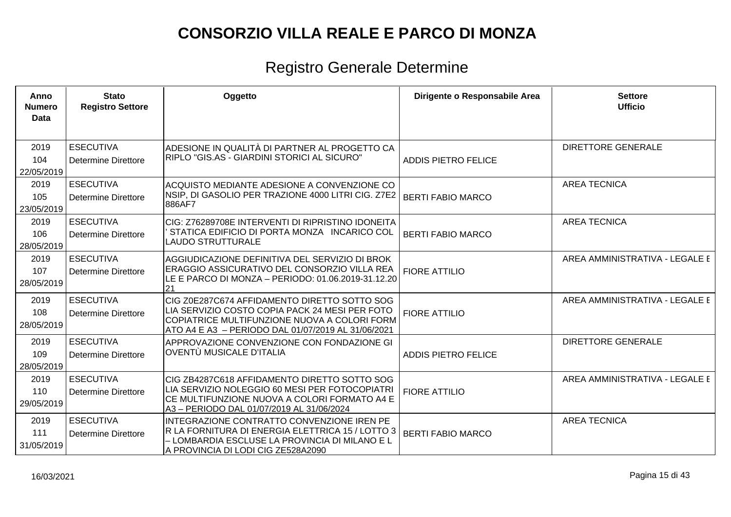| Anno<br><b>Numero</b><br><b>Data</b> | <b>Stato</b><br><b>Registro Settore</b>        | Oggetto                                                                                                                                                                                              | Dirigente o Responsabile Area | <b>Settore</b><br><b>Ufficio</b> |
|--------------------------------------|------------------------------------------------|------------------------------------------------------------------------------------------------------------------------------------------------------------------------------------------------------|-------------------------------|----------------------------------|
| 2019<br>104<br>22/05/2019            | <b>ESECUTIVA</b><br><b>Determine Direttore</b> | ADESIONE IN QUALITÀ DI PARTNER AL PROGETTO CA<br>RIPLO "GIS.AS - GIARDINI STORICI AL SICURO"                                                                                                         | <b>ADDIS PIETRO FELICE</b>    | <b>DIRETTORE GENERALE</b>        |
| 2019<br>105<br>23/05/2019            | <b>ESECUTIVA</b><br><b>Determine Direttore</b> | ACQUISTO MEDIANTE ADESIONE A CONVENZIONE CO<br>NSIP, DI GASOLIO PER TRAZIONE 4000 LITRI CIG. Z7E2<br>886AF7                                                                                          | <b>BERTI FABIO MARCO</b>      | <b>AREA TECNICA</b>              |
| 2019<br>106<br>28/05/2019            | <b>ESECUTIVA</b><br><b>Determine Direttore</b> | CIG: Z76289708E INTERVENTI DI RIPRISTINO IDONEITA<br>STATICA EDIFICIO DI PORTA MONZA INCARICO COL<br><b>LAUDO STRUTTURALE</b>                                                                        | <b>BERTI FABIO MARCO</b>      | <b>AREA TECNICA</b>              |
| 2019<br>107<br>28/05/2019            | <b>ESECUTIVA</b><br><b>Determine Direttore</b> | AGGIUDICAZIONE DEFINITIVA DEL SERVIZIO DI BROK<br>ERAGGIO ASSICURATIVO DEL CONSORZIO VILLA REA<br>LE E PARCO DI MONZA - PERIODO: 01.06.2019-31.12.20<br>21                                           | <b>FIORE ATTILIO</b>          | AREA AMMINISTRATIVA - LEGALE E   |
| 2019<br>108<br>28/05/2019            | <b>ESECUTIVA</b><br><b>Determine Direttore</b> | CIG Z0E287C674 AFFIDAMENTO DIRETTO SOTTO SOG<br>LIA SERVIZIO COSTO COPIA PACK 24 MESI PER FOTO<br>COPIATRICE MULTIFUNZIONE NUOVA A COLORI FORM<br>ATO A4 E A3 - PERIODO DAL 01/07/2019 AL 31/06/2021 | <b>FIORE ATTILIO</b>          | AREA AMMINISTRATIVA - LEGALE E   |
| 2019<br>109<br>28/05/2019            | <b>ESECUTIVA</b><br><b>Determine Direttore</b> | APPROVAZIONE CONVENZIONE CON FONDAZIONE GI<br>OVENTÙ MUSICALE D'ITALIA                                                                                                                               | <b>ADDIS PIETRO FELICE</b>    | <b>DIRETTORE GENERALE</b>        |
| 2019<br>110<br>29/05/2019            | <b>ESECUTIVA</b><br><b>Determine Direttore</b> | CIG ZB4287C618 AFFIDAMENTO DIRETTO SOTTO SOG<br>LIA SERVIZIO NOLEGGIO 60 MESI PER FOTOCOPIATRI<br>CE MULTIFUNZIONE NUOVA A COLORI FORMATO A4 E<br>A3 - PERIODO DAL 01/07/2019 AL 31/06/2024          | <b>FIORE ATTILIO</b>          | AREA AMMINISTRATIVA - LEGALE E   |
| 2019<br>111<br>31/05/2019            | <b>ESECUTIVA</b><br><b>Determine Direttore</b> | INTEGRAZIONE CONTRATTO CONVENZIONE IREN PE<br>R LA FORNITURA DI ENERGIA ELETTRICA 15 / LOTTO 3<br>- LOMBARDIA ESCLUSE LA PROVINCIA DI MILANO E L<br>A PROVINCIA DI LODI CIG ZE528A2090               | <b>BERTI FABIO MARCO</b>      | <b>AREA TECNICA</b>              |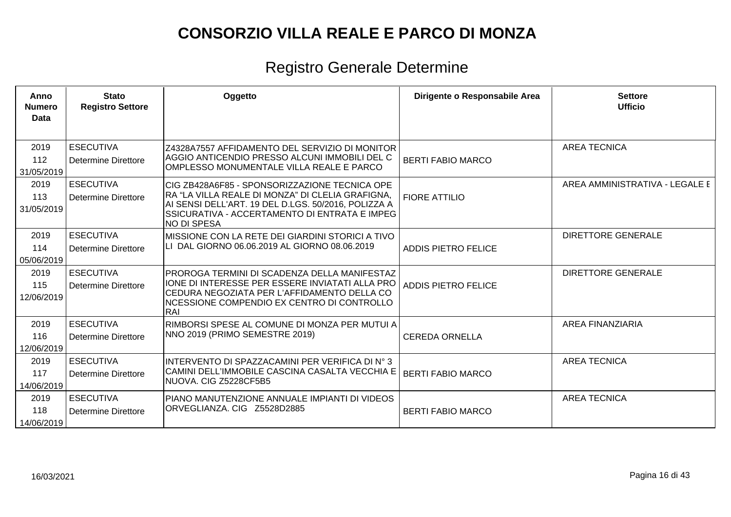| Anno<br><b>Numero</b><br>Data | <b>Stato</b><br><b>Registro Settore</b>        | Oggetto                                                                                                                                                                                                                         | Dirigente o Responsabile Area | <b>Settore</b><br><b>Ufficio</b> |
|-------------------------------|------------------------------------------------|---------------------------------------------------------------------------------------------------------------------------------------------------------------------------------------------------------------------------------|-------------------------------|----------------------------------|
| 2019                          | <b>ESECUTIVA</b>                               | Z4328A7557 AFFIDAMENTO DEL SERVIZIO DI MONITOR<br>AGGIO ANTICENDIO PRESSO ALCUNI IMMOBILI DEL C                                                                                                                                 |                               | <b>AREA TECNICA</b>              |
| 112<br>31/05/2019             | <b>Determine Direttore</b>                     | OMPLESSO MONUMENTALE VILLA REALE E PARCO                                                                                                                                                                                        | <b>BERTI FABIO MARCO</b>      |                                  |
| 2019<br>113<br>31/05/2019     | <b>ESECUTIVA</b><br>Determine Direttore        | CIG ZB428A6F85 - SPONSORIZZAZIONE TECNICA OPE<br>RA "LA VILLA REALE DI MONZA" DI CLELIA GRAFIGNA,<br>AI SENSI DELL'ART. 19 DEL D.LGS. 50/2016, POLIZZA A<br>SSICURATIVA - ACCERTAMENTO DI ENTRATA E IMPEG<br><b>NO DI SPESA</b> | <b>FIORE ATTILIO</b>          | AREA AMMINISTRATIVA - LEGALE E   |
| 2019<br>114<br>05/06/2019     | <b>ESECUTIVA</b><br><b>Determine Direttore</b> | MISSIONE CON LA RETE DEI GIARDINI STORICI A TIVO<br>LI DAL GIORNO 06.06.2019 AL GIORNO 08.06.2019                                                                                                                               | <b>ADDIS PIETRO FELICE</b>    | <b>DIRETTORE GENERALE</b>        |
| 2019<br>115<br>12/06/2019     | <b>ESECUTIVA</b><br><b>Determine Direttore</b> | PROROGA TERMINI DI SCADENZA DELLA MANIFESTAZ<br>IONE DI INTERESSE PER ESSERE INVIATATI ALLA PRO<br>CEDURA NEGOZIATA PER L'AFFIDAMENTO DELLA CO<br>NCESSIONE COMPENDIO EX CENTRO DI CONTROLLO<br>RAI                             | <b>ADDIS PIETRO FELICE</b>    | <b>DIRETTORE GENERALE</b>        |
| 2019<br>116<br>12/06/2019     | <b>ESECUTIVA</b><br><b>Determine Direttore</b> | RIMBORSI SPESE AL COMUNE DI MONZA PER MUTUI A<br>NNO 2019 (PRIMO SEMESTRE 2019)                                                                                                                                                 | <b>CEREDA ORNELLA</b>         | <b>AREA FINANZIARIA</b>          |
| 2019<br>117<br>14/06/2019     | <b>ESECUTIVA</b><br><b>Determine Direttore</b> | INTERVENTO DI SPAZZACAMINI PER VERIFICA DI Nº 3<br>CAMINI DELL'IMMOBILE CASCINA CASALTA VECCHIA E<br>NUOVA. CIG Z5228CF5B5                                                                                                      | <b>BERTI FABIO MARCO</b>      | <b>AREA TECNICA</b>              |
| 2019<br>118<br>14/06/2019     | <b>ESECUTIVA</b><br><b>Determine Direttore</b> | PIANO MANUTENZIONE ANNUALE IMPIANTI DI VIDEOS<br>ORVEGLIANZA. CIG Z5528D2885                                                                                                                                                    | <b>BERTI FABIO MARCO</b>      | <b>AREA TECNICA</b>              |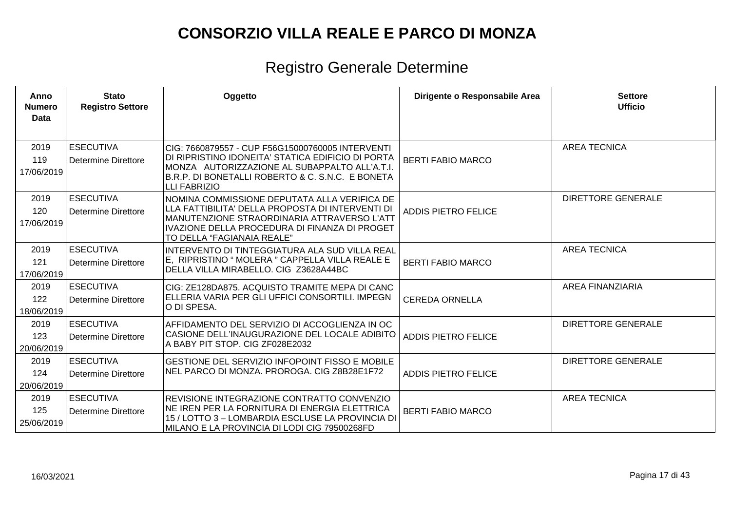| Anno<br><b>Numero</b><br><b>Data</b> | <b>Stato</b><br><b>Registro Settore</b>        | Oggetto                                                                                                                                                                                                                            | Dirigente o Responsabile Area | <b>Settore</b><br><b>Ufficio</b> |
|--------------------------------------|------------------------------------------------|------------------------------------------------------------------------------------------------------------------------------------------------------------------------------------------------------------------------------------|-------------------------------|----------------------------------|
| 2019<br>119<br>17/06/2019            | <b>ESECUTIVA</b><br>Determine Direttore        | ICIG: 7660879557 - CUP F56G15000760005 INTERVENTI<br>DI RIPRISTINO IDONEITA' STATICA EDIFICIO DI PORTA<br>MONZA AUTORIZZAZIONE AL SUBAPPALTO ALL'A.T.I.<br>B.R.P. DI BONETALLI ROBERTO & C. S.N.C. E BONETA<br><b>LLI FABRIZIO</b> | <b>BERTI FABIO MARCO</b>      | <b>AREA TECNICA</b>              |
| 2019<br>120<br>17/06/2019            | <b>ESECUTIVA</b><br>Determine Direttore        | NOMINA COMMISSIONE DEPUTATA ALLA VERIFICA DE<br>LLLA FATTIBILITA' DELLA PROPOSTA DI INTERVENTI DI<br>IMANUTENZIONE STRAORDINARIA ATTRAVERSO L'ATT<br>IVAZIONE DELLA PROCEDURA DI FINANZA DI PROGET<br>TO DELLA "FAGIANAIA REALE"   | <b>ADDIS PIETRO FELICE</b>    | <b>DIRETTORE GENERALE</b>        |
| 2019<br>121<br>17/06/2019            | <b>ESECUTIVA</b><br>Determine Direttore        | INTERVENTO DI TINTEGGIATURA ALA SUD VILLA REAL<br>E. RIPRISTINO " MOLERA " CAPPELLA VILLA REALE E<br>DELLA VILLA MIRABELLO. CIG Z3628A44BC                                                                                         | <b>BERTI FABIO MARCO</b>      | <b>AREA TECNICA</b>              |
| 2019<br>122<br>18/06/2019            | <b>ESECUTIVA</b><br>Determine Direttore        | CIG: ZE128DA875. ACQUISTO TRAMITE MEPA DI CANC<br> ELLERIA VARIA PER GLI UFFICI CONSORTILI. IMPEGN<br>O DI SPESA.                                                                                                                  | <b>CEREDA ORNELLA</b>         | <b>AREA FINANZIARIA</b>          |
| 2019<br>123<br>20/06/2019            | <b>ESECUTIVA</b><br><b>Determine Direttore</b> | AFFIDAMENTO DEL SERVIZIO DI ACCOGLIENZA IN OC<br>CASIONE DELL'INAUGURAZIONE DEL LOCALE ADIBITO<br>A BABY PIT STOP. CIG ZF028E2032                                                                                                  | <b>ADDIS PIETRO FELICE</b>    | <b>DIRETTORE GENERALE</b>        |
| 2019<br>124<br>20/06/2019            | <b>ESECUTIVA</b><br>Determine Direttore        | <b>GESTIONE DEL SERVIZIO INFOPOINT FISSO E MOBILE</b><br>NEL PARCO DI MONZA. PROROGA. CIG Z8B28E1F72                                                                                                                               | <b>ADDIS PIETRO FELICE</b>    | <b>DIRETTORE GENERALE</b>        |
| 2019<br>125<br>25/06/2019            | <b>ESECUTIVA</b><br>Determine Direttore        | REVISIONE INTEGRAZIONE CONTRATTO CONVENZIO<br>NE IREN PER LA FORNITURA DI ENERGIA ELETTRICA<br>15 / LOTTO 3 - LOMBARDIA ESCLUSE LA PROVINCIA DI<br>MILANO E LA PROVINCIA DI LODI CIG 79500268FD                                    | <b>BERTI FABIO MARCO</b>      | <b>AREA TECNICA</b>              |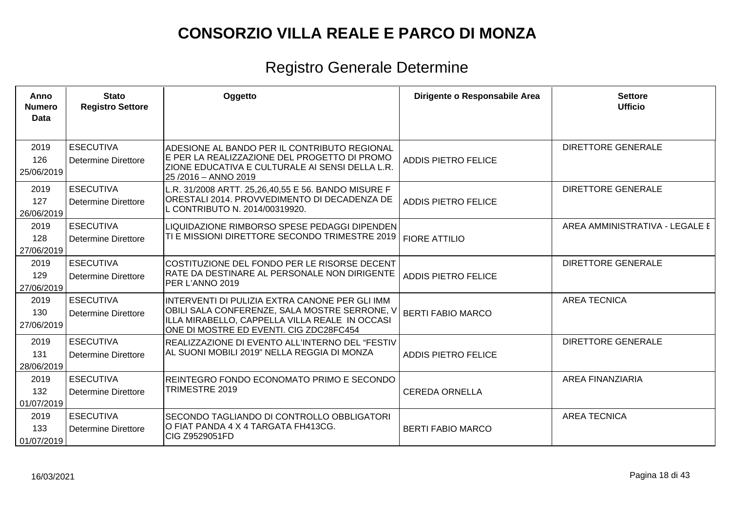| Anno<br><b>Numero</b><br><b>Data</b> | <b>Stato</b><br><b>Registro Settore</b>        | Oggetto                                                                                                                                                                                      | Dirigente o Responsabile Area | <b>Settore</b><br><b>Ufficio</b> |
|--------------------------------------|------------------------------------------------|----------------------------------------------------------------------------------------------------------------------------------------------------------------------------------------------|-------------------------------|----------------------------------|
| 2019<br>126<br>25/06/2019            | <b>ESECUTIVA</b><br>Determine Direttore        | ADESIONE AL BANDO PER IL CONTRIBUTO REGIONAL<br>E PER LA REALIZZAZIONE DEL PROGETTO DI PROMO<br>ZIONE EDUCATIVA E CULTURALE AI SENSI DELLA L.R.<br>25/2016 - ANNO 2019                       | <b>ADDIS PIETRO FELICE</b>    | <b>DIRETTORE GENERALE</b>        |
| 2019<br>127<br>26/06/2019            | <b>ESECUTIVA</b><br>Determine Direttore        | L.R. 31/2008 ARTT. 25,26,40,55 E 56. BANDO MISURE F<br>ORESTALI 2014. PROVVEDIMENTO DI DECADENZA DE<br>L CONTRIBUTO N. 2014/00319920.                                                        | <b>ADDIS PIETRO FELICE</b>    | <b>DIRETTORE GENERALE</b>        |
| 2019<br>128<br>27/06/2019            | <b>ESECUTIVA</b><br>Determine Direttore        | LIQUIDAZIONE RIMBORSO SPESE PEDAGGI DIPENDEN<br>TI E MISSIONI DIRETTORE SECONDO TRIMESTRE 2019                                                                                               | <b>FIORE ATTILIO</b>          | AREA AMMINISTRATIVA - LEGALE E   |
| 2019<br>129<br>27/06/2019            | <b>ESECUTIVA</b><br><b>Determine Direttore</b> | COSTITUZIONE DEL FONDO PER LE RISORSE DECENT<br>RATE DA DESTINARE AL PERSONALE NON DIRIGENTE<br>PER L'ANNO 2019                                                                              | <b>ADDIS PIETRO FELICE</b>    | <b>DIRETTORE GENERALE</b>        |
| 2019<br>130<br>27/06/2019            | <b>ESECUTIVA</b><br>Determine Direttore        | INTERVENTI DI PULIZIA EXTRA CANONE PER GLI IMM<br>OBILI SALA CONFERENZE, SALA MOSTRE SERRONE, V<br>ILLA MIRABELLO, CAPPELLA VILLA REALE IN OCCASI<br>ONE DI MOSTRE ED EVENTI. CIG ZDC28FC454 | <b>BERTI FABIO MARCO</b>      | <b>AREA TECNICA</b>              |
| 2019<br>131<br>28/06/2019            | <b>ESECUTIVA</b><br><b>Determine Direttore</b> | REALIZZAZIONE DI EVENTO ALL'INTERNO DEL "FESTIV<br>AL SUONI MOBILI 2019" NELLA REGGIA DI MONZA                                                                                               | <b>ADDIS PIETRO FELICE</b>    | <b>DIRETTORE GENERALE</b>        |
| 2019<br>132<br>01/07/2019            | <b>ESECUTIVA</b><br><b>Determine Direttore</b> | REINTEGRO FONDO ECONOMATO PRIMO E SECONDO<br>TRIMESTRE 2019                                                                                                                                  | <b>CEREDA ORNELLA</b>         | <b>AREA FINANZIARIA</b>          |
| 2019<br>133<br>01/07/2019            | <b>ESECUTIVA</b><br>Determine Direttore        | SECONDO TAGLIANDO DI CONTROLLO OBBLIGATORI<br>O FIAT PANDA 4 X 4 TARGATA FH413CG.<br>CIG Z9529051FD                                                                                          | <b>BERTI FABIO MARCO</b>      | <b>AREA TECNICA</b>              |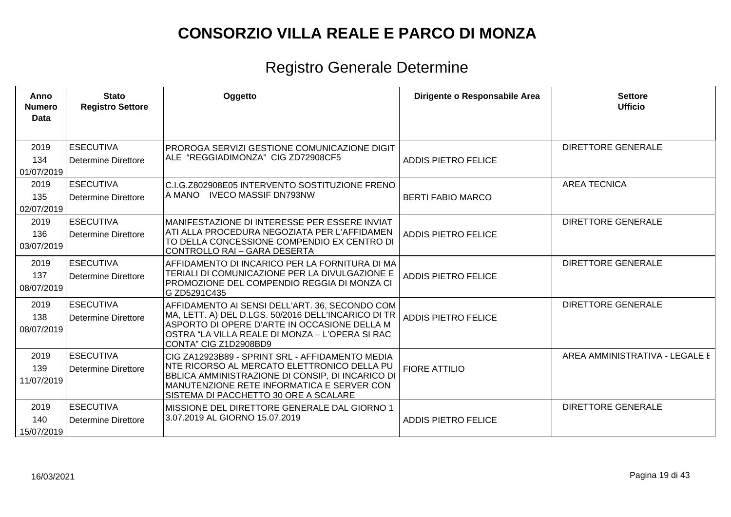| Anno<br><b>Numero</b><br>Data | <b>Stato</b><br><b>Registro Settore</b>        | Oggetto                                                                                                                                                                                                                                   | Dirigente o Responsabile Area | <b>Settore</b><br><b>Ufficio</b> |
|-------------------------------|------------------------------------------------|-------------------------------------------------------------------------------------------------------------------------------------------------------------------------------------------------------------------------------------------|-------------------------------|----------------------------------|
| 2019<br>134<br>01/07/2019     | <b>ESECUTIVA</b><br><b>Determine Direttore</b> | PROROGA SERVIZI GESTIONE COMUNICAZIONE DIGIT<br>ALE "REGGIADIMONZA" CIG ZD72908CF5                                                                                                                                                        | <b>ADDIS PIETRO FELICE</b>    | <b>DIRETTORE GENERALE</b>        |
| 2019<br>135<br>02/07/2019     | <b>ESECUTIVA</b><br><b>Determine Direttore</b> | C.I.G.Z802908E05 INTERVENTO SOSTITUZIONE FRENO<br>A MANO IVECO MASSIF DN793NW                                                                                                                                                             | <b>BERTI FABIO MARCO</b>      | <b>AREA TECNICA</b>              |
| 2019<br>136<br>03/07/2019     | <b>ESECUTIVA</b><br><b>Determine Direttore</b> | MANIFESTAZIONE DI INTERESSE PER ESSERE INVIAT<br>ATI ALLA PROCEDURA NEGOZIATA PER L'AFFIDAMEN<br>TO DELLA CONCESSIONE COMPENDIO EX CENTRO DI<br>CONTROLLO RAI - GARA DESERTA                                                              | <b>ADDIS PIETRO FELICE</b>    | <b>DIRETTORE GENERALE</b>        |
| 2019<br>137<br>08/07/2019     | <b>ESECUTIVA</b><br><b>Determine Direttore</b> | AFFIDAMENTO DI INCARICO PER LA FORNITURA DI MA<br>TERIALI DI COMUNICAZIONE PER LA DIVULGAZIONE E<br>PROMOZIONE DEL COMPENDIO REGGIA DI MONZA CI<br>G ZD5291C435                                                                           | <b>ADDIS PIETRO FELICE</b>    | <b>DIRETTORE GENERALE</b>        |
| 2019<br>138<br>08/07/2019     | <b>ESECUTIVA</b><br><b>Determine Direttore</b> | AFFIDAMENTO AI SENSI DELL'ART. 36, SECONDO COM<br>MA, LETT. A) DEL D.LGS. 50/2016 DELL'INCARICO DI TR<br>ASPORTO DI OPERE D'ARTE IN OCCASIONE DELLA M<br>OSTRA "LA VILLA REALE DI MONZA - L'OPERA SI RAC<br>CONTA" CIG Z1D2908BD9         | <b>ADDIS PIETRO FELICE</b>    | <b>DIRETTORE GENERALE</b>        |
| 2019<br>139<br>11/07/2019     | <b>ESECUTIVA</b><br><b>Determine Direttore</b> | CIG ZA12923B89 - SPRINT SRL - AFFIDAMENTO MEDIA<br>NTE RICORSO AL MERCATO ELETTRONICO DELLA PU<br>BBLICA AMMINISTRAZIONE DI CONSIP, DI INCARICO DI<br>MANUTENZIONE RETE INFORMATICA E SERVER CON<br>SISTEMA DI PACCHETTO 30 ORE A SCALARE | <b>FIORE ATTILIO</b>          | AREA AMMINISTRATIVA - LEGALE E   |
| 2019<br>140<br>15/07/2019     | <b>ESECUTIVA</b><br><b>Determine Direttore</b> | MISSIONE DEL DIRETTORE GENERALE DAL GIORNO 1<br>3.07.2019 AL GIORNO 15.07.2019                                                                                                                                                            | <b>ADDIS PIETRO FELICE</b>    | <b>DIRETTORE GENERALE</b>        |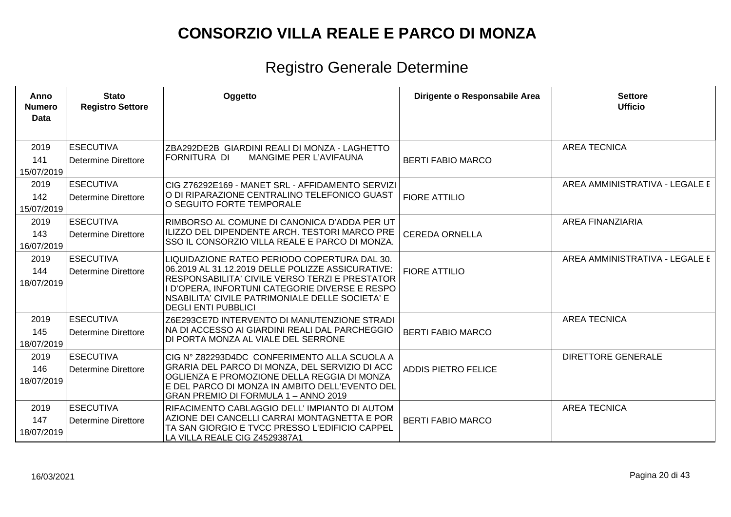| Anno<br><b>Numero</b><br><b>Data</b> | <b>Stato</b><br><b>Registro Settore</b>        | Oggetto                                                                                                                                                                                                                                                                                | Dirigente o Responsabile Area | <b>Settore</b><br><b>Ufficio</b> |
|--------------------------------------|------------------------------------------------|----------------------------------------------------------------------------------------------------------------------------------------------------------------------------------------------------------------------------------------------------------------------------------------|-------------------------------|----------------------------------|
| 2019<br>141<br>15/07/2019            | <b>ESECUTIVA</b><br><b>Determine Direttore</b> | ZBA292DE2B GIARDINI REALI DI MONZA - LAGHETTO<br>FORNITURA DI<br>MANGIME PER L'AVIFAUNA                                                                                                                                                                                                | <b>BERTI FABIO MARCO</b>      | <b>AREA TECNICA</b>              |
| 2019<br>142<br>15/07/2019            | <b>ESECUTIVA</b><br><b>Determine Direttore</b> | CIG Z76292E169 - MANET SRL - AFFIDAMENTO SERVIZI<br>O DI RIPARAZIONE CENTRALINO TELEFONICO GUAST<br>O SEGUITO FORTE TEMPORALE                                                                                                                                                          | <b>FIORE ATTILIO</b>          | AREA AMMINISTRATIVA - LEGALE E   |
| 2019<br>143<br>16/07/2019            | <b>ESECUTIVA</b><br><b>Determine Direttore</b> | RIMBORSO AL COMUNE DI CANONICA D'ADDA PER UT<br>ILIZZO DEL DIPENDENTE ARCH. TESTORI MARCO PRE<br>SSO IL CONSORZIO VILLA REALE E PARCO DI MONZA.                                                                                                                                        | <b>CEREDA ORNELLA</b>         | <b>AREA FINANZIARIA</b>          |
| 2019<br>144<br>18/07/2019            | <b>ESECUTIVA</b><br><b>Determine Direttore</b> | LIQUIDAZIONE RATEO PERIODO COPERTURA DAL 30.<br>06.2019 AL 31.12.2019 DELLE POLIZZE ASSICURATIVE:<br>RESPONSABILITA' CIVILE VERSO TERZI E PRESTATOR<br>I D'OPERA, INFORTUNI CATEGORIE DIVERSE E RESPO<br>NSABILITA' CIVILE PATRIMONIALE DELLE SOCIETA' E<br><b>DEGLI ENTI PUBBLICI</b> | <b>FIORE ATTILIO</b>          | AREA AMMINISTRATIVA - LEGALE E   |
| 2019<br>145<br>18/07/2019            | <b>ESECUTIVA</b><br><b>Determine Direttore</b> | Z6E293CE7D INTERVENTO DI MANUTENZIONE STRADI<br>NA DI ACCESSO AI GIARDINI REALI DAL PARCHEGGIO<br>DI PORTA MONZA AL VIALE DEL SERRONE                                                                                                                                                  | <b>BERTI FABIO MARCO</b>      | <b>AREA TECNICA</b>              |
| 2019<br>146<br>18/07/2019            | <b>ESECUTIVA</b><br><b>Determine Direttore</b> | CIG Nº Z82293D4DC CONFERIMENTO ALLA SCUOLA A<br>GRARIA DEL PARCO DI MONZA, DEL SERVIZIO DI ACC<br>OGLIENZA E PROMOZIONE DELLA REGGIA DI MONZA<br>E DEL PARCO DI MONZA IN AMBITO DELL'EVENTO DEL<br>GRAN PREMIO DI FORMULA 1-ANNO 2019                                                  | <b>ADDIS PIETRO FELICE</b>    | <b>DIRETTORE GENERALE</b>        |
| 2019<br>147<br>18/07/2019            | <b>ESECUTIVA</b><br><b>Determine Direttore</b> | RIFACIMENTO CABLAGGIO DELL' IMPIANTO DI AUTOM<br>AZIONE DEI CANCELLI CARRAI MONTAGNETTA E POR<br>TA SAN GIORGIO E TVCC PRESSO L'EDIFICIO CAPPEL<br>LA VILLA REALE CIG Z4529387A1                                                                                                       | <b>BERTI FABIO MARCO</b>      | <b>AREA TECNICA</b>              |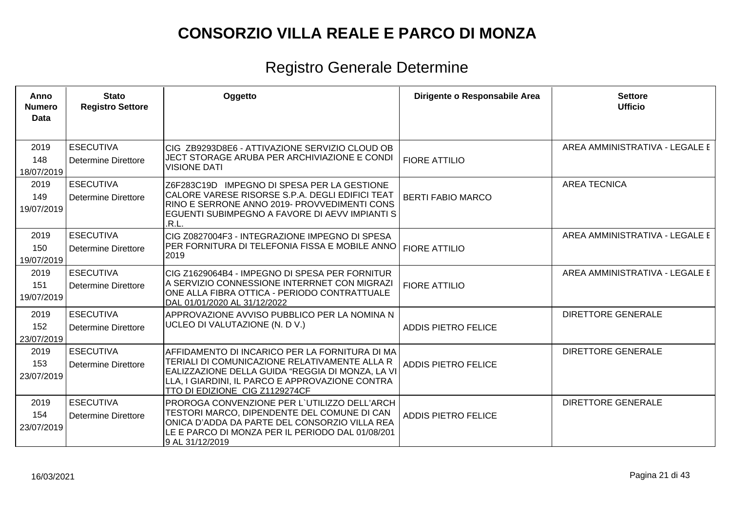| Anno<br><b>Numero</b><br>Data | <b>Stato</b><br><b>Registro Settore</b>        | Oggetto                                                                                                                                                                                                                                  | Dirigente o Responsabile Area | <b>Settore</b><br><b>Ufficio</b> |
|-------------------------------|------------------------------------------------|------------------------------------------------------------------------------------------------------------------------------------------------------------------------------------------------------------------------------------------|-------------------------------|----------------------------------|
| 2019<br>148<br>18/07/2019     | <b>ESECUTIVA</b><br><b>Determine Direttore</b> | CIG ZB9293D8E6 - ATTIVAZIONE SERVIZIO CLOUD OB<br>JECT STORAGE ARUBA PER ARCHIVIAZIONE E CONDI<br><b>VISIONE DATI</b>                                                                                                                    | <b>FIORE ATTILIO</b>          | AREA AMMINISTRATIVA - LEGALE E   |
| 2019<br>149<br>19/07/2019     | <b>ESECUTIVA</b><br><b>Determine Direttore</b> | Z6F283C19D IMPEGNO DI SPESA PER LA GESTIONE<br>CALORE VARESE RISORSE S.P.A. DEGLI EDIFICI TEAT<br>RINO E SERRONE ANNO 2019- PROVVEDIMENTI CONS<br>EGUENTI SUBIMPEGNO A FAVORE DI AEVV IMPIANTI S<br>.R.L.                                | <b>BERTI FABIO MARCO</b>      | <b>AREA TECNICA</b>              |
| 2019<br>150<br>19/07/2019     | <b>ESECUTIVA</b><br><b>Determine Direttore</b> | CIG Z0827004F3 - INTEGRAZIONE IMPEGNO DI SPESA<br>PER FORNITURA DI TELEFONIA FISSA E MOBILE ANNO<br>2019                                                                                                                                 | <b>FIORE ATTILIO</b>          | AREA AMMINISTRATIVA - LEGALE E   |
| 2019<br>151<br>19/07/2019     | <b>ESECUTIVA</b><br><b>Determine Direttore</b> | CIG Z1629064B4 - IMPEGNO DI SPESA PER FORNITUR<br>A SERVIZIO CONNESSIONE INTERRNET CON MIGRAZI<br>ONE ALLA FIBRA OTTICA - PERIODO CONTRATTUALE<br>DAL 01/01/2020 AL 31/12/2022                                                           | <b>FIORE ATTILIO</b>          | AREA AMMINISTRATIVA - LEGALE E   |
| 2019<br>152<br>23/07/2019     | <b>ESECUTIVA</b><br><b>Determine Direttore</b> | APPROVAZIONE AVVISO PUBBLICO PER LA NOMINA N<br>UCLEO DI VALUTAZIONE (N. D V.)                                                                                                                                                           | <b>ADDIS PIETRO FELICE</b>    | <b>DIRETTORE GENERALE</b>        |
| 2019<br>153<br>23/07/2019     | <b>ESECUTIVA</b><br>Determine Direttore        | AFFIDAMENTO DI INCARICO PER LA FORNITURA DI MA<br>TERIALI DI COMUNICAZIONE RELATIVAMENTE ALLA R<br>EALIZZAZIONE DELLA GUIDA "REGGIA DI MONZA, LA VI<br>LLA, I GIARDINI, IL PARCO E APPROVAZIONE CONTRA<br>TTO DI EDIZIONE CIG Z1129274CF | <b>ADDIS PIETRO FELICE</b>    | <b>DIRETTORE GENERALE</b>        |
| 2019<br>154<br>23/07/2019     | <b>ESECUTIVA</b><br><b>Determine Direttore</b> | PROROGA CONVENZIONE PER L'UTILIZZO DELL'ARCH<br>TESTORI MARCO, DIPENDENTE DEL COMUNE DI CAN<br>ONICA D'ADDA DA PARTE DEL CONSORZIO VILLA REA<br>LE E PARCO DI MONZA PER IL PERIODO DAL 01/08/201<br>9 AL 31/12/2019                      | <b>ADDIS PIETRO FELICE</b>    | <b>DIRETTORE GENERALE</b>        |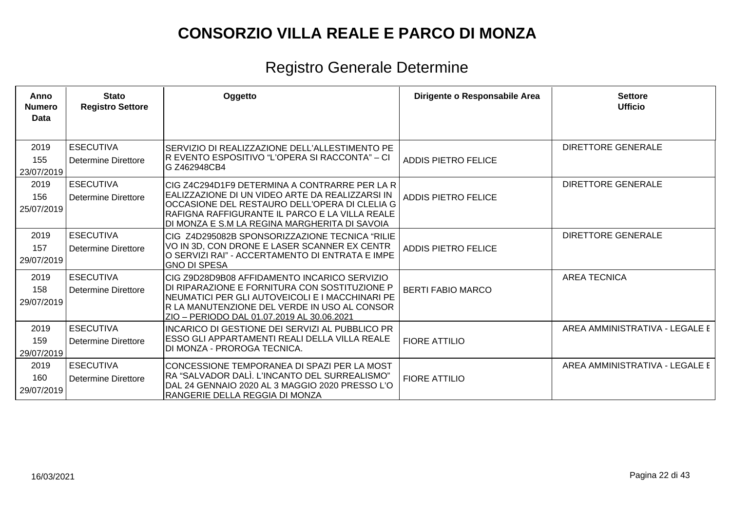| Anno<br><b>Numero</b><br>Data | <b>Stato</b><br><b>Registro Settore</b>        | Oggetto                                                                                                                                                                                                                                              | Dirigente o Responsabile Area | <b>Settore</b><br><b>Ufficio</b> |
|-------------------------------|------------------------------------------------|------------------------------------------------------------------------------------------------------------------------------------------------------------------------------------------------------------------------------------------------------|-------------------------------|----------------------------------|
| 2019<br>155<br>23/07/2019     | <b>ESECUTIVA</b><br><b>Determine Direttore</b> | SERVIZIO DI REALIZZAZIONE DELL'ALLESTIMENTO PE<br> R EVENTO ESPOSITIVO "L'OPERA SI RACCONTA" – CI<br>G Z462948CB4                                                                                                                                    | <b>ADDIS PIETRO FELICE</b>    | <b>DIRETTORE GENERALE</b>        |
| 2019<br>156<br>25/07/2019     | <b>ESECUTIVA</b><br><b>Determine Direttore</b> | CIG Z4C294D1F9 DETERMINA A CONTRARRE PER LA R<br>EALIZZAZIONE DI UN VIDEO ARTE DA REALIZZARSI IN<br>OCCASIONE DEL RESTAURO DELL'OPERA DI CLELIA G<br>RAFIGNA RAFFIGURANTE IL PARCO E LA VILLA REALE<br>DI MONZA E S.M LA REGINA MARGHERITA DI SAVOIA | <b>ADDIS PIETRO FELICE</b>    | <b>DIRETTORE GENERALE</b>        |
| 2019<br>157<br>29/07/2019     | <b>ESECUTIVA</b><br><b>Determine Direttore</b> | CIG Z4D295082B SPONSORIZZAZIONE TECNICA "RILIE<br>VO IN 3D, CON DRONE E LASER SCANNER EX CENTR<br>O SERVIZI RAI" - ACCERTAMENTO DI ENTRATA E IMPE<br><b>GNO DI SPESA</b>                                                                             | <b>ADDIS PIETRO FELICE</b>    | <b>DIRETTORE GENERALE</b>        |
| 2019<br>158<br>29/07/2019     | <b>ESECUTIVA</b><br>Determine Direttore        | CIG Z9D28D9B08 AFFIDAMENTO INCARICO SERVIZIO<br>DI RIPARAZIONE E FORNITURA CON SOSTITUZIONE P<br>NEUMATICI PER GLI AUTOVEICOLI E I MACCHINARI PE<br>IR LA MANUTENZIONE DEL VERDE IN USO AL CONSOR<br>ZIO - PERIODO DAL 01.07.2019 AL 30.06.2021      | <b>BERTI FABIO MARCO</b>      | <b>AREA TECNICA</b>              |
| 2019<br>159<br>29/07/2019     | <b>ESECUTIVA</b><br><b>Determine Direttore</b> | <b>INCARICO DI GESTIONE DEI SERVIZI AL PUBBLICO PR</b><br>ESSO GLI APPARTAMENTI REALI DELLA VILLA REALE<br>DI MONZA - PROROGA TECNICA.                                                                                                               | <b>FIORE ATTILIO</b>          | AREA AMMINISTRATIVA - LEGALE E   |
| 2019<br>160<br>29/07/2019     | <b>ESECUTIVA</b><br><b>Determine Direttore</b> | CONCESSIONE TEMPORANEA DI SPAZI PER LA MOST<br>RA "SALVADOR DALÌ. L'INCANTO DEL SURREALISMO"<br>DAL 24 GENNAIO 2020 AL 3 MAGGIO 2020 PRESSO L'O<br> RANGERIE DELLA REGGIA DI MONZA                                                                   | <b>FIORE ATTILIO</b>          | AREA AMMINISTRATIVA - LEGALE E   |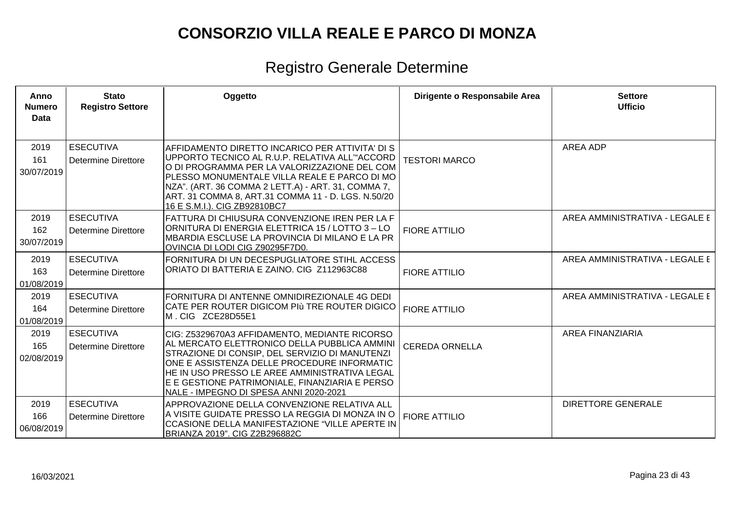| Anno<br><b>Numero</b><br>Data | <b>Stato</b><br><b>Registro Settore</b>        | Oggetto                                                                                                                                                                                                                                                                                                                                       | Dirigente o Responsabile Area | <b>Settore</b><br><b>Ufficio</b> |
|-------------------------------|------------------------------------------------|-----------------------------------------------------------------------------------------------------------------------------------------------------------------------------------------------------------------------------------------------------------------------------------------------------------------------------------------------|-------------------------------|----------------------------------|
| 2019<br>161<br>30/07/2019     | <b>ESECUTIVA</b><br>Determine Direttore        | AFFIDAMENTO DIRETTO INCARICO PER ATTIVITA' DI S<br>UPPORTO TECNICO AL R.U.P. RELATIVA ALL'"ACCORD<br>O DI PROGRAMMA PER LA VALORIZZAZIONE DEL COM<br>PLESSO MONUMENTALE VILLA REALE E PARCO DI MO<br>NZA". (ART. 36 COMMA 2 LETT.A) - ART. 31, COMMA 7,<br>ART. 31 COMMA 8, ART.31 COMMA 11 - D. LGS. N.50/20<br>16 E S.M.I.). CIG ZB92810BC7 | <b>TESTORI MARCO</b>          | AREA ADP                         |
| 2019<br>162<br>30/07/2019     | <b>ESECUTIVA</b><br><b>Determine Direttore</b> | FATTURA DI CHIUSURA CONVENZIONE IREN PER LA F<br>ORNITURA DI ENERGIA ELETTRICA 15 / LOTTO 3 - LO<br>MBARDIA ESCLUSE LA PROVINCIA DI MILANO E LA PR<br>OVINCIA DI LODI CIG Z90295F7D0.                                                                                                                                                         | <b>FIORE ATTILIO</b>          | AREA AMMINISTRATIVA - LEGALE E   |
| 2019<br>163<br>01/08/2019     | <b>ESECUTIVA</b><br><b>Determine Direttore</b> | FORNITURA DI UN DECESPUGLIATORE STIHL ACCESS<br>ORIATO DI BATTERIA E ZAINO. CIG Z112963C88                                                                                                                                                                                                                                                    | <b>FIORE ATTILIO</b>          | AREA AMMINISTRATIVA - LEGALE E   |
| 2019<br>164<br>01/08/2019     | <b>ESECUTIVA</b><br><b>Determine Direttore</b> | FORNITURA DI ANTENNE OMNIDIREZIONALE 4G DEDI<br>CATE PER ROUTER DIGICOM PIÙ TRE ROUTER DIGICO<br>M. CIG ZCE28D55E1                                                                                                                                                                                                                            | <b>FIORE ATTILIO</b>          | AREA AMMINISTRATIVA - LEGALE E   |
| 2019<br>165<br>02/08/2019     | <b>ESECUTIVA</b><br><b>Determine Direttore</b> | CIG: Z5329670A3 AFFIDAMENTO, MEDIANTE RICORSO<br>AL MERCATO ELETTRONICO DELLA PUBBLICA AMMINI<br>STRAZIONE DI CONSIP, DEL SERVIZIO DI MANUTENZI<br>ONE E ASSISTENZA DELLE PROCEDURE INFORMATIC<br>HE IN USO PRESSO LE AREE AMMINISTRATIVA LEGAL<br>E E GESTIONE PATRIMONIALE, FINANZIARIA E PERSO<br>NALE - IMPEGNO DI SPESA ANNI 2020-2021   | <b>CEREDA ORNELLA</b>         | <b>AREA FINANZIARIA</b>          |
| 2019<br>166<br>06/08/2019     | <b>ESECUTIVA</b><br><b>Determine Direttore</b> | APPROVAZIONE DELLA CONVENZIONE RELATIVA ALL<br>A VISITE GUIDATE PRESSO LA REGGIA DI MONZA IN O<br>CCASIONE DELLA MANIFESTAZIONE "VILLE APERTE IN<br>BRIANZA 2019". CIG Z2B296882C                                                                                                                                                             | <b>FIORE ATTILIO</b>          | <b>DIRETTORE GENERALE</b>        |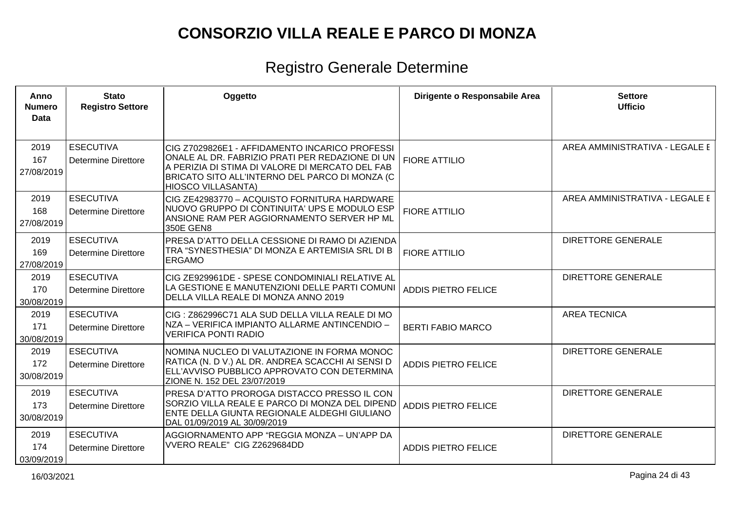| Anno<br><b>Numero</b><br>Data | <b>Stato</b><br><b>Registro Settore</b>        | Oggetto                                                                                                                                                                                                                             | Dirigente o Responsabile Area | <b>Settore</b><br><b>Ufficio</b> |
|-------------------------------|------------------------------------------------|-------------------------------------------------------------------------------------------------------------------------------------------------------------------------------------------------------------------------------------|-------------------------------|----------------------------------|
| 2019<br>167<br>27/08/2019     | <b>ESECUTIVA</b><br><b>Determine Direttore</b> | CIG Z7029826E1 - AFFIDAMENTO INCARICO PROFESSI<br>ONALE AL DR. FABRIZIO PRATI PER REDAZIONE DI UN<br>A PERIZIA DI STIMA DI VALORE DI MERCATO DEL FAB<br>BRICATO SITO ALL'INTERNO DEL PARCO DI MONZA (C<br><b>HIOSCO VILLASANTA)</b> | <b>FIORE ATTILIO</b>          | AREA AMMINISTRATIVA - LEGALE E   |
| 2019<br>168<br>27/08/2019     | <b>ESECUTIVA</b><br><b>Determine Direttore</b> | CIG ZE42983770 - ACQUISTO FORNITURA HARDWARE<br>NUOVO GRUPPO DI CONTINUITA' UPS E MODULO ESP<br>ANSIONE RAM PER AGGIORNAMENTO SERVER HP ML<br>350E GEN8                                                                             | <b>FIORE ATTILIO</b>          | AREA AMMINISTRATIVA - LEGALE E   |
| 2019<br>169<br>27/08/2019     | <b>ESECUTIVA</b><br><b>Determine Direttore</b> | PRESA D'ATTO DELLA CESSIONE DI RAMO DI AZIENDA<br>TRA "SYNESTHESIA" DI MONZA E ARTEMISIA SRL DI B<br><b>ERGAMO</b>                                                                                                                  | <b>FIORE ATTILIO</b>          | <b>DIRETTORE GENERALE</b>        |
| 2019<br>170<br>30/08/2019     | <b>ESECUTIVA</b><br><b>Determine Direttore</b> | CIG ZE929961DE - SPESE CONDOMINIALI RELATIVE AL<br>LA GESTIONE E MANUTENZIONI DELLE PARTI COMUNI<br>DELLA VILLA REALE DI MONZA ANNO 2019                                                                                            | <b>ADDIS PIETRO FELICE</b>    | <b>DIRETTORE GENERALE</b>        |
| 2019<br>171<br>30/08/2019     | <b>ESECUTIVA</b><br><b>Determine Direttore</b> | CIG: Z862996C71 ALA SUD DELLA VILLA REALE DI MO<br>NZA - VERIFICA IMPIANTO ALLARME ANTINCENDIO -<br><b>VERIFICA PONTI RADIO</b>                                                                                                     | <b>BERTI FABIO MARCO</b>      | <b>AREA TECNICA</b>              |
| 2019<br>172<br>30/08/2019     | <b>ESECUTIVA</b><br><b>Determine Direttore</b> | NOMINA NUCLEO DI VALUTAZIONE IN FORMA MONOC<br>RATICA (N. D V.) AL DR. ANDREA SCACCHI AI SENSI D<br>ELL'AVVISO PUBBLICO APPROVATO CON DETERMINA<br>ZIONE N. 152 DEL 23/07/2019                                                      | <b>ADDIS PIETRO FELICE</b>    | <b>DIRETTORE GENERALE</b>        |
| 2019<br>173<br>30/08/2019     | <b>ESECUTIVA</b><br><b>Determine Direttore</b> | PRESA D'ATTO PROROGA DISTACCO PRESSO IL CON<br>SORZIO VILLA REALE E PARCO DI MONZA DEL DIPEND<br>ENTE DELLA GIUNTA REGIONALE ALDEGHI GIULIANO<br>DAL 01/09/2019 AL 30/09/2019                                                       | <b>ADDIS PIETRO FELICE</b>    | DIRETTORE GENERALE               |
| 2019<br>174<br>03/09/2019     | <b>ESECUTIVA</b><br><b>Determine Direttore</b> | AGGIORNAMENTO APP "REGGIA MONZA - UN'APP DA<br>VVERO REALE" CIG Z2629684DD                                                                                                                                                          | <b>ADDIS PIETRO FELICE</b>    | DIRETTORE GENERALE               |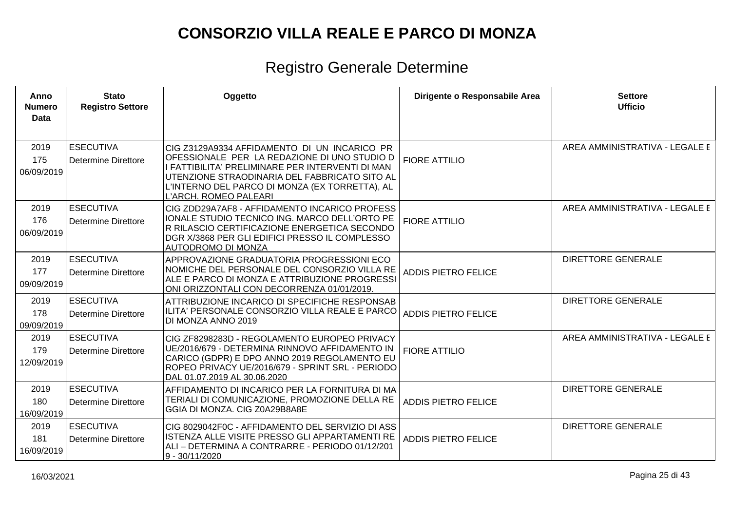| Anno<br><b>Numero</b><br>Data | <b>Stato</b><br><b>Registro Settore</b>        | Oggetto                                                                                                                                                                                                                                                                      | Dirigente o Responsabile Area | <b>Settore</b><br><b>Ufficio</b> |
|-------------------------------|------------------------------------------------|------------------------------------------------------------------------------------------------------------------------------------------------------------------------------------------------------------------------------------------------------------------------------|-------------------------------|----------------------------------|
| 2019<br>175<br>06/09/2019     | <b>ESECUTIVA</b><br><b>Determine Direttore</b> | CIG Z3129A9334 AFFIDAMENTO DI UN INCARICO PR<br>OFESSIONALE PER LA REDAZIONE DI UNO STUDIO D<br>I FATTIBILITA' PRELIMINARE PER INTERVENTI DI MAN<br>UTENZIONE STRAODINARIA DEL FABBRICATO SITO AL<br>L'INTERNO DEL PARCO DI MONZA (EX TORRETTA), AL<br>L'ARCH. ROMEO PALEARI | <b>FIORE ATTILIO</b>          | AREA AMMINISTRATIVA - LEGALE E   |
| 2019<br>176<br>06/09/2019     | <b>ESECUTIVA</b><br><b>Determine Direttore</b> | CIG ZDD29A7AF8 - AFFIDAMENTO INCARICO PROFESS<br>IONALE STUDIO TECNICO ING. MARCO DELL'ORTO PE<br>R RILASCIO CERTIFICAZIONE ENERGETICA SECONDO<br>DGR X/3868 PER GLI EDIFICI PRESSO IL COMPLESSO<br>AUTODROMO DI MONZA                                                       | <b>FIORE ATTILIO</b>          | AREA AMMINISTRATIVA - LEGALE E   |
| 2019<br>177<br>09/09/2019     | <b>ESECUTIVA</b><br><b>Determine Direttore</b> | APPROVAZIONE GRADUATORIA PROGRESSIONI ECO<br>NOMICHE DEL PERSONALE DEL CONSORZIO VILLA RE<br><u>IALE E PARCO DI MONZA E ATTRIBUZIONE PROGRESSI</u><br>ONI ORIZZONTALI CON DECORRENZA 01/01/2019.                                                                             | <b>ADDIS PIETRO FELICE</b>    | <b>DIRETTORE GENERALE</b>        |
| 2019<br>178<br>09/09/2019     | <b>ESECUTIVA</b><br><b>Determine Direttore</b> | ATTRIBUZIONE INCARICO DI SPECIFICHE RESPONSAB<br>ILITA' PERSONALE CONSORZIO VILLA REALE E PARCO<br>DI MONZA ANNO 2019                                                                                                                                                        | <b>ADDIS PIETRO FELICE</b>    | <b>DIRETTORE GENERALE</b>        |
| 2019<br>179<br>12/09/2019     | <b>ESECUTIVA</b><br><b>Determine Direttore</b> | CIG ZF8298283D - REGOLAMENTO EUROPEO PRIVACY<br>UE/2016/679 - DETERMINA RINNOVO AFFIDAMENTO IN<br>CARICO (GDPR) E DPO ANNO 2019 REGOLAMENTO EU<br>ROPEO PRIVACY UE/2016/679 - SPRINT SRL - PERIODO<br>DAL 01.07.2019 AL 30.06.2020                                           | <b>FIORE ATTILIO</b>          | AREA AMMINISTRATIVA - LEGALE E   |
| 2019<br>180<br>16/09/2019     | <b>ESECUTIVA</b><br><b>Determine Direttore</b> | AFFIDAMENTO DI INCARICO PER LA FORNITURA DI MA<br>TERIALI DI COMUNICAZIONE, PROMOZIONE DELLA RE<br>GGIA DI MONZA. CIG Z0A29B8A8E                                                                                                                                             | <b>ADDIS PIETRO FELICE</b>    | <b>DIRETTORE GENERALE</b>        |
| 2019<br>181<br>16/09/2019     | <b>ESECUTIVA</b><br><b>Determine Direttore</b> | CIG 8029042F0C - AFFIDAMENTO DEL SERVIZIO DI ASS<br>ISTENZA ALLE VISITE PRESSO GLI APPARTAMENTI RE<br> ALI – DETERMINA A CONTRARRE - PERIODO 01/12/201<br>9 - 30/11/2020                                                                                                     | <b>ADDIS PIETRO FELICE</b>    | <b>DIRETTORE GENERALE</b>        |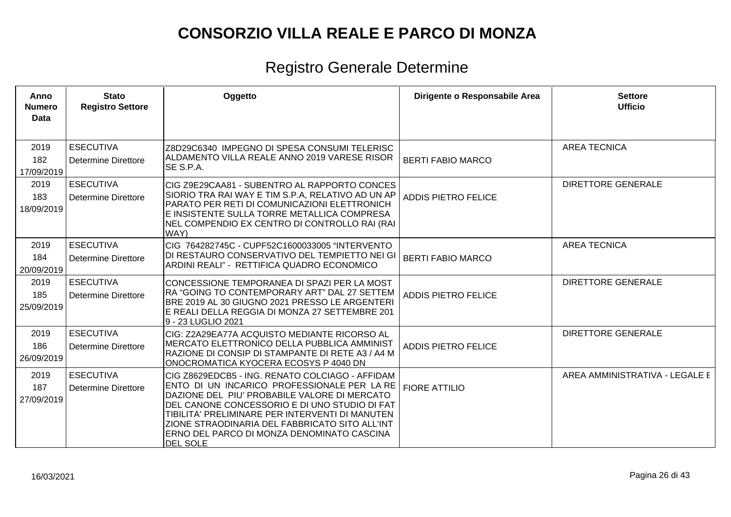| Anno<br><b>Numero</b><br><b>Data</b> | <b>Stato</b><br><b>Registro Settore</b>        | Oggetto                                                                                                                                                                                                                                                                                                                                                               | Dirigente o Responsabile Area | <b>Settore</b><br><b>Ufficio</b> |
|--------------------------------------|------------------------------------------------|-----------------------------------------------------------------------------------------------------------------------------------------------------------------------------------------------------------------------------------------------------------------------------------------------------------------------------------------------------------------------|-------------------------------|----------------------------------|
| 2019<br>182<br>17/09/2019            | <b>ESECUTIVA</b><br><b>Determine Direttore</b> | Z8D29C6340 IMPEGNO DI SPESA CONSUMI TELERISC<br> ALDAMENTO VILLA REALE ANNO 2019 VARESE RISOR<br>SE S.P.A.                                                                                                                                                                                                                                                            | <b>BERTI FABIO MARCO</b>      | <b>AREA TECNICA</b>              |
| 2019<br>183<br>18/09/2019            | <b>ESECUTIVA</b><br><b>Determine Direttore</b> | CIG Z9E29CAA81 - SUBENTRO AL RAPPORTO CONCES<br>SIORIO TRA RAI WAY E TIM S.P.A, RELATIVO AD UN AP<br>PARATO PER RETI DI COMUNICAZIONI ELETTRONICH<br>E INSISTENTE SULLA TORRE METALLICA COMPRESA<br>NEL COMPENDIO EX CENTRO DI CONTROLLO RAI (RAI<br>WAY)                                                                                                             | <b>ADDIS PIETRO FELICE</b>    | <b>DIRETTORE GENERALE</b>        |
| 2019<br>184<br>20/09/2019            | <b>ESECUTIVA</b><br><b>Determine Direttore</b> | CIG 764282745C - CUPF52C1600033005 "INTERVENTO<br>DI RESTAURO CONSERVATIVO DEL TEMPIETTO NEI GI<br>ARDINI REALI" - RETTIFICA QUADRO ECONOMICO                                                                                                                                                                                                                         | <b>BERTI FABIO MARCO</b>      | <b>AREA TECNICA</b>              |
| 2019<br>185<br>25/09/2019            | <b>ESECUTIVA</b><br><b>Determine Direttore</b> | CONCESSIONE TEMPORANEA DI SPAZI PER LA MOST<br>RA "GOING TO CONTEMPORARY ART" DAL 27 SETTEM<br>BRE 2019 AL 30 GIUGNO 2021 PRESSO LE ARGENTERI<br>E REALI DELLA REGGIA DI MONZA 27 SETTEMBRE 201<br>9 - 23 LUGLIO 2021                                                                                                                                                 | <b>ADDIS PIETRO FELICE</b>    | <b>DIRETTORE GENERALE</b>        |
| 2019<br>186<br>26/09/2019            | <b>ESECUTIVA</b><br><b>Determine Direttore</b> | CIG: Z2A29EA77A ACQUISTO MEDIANTE RICORSO AL<br>MERCATO ELETTRONICO DELLA PUBBLICA AMMINIST<br>RAZIONE DI CONSIP DI STAMPANTE DI RETE A3 / A4 M<br>ONOCROMATICA KYOCERA ECOSYS P 4040 DN                                                                                                                                                                              | <b>ADDIS PIETRO FELICE</b>    | <b>DIRETTORE GENERALE</b>        |
| 2019<br>187<br>27/09/2019            | <b>ESECUTIVA</b><br><b>Determine Direttore</b> | CIG Z8629EDCB5 - ING. RENATO COLCIAGO - AFFIDAM<br>ENTO DI UN INCARICO PROFESSIONALE PER LA RE<br>DAZIONE DEL PIU' PROBABILE VALORE DI MERCATO<br>DEL CANONE CONCESSORIO E DI UNO STUDIO DI FAT<br>TIBILITA' PRELIMINARE PER INTERVENTI DI MANUTEN<br>ZIONE STRAODINARIA DEL FABBRICATO SITO ALL'INT<br>ERNO DEL PARCO DI MONZA DENOMINATO CASCINA<br><b>DEL SOLE</b> | <b>FIORE ATTILIO</b>          | AREA AMMINISTRATIVA - LEGALE E   |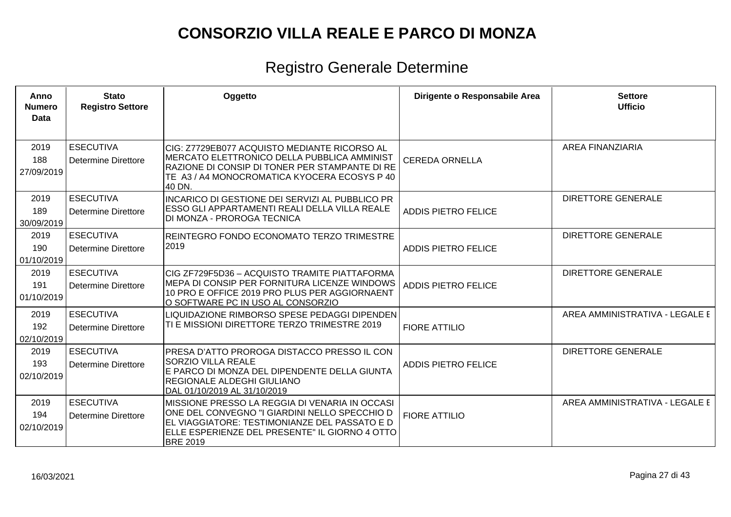| Anno<br><b>Numero</b><br><b>Data</b> | <b>Stato</b><br><b>Registro Settore</b>        | Oggetto                                                                                                                                                                                                               | Dirigente o Responsabile Area | <b>Settore</b><br><b>Ufficio</b> |
|--------------------------------------|------------------------------------------------|-----------------------------------------------------------------------------------------------------------------------------------------------------------------------------------------------------------------------|-------------------------------|----------------------------------|
| 2019<br>188<br>27/09/2019            | <b>ESECUTIVA</b><br><b>Determine Direttore</b> | CIG: Z7729EB077 ACQUISTO MEDIANTE RICORSO AL<br>MERCATO ELETTRONICO DELLA PUBBLICA AMMINIST<br>RAZIONE DI CONSIP DI TONER PER STAMPANTE DI RE<br>TE A3 / A4 MONOCROMATICA KYOCERA ECOSYS P 40<br>40 DN.               | <b>CEREDA ORNELLA</b>         | <b>AREA FINANZIARIA</b>          |
| 2019<br>189<br>30/09/2019            | <b>ESECUTIVA</b><br><b>Determine Direttore</b> | INCARICO DI GESTIONE DEI SERVIZI AL PUBBLICO PR<br>ESSO GLI APPARTAMENTI REALI DELLA VILLA REALE<br>DI MONZA - PROROGA TECNICA                                                                                        | <b>ADDIS PIETRO FELICE</b>    | <b>DIRETTORE GENERALE</b>        |
| 2019<br>190<br>01/10/2019            | <b>ESECUTIVA</b><br><b>Determine Direttore</b> | REINTEGRO FONDO ECONOMATO TERZO TRIMESTRE<br>2019                                                                                                                                                                     | <b>ADDIS PIETRO FELICE</b>    | <b>DIRETTORE GENERALE</b>        |
| 2019<br>191<br>01/10/2019            | <b>ESECUTIVA</b><br>Determine Direttore        | CIG ZF729F5D36 - ACQUISTO TRAMITE PIATTAFORMA<br>MEPA DI CONSIP PER FORNITURA LICENZE WINDOWS<br>10 PRO E OFFICE 2019 PRO PLUS PER AGGIORNAENT<br>O SOFTWARE PC IN USO AL CONSORZIO                                   | <b>ADDIS PIETRO FELICE</b>    | <b>DIRETTORE GENERALE</b>        |
| 2019<br>192<br>02/10/2019            | <b>ESECUTIVA</b><br>Determine Direttore        | LIQUIDAZIONE RIMBORSO SPESE PEDAGGI DIPENDEN<br>TI E MISSIONI DIRETTORE TERZO TRIMESTRE 2019                                                                                                                          | <b>FIORE ATTILIO</b>          | AREA AMMINISTRATIVA - LEGALE E   |
| 2019<br>193<br>02/10/2019            | <b>ESECUTIVA</b><br>Determine Direttore        | PRESA D'ATTO PROROGA DISTACCO PRESSO IL CON<br><b>SORZIO VILLA REALE</b><br>E PARCO DI MONZA DEL DIPENDENTE DELLA GIUNTA<br><b>REGIONALE ALDEGHI GIULIANO</b><br>DAL 01/10/2019 AL 31/10/2019                         | <b>ADDIS PIETRO FELICE</b>    | <b>DIRETTORE GENERALE</b>        |
| 2019<br>194<br>02/10/2019            | <b>ESECUTIVA</b><br><b>Determine Direttore</b> | MISSIONE PRESSO LA REGGIA DI VENARIA IN OCCASI<br>ONE DEL CONVEGNO "I GIARDINI NELLO SPECCHIO D<br>EL VIAGGIATORE: TESTIMONIANZE DEL PASSATO E D<br>ELLE ESPERIENZE DEL PRESENTE" IL GIORNO 4 OTTO<br><b>BRE 2019</b> | <b>FIORE ATTILIO</b>          | AREA AMMINISTRATIVA - LEGALE E   |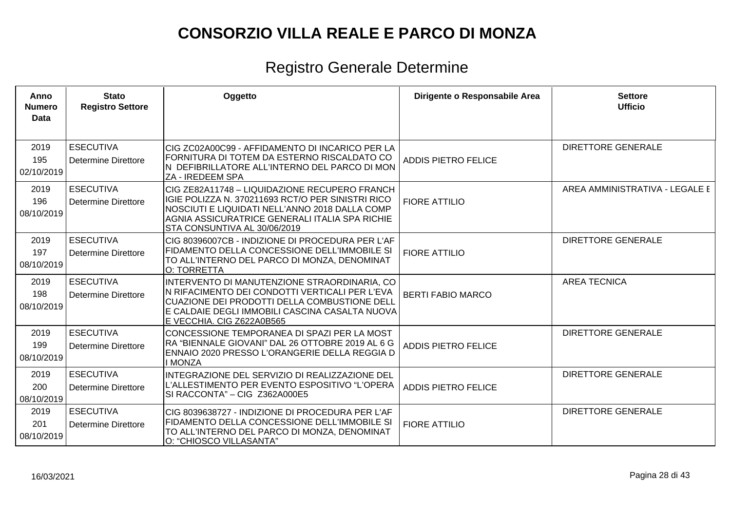| Anno<br><b>Numero</b><br><b>Data</b> | <b>Stato</b><br><b>Registro Settore</b>        | Oggetto                                                                                                                                                                                                                                | Dirigente o Responsabile Area | <b>Settore</b><br><b>Ufficio</b> |
|--------------------------------------|------------------------------------------------|----------------------------------------------------------------------------------------------------------------------------------------------------------------------------------------------------------------------------------------|-------------------------------|----------------------------------|
| 2019<br>195<br>02/10/2019            | <b>ESECUTIVA</b><br><b>Determine Direttore</b> | CIG ZC02A00C99 - AFFIDAMENTO DI INCARICO PER LA<br>FORNITURA DI TOTEM DA ESTERNO RISCALDATO CO<br>N DEFIBRILLATORE ALL'INTERNO DEL PARCO DI MON<br>ZA - IREDEEM SPA                                                                    | <b>ADDIS PIETRO FELICE</b>    | <b>DIRETTORE GENERALE</b>        |
| 2019<br>196<br>08/10/2019            | <b>ESECUTIVA</b><br><b>Determine Direttore</b> | CIG ZE82A11748 - LIQUIDAZIONE RECUPERO FRANCH<br>IGIE POLIZZA N. 370211693 RCT/O PER SINISTRI RICO<br>NOSCIUTI E LIQUIDATI NELL'ANNO 2018 DALLA COMP<br>AGNIA ASSICURATRICE GENERALI ITALIA SPA RICHIE<br>STA CONSUNTIVA AL 30/06/2019 | <b>FIORE ATTILIO</b>          | AREA AMMINISTRATIVA - LEGALE E   |
| 2019<br>197<br>08/10/2019            | <b>ESECUTIVA</b><br><b>Determine Direttore</b> | CIG 80396007CB - INDIZIONE DI PROCEDURA PER L'AF<br>FIDAMENTO DELLA CONCESSIONE DELL'IMMOBILE SI<br>TO ALL'INTERNO DEL PARCO DI MONZA, DENOMINAT<br>O: TORRETTA                                                                        | <b>FIORE ATTILIO</b>          | <b>DIRETTORE GENERALE</b>        |
| 2019<br>198<br>08/10/2019            | <b>ESECUTIVA</b><br><b>Determine Direttore</b> | INTERVENTO DI MANUTENZIONE STRAORDINARIA, CO<br>N RIFACIMENTO DEI CONDOTTI VERTICALI PER L'EVA<br>CUAZIONE DEI PRODOTTI DELLA COMBUSTIONE DELL<br>E CALDAIE DEGLI IMMOBILI CASCINA CASALTA NUOVA<br>E VECCHIA. CIG Z622A0B565          | <b>BERTI FABIO MARCO</b>      | <b>AREA TECNICA</b>              |
| 2019<br>199<br>08/10/2019            | <b>ESECUTIVA</b><br><b>Determine Direttore</b> | CONCESSIONE TEMPORANEA DI SPAZI PER LA MOST<br>RA "BIENNALE GIOVANI" DAL 26 OTTOBRE 2019 AL 6 G<br>ENNAIO 2020 PRESSO L'ORANGERIE DELLA REGGIA D<br>I MONZA                                                                            | <b>ADDIS PIETRO FELICE</b>    | <b>DIRETTORE GENERALE</b>        |
| 2019<br>200<br>08/10/2019            | <b>ESECUTIVA</b><br>Determine Direttore        | INTEGRAZIONE DEL SERVIZIO DI REALIZZAZIONE DEL<br>L'ALLESTIMENTO PER EVENTO ESPOSITIVO "L'OPERA<br>SI RACCONTA" - CIG Z362A000E5                                                                                                       | <b>ADDIS PIETRO FELICE</b>    | <b>DIRETTORE GENERALE</b>        |
| 2019<br>201<br>08/10/2019            | <b>ESECUTIVA</b><br><b>Determine Direttore</b> | CIG 8039638727 - INDIZIONE DI PROCEDURA PER L'AF<br>FIDAMENTO DELLA CONCESSIONE DELL'IMMOBILE SI<br>TO ALL'INTERNO DEL PARCO DI MONZA, DENOMINAT<br>O: "CHIOSCO VILLASANTA"                                                            | <b>FIORE ATTILIO</b>          | <b>DIRETTORE GENERALE</b>        |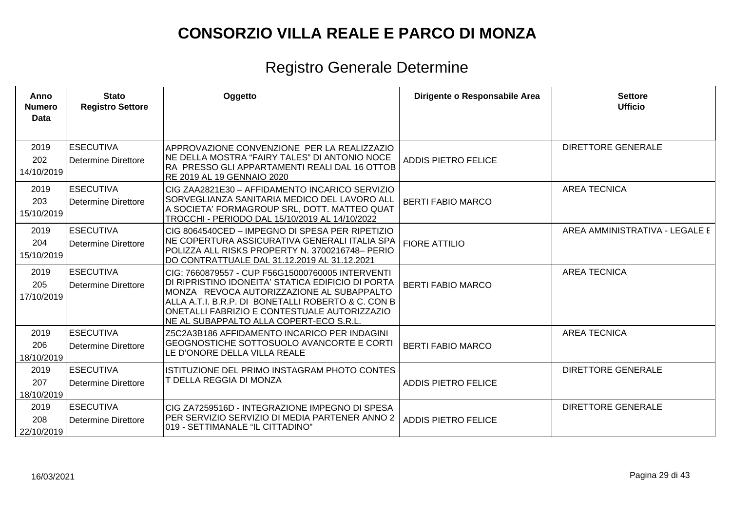| Anno<br><b>Numero</b><br><b>Data</b> | <b>Stato</b><br><b>Registro Settore</b>        | Oggetto                                                                                                                                                                                                                                                                                               | Dirigente o Responsabile Area | <b>Settore</b><br><b>Ufficio</b> |
|--------------------------------------|------------------------------------------------|-------------------------------------------------------------------------------------------------------------------------------------------------------------------------------------------------------------------------------------------------------------------------------------------------------|-------------------------------|----------------------------------|
| 2019<br>202<br>14/10/2019            | <b>ESECUTIVA</b><br><b>Determine Direttore</b> | APPROVAZIONE CONVENZIONE PER LA REALIZZAZIO<br>NE DELLA MOSTRA "FAIRY TALES" DI ANTONIO NOCE<br>IRA PRESSO GLI APPARTAMENTI REALI DAL 16 OTTOB<br>RE 2019 AL 19 GENNAIO 2020                                                                                                                          | <b>ADDIS PIETRO FELICE</b>    | <b>DIRETTORE GENERALE</b>        |
| 2019<br>203<br>15/10/2019            | <b>ESECUTIVA</b><br><b>Determine Direttore</b> | ICIG ZAA2821E30 – AFFIDAMENTO INCARICO SERVIZIO<br>SORVEGLIANZA SANITARIA MEDICO DEL LAVORO ALL<br>A SOCIETA' FORMAGROUP SRL, DOTT. MATTEO QUAT<br>TROCCHI - PERIODO DAL 15/10/2019 AL 14/10/2022                                                                                                     | <b>BERTI FABIO MARCO</b>      | <b>AREA TECNICA</b>              |
| 2019<br>204<br>15/10/2019            | <b>ESECUTIVA</b><br>Determine Direttore        | CIG 8064540CED – IMPEGNO DI SPESA PER RIPETIZIO<br>NE COPERTURA ASSICURATIVA GENERALI ITALIA SPA<br>POLIZZA ALL RISKS PROPERTY N. 3700216748- PERIO<br>DO CONTRATTUALE DAL 31.12.2019 AL 31.12.2021                                                                                                   | <b>FIORE ATTILIO</b>          | AREA AMMINISTRATIVA - LEGALE E   |
| 2019<br>205<br>17/10/2019            | <b>ESECUTIVA</b><br><b>Determine Direttore</b> | CIG: 7660879557 - CUP F56G15000760005 INTERVENTI<br>DI RIPRISTINO IDONEITA' STATICA EDIFICIO DI PORTA<br>IMONZA   REVOCA AUTORIZZAZIONE AL SUBAPPALTO<br>ALLA A.T.I. B.R.P. DI BONETALLI ROBERTO & C. CON B<br>ONETALLI FABRIZIO E CONTESTUALE AUTORIZZAZIO<br>NE AL SUBAPPALTO ALLA COPERT-ECO S.R.L | <b>BERTI FABIO MARCO</b>      | <b>AREA TECNICA</b>              |
| 2019<br>206<br>18/10/2019            | <b>ESECUTIVA</b><br><b>Determine Direttore</b> | Z5C2A3B186 AFFIDAMENTO INCARICO PER INDAGINI<br>GEOGNOSTICHE SOTTOSUOLO AVANCORTE E CORTI<br>LE D'ONORE DELLA VILLA REALE                                                                                                                                                                             | <b>BERTI FABIO MARCO</b>      | <b>AREA TECNICA</b>              |
| 2019<br>207<br>18/10/2019            | <b>ESECUTIVA</b><br><b>Determine Direttore</b> | IISTITUZIONE DEL PRIMO INSTAGRAM PHOTO CONTES<br>T DELLA REGGIA DI MONZA                                                                                                                                                                                                                              | <b>ADDIS PIETRO FELICE</b>    | <b>DIRETTORE GENERALE</b>        |
| 2019<br>208<br>22/10/2019            | <b>ESECUTIVA</b><br><b>Determine Direttore</b> | ICIG ZA7259516D - INTEGRAZIONE IMPEGNO DI SPESA<br>PER SERVIZIO SERVIZIO DI MEDIA PARTENER ANNO 2<br>019 - SETTIMANALE "IL CITTADINO"                                                                                                                                                                 | <b>ADDIS PIETRO FELICE</b>    | <b>DIRETTORE GENERALE</b>        |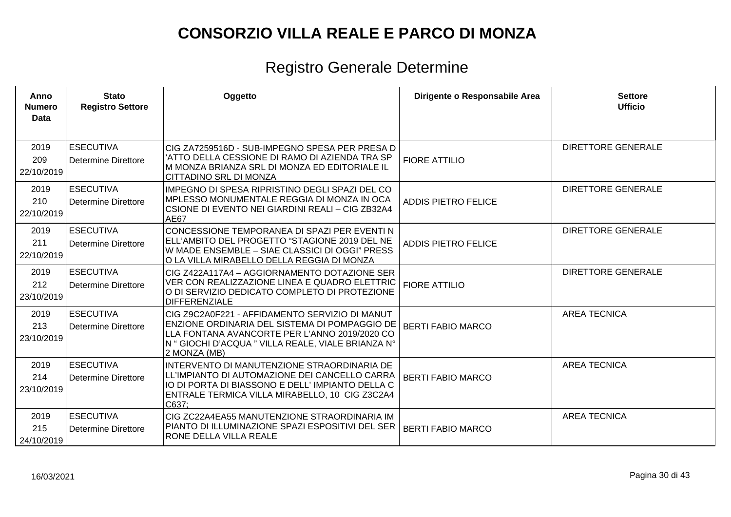| Anno<br><b>Numero</b><br>Data | <b>Stato</b><br><b>Registro Settore</b> | Oggetto                                                                                                                                                                                                                | Dirigente o Responsabile Area | <b>Settore</b><br><b>Ufficio</b> |
|-------------------------------|-----------------------------------------|------------------------------------------------------------------------------------------------------------------------------------------------------------------------------------------------------------------------|-------------------------------|----------------------------------|
| 2019<br>209<br>22/10/2019     | <b>ESECUTIVA</b><br>Determine Direttore | CIG ZA7259516D - SUB-IMPEGNO SPESA PER PRESA D<br>'ATTO DELLA CESSIONE DI RAMO DI AZIENDA TRA SP<br>M MONZA BRIANZA SRL DI MONZA ED EDITORIALE IL<br>CITTADINO SRL DI MONZA                                            | <b>FIORE ATTILIO</b>          | <b>DIRETTORE GENERALE</b>        |
| 2019<br>210<br>22/10/2019     | <b>ESECUTIVA</b><br>Determine Direttore | IMPEGNO DI SPESA RIPRISTINO DEGLI SPAZI DEL CO<br><b>IMPLESSO MONUMENTALE REGGIA DI MONZA IN OCA</b><br>CSIONE DI EVENTO NEI GIARDINI REALI – CIG ZB32A4<br>AE67                                                       | <b>ADDIS PIETRO FELICE</b>    | <b>DIRETTORE GENERALE</b>        |
| 2019<br>211<br>22/10/2019     | <b>ESECUTIVA</b><br>Determine Direttore | CONCESSIONE TEMPORANEA DI SPAZI PER EVENTI N<br>ELL'AMBITO DEL PROGETTO "STAGIONE 2019 DEL NE<br>W MADE ENSEMBLE – SIAE CLASSICI DI OGGI" PRESS<br>O LA VILLA MIRABELLO DELLA REGGIA DI MONZA                          | <b>ADDIS PIETRO FELICE</b>    | <b>DIRETTORE GENERALE</b>        |
| 2019<br>212<br>23/10/2019     | <b>ESECUTIVA</b><br>Determine Direttore | CIG Z422A117A4 - AGGIORNAMENTO DOTAZIONE SER<br>VER CON REALIZZAZIONE LINEA E QUADRO ELETTRIC<br>O DI SERVIZIO DEDICATO COMPLETO DI PROTEZIONE<br><b>DIFFERENZIALE</b>                                                 | <b>FIORE ATTILIO</b>          | <b>DIRETTORE GENERALE</b>        |
| 2019<br>213<br>23/10/2019     | <b>ESECUTIVA</b><br>Determine Direttore | CIG Z9C2A0F221 - AFFIDAMENTO SERVIZIO DI MANUT<br>ENZIONE ORDINARIA DEL SISTEMA DI POMPAGGIO DE<br>LLA FONTANA AVANCORTE PER L'ANNO 2019/2020 CO<br>N " GIOCHI D'ACQUA " VILLA REALE, VIALE BRIANZA N°<br>2 MONZA (MB) | <b>BERTI FABIO MARCO</b>      | <b>AREA TECNICA</b>              |
| 2019<br>214<br>23/10/2019     | <b>ESECUTIVA</b><br>Determine Direttore | INTERVENTO DI MANUTENZIONE STRAORDINARIA DE<br>LL'IMPIANTO DI AUTOMAZIONE DEI CANCELLO CARRA<br>IO DI PORTA DI BIASSONO E DELL'IMPIANTO DELLA C<br>ENTRALE TERMICA VILLA MIRABELLO, 10 CIG Z3C2A4<br>C637;             | <b>BERTI FABIO MARCO</b>      | <b>AREA TECNICA</b>              |
| 2019<br>215<br>24/10/2019     | <b>ESECUTIVA</b><br>Determine Direttore | CIG ZC22A4EA55 MANUTENZIONE STRAORDINARIA IM<br>PIANTO DI ILLUMINAZIONE SPAZI ESPOSITIVI DEL SER<br><b>RONE DELLA VILLA REALE</b>                                                                                      | <b>BERTI FABIO MARCO</b>      | <b>AREA TECNICA</b>              |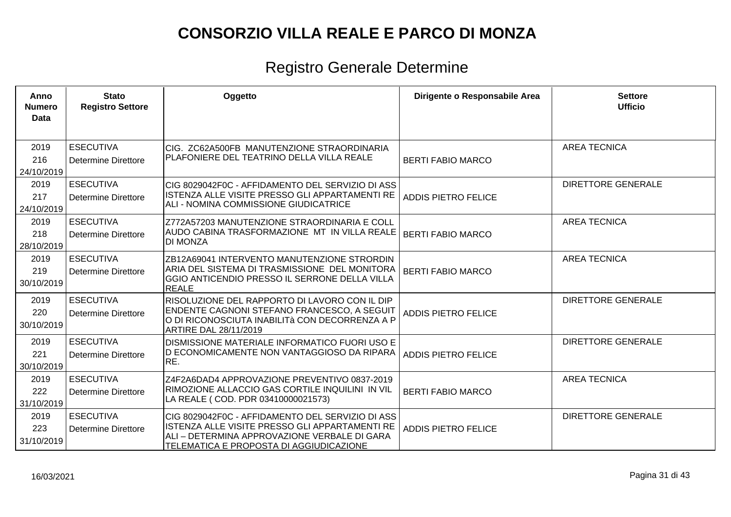| Anno<br><b>Numero</b><br>Data | <b>Stato</b><br><b>Registro Settore</b>        | Oggetto                                                                                                                                                                                       | Dirigente o Responsabile Area | <b>Settore</b><br><b>Ufficio</b> |
|-------------------------------|------------------------------------------------|-----------------------------------------------------------------------------------------------------------------------------------------------------------------------------------------------|-------------------------------|----------------------------------|
| 2019<br>216<br>24/10/2019     | <b>ESECUTIVA</b><br><b>Determine Direttore</b> | CIG. ZC62A500FB MANUTENZIONE STRAORDINARIA<br>PLAFONIERE DEL TEATRINO DELLA VILLA REALE                                                                                                       | <b>BERTI FABIO MARCO</b>      | <b>AREA TECNICA</b>              |
| 2019<br>217<br>24/10/2019     | <b>ESECUTIVA</b><br>Determine Direttore        | CIG 8029042F0C - AFFIDAMENTO DEL SERVIZIO DI ASS<br>ISTENZA ALLE VISITE PRESSO GLI APPARTAMENTI RE<br>ALI - NOMINA COMMISSIONE GIUDICATRICE                                                   | <b>ADDIS PIETRO FELICE</b>    | <b>DIRETTORE GENERALE</b>        |
| 2019<br>218<br>28/10/2019     | <b>ESECUTIVA</b><br>Determine Direttore        | Z772A57203 MANUTENZIONE STRAORDINARIA E COLL<br>AUDO CABINA TRASFORMAZIONE MT IN VILLA REALE<br><b>DI MONZA</b>                                                                               | <b>BERTI FABIO MARCO</b>      | <b>AREA TECNICA</b>              |
| 2019<br>219<br>30/10/2019     | <b>ESECUTIVA</b><br>Determine Direttore        | ZB12A69041 INTERVENTO MANUTENZIONE STRORDIN<br>ARIA DEL SISTEMA DI TRASMISSIONE DEL MONITORA<br><b>GGIO ANTICENDIO PRESSO IL SERRONE DELLA VILLA</b><br>REALE                                 | <b>BERTI FABIO MARCO</b>      | <b>AREA TECNICA</b>              |
| 2019<br>220<br>30/10/2019     | <b>ESECUTIVA</b><br><b>Determine Direttore</b> | RISOLUZIONE DEL RAPPORTO DI LAVORO CON IL DIP<br>ENDENTE CAGNONI STEFANO FRANCESCO, A SEGUIT<br>O DI RICONOSCIUTA INABILITÀ CON DECORRENZA A P<br>ARTIRE DAL 28/11/2019                       | <b>ADDIS PIETRO FELICE</b>    | <b>DIRETTORE GENERALE</b>        |
| 2019<br>221<br>30/10/2019     | <b>ESECUTIVA</b><br><b>Determine Direttore</b> | DISMISSIONE MATERIALE INFORMATICO FUORI USO E<br>D ECONOMICAMENTE NON VANTAGGIOSO DA RIPARA<br>RE.                                                                                            | <b>ADDIS PIETRO FELICE</b>    | <b>DIRETTORE GENERALE</b>        |
| 2019<br>222<br>31/10/2019     | <b>ESECUTIVA</b><br>Determine Direttore        | Z4F2A6DAD4 APPROVAZIONE PREVENTIVO 0837-2019<br>RIMOZIONE ALLACCIO GAS CORTILE INQUILINI IN VIL<br>LA REALE ( COD. PDR 03410000021573)                                                        | <b>BERTI FABIO MARCO</b>      | <b>AREA TECNICA</b>              |
| 2019<br>223<br>31/10/2019     | <b>ESECUTIVA</b><br>Determine Direttore        | CIG 8029042F0C - AFFIDAMENTO DEL SERVIZIO DI ASS<br>ISTENZA ALLE VISITE PRESSO GLI APPARTAMENTI RE<br>ALI – DETERMINA APPROVAZIONE VERBALE DI GARA<br>TELEMATICA E PROPOSTA DI AGGIUDICAZIONE | <b>ADDIS PIETRO FELICE</b>    | <b>DIRETTORE GENERALE</b>        |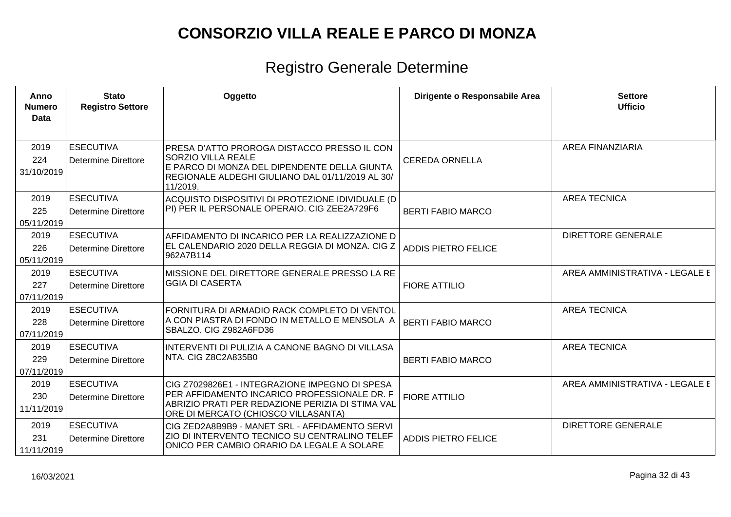| Anno<br><b>Numero</b><br><b>Data</b> | <b>Stato</b><br><b>Registro Settore</b>        | Oggetto                                                                                                                                                                                   | Dirigente o Responsabile Area | <b>Settore</b><br><b>Ufficio</b> |
|--------------------------------------|------------------------------------------------|-------------------------------------------------------------------------------------------------------------------------------------------------------------------------------------------|-------------------------------|----------------------------------|
| 2019<br>224<br>31/10/2019            | <b>ESECUTIVA</b><br><b>Determine Direttore</b> | PRESA D'ATTO PROROGA DISTACCO PRESSO IL CON<br><b>SORZIO VILLA REALE</b><br>E PARCO DI MONZA DEL DIPENDENTE DELLA GIUNTA<br>REGIONALE ALDEGHI GIULIANO DAL 01/11/2019 AL 30/<br>11/2019.  | <b>CEREDA ORNELLA</b>         | <b>AREA FINANZIARIA</b>          |
| 2019<br>225<br>05/11/2019            | <b>ESECUTIVA</b><br><b>Determine Direttore</b> | ACQUISTO DISPOSITIVI DI PROTEZIONE IDIVIDUALE (D<br>PI) PER IL PERSONALE OPERAIO. CIG ZEE2A729F6                                                                                          | <b>BERTI FABIO MARCO</b>      | <b>AREA TECNICA</b>              |
| 2019<br>226<br>05/11/2019            | <b>ESECUTIVA</b><br><b>Determine Direttore</b> | AFFIDAMENTO DI INCARICO PER LA REALIZZAZIONE D<br> EL CALENDARIO 2020 DELLA REGGIA DI MONZA. CIG Z<br>962A7B114                                                                           | <b>ADDIS PIETRO FELICE</b>    | <b>DIRETTORE GENERALE</b>        |
| 2019<br>227<br>07/11/2019            | <b>ESECUTIVA</b><br><b>Determine Direttore</b> | MISSIONE DEL DIRETTORE GENERALE PRESSO LA RE<br><b>GGIA DI CASERTA</b>                                                                                                                    | <b>FIORE ATTILIO</b>          | AREA AMMINISTRATIVA - LEGALE E   |
| 2019<br>228<br>07/11/2019            | <b>ESECUTIVA</b><br>Determine Direttore        | FORNITURA DI ARMADIO RACK COMPLETO DI VENTOL<br>A CON PIASTRA DI FONDO IN METALLO E MENSOLA A<br>SBALZO. CIG Z982A6FD36                                                                   | <b>BERTI FABIO MARCO</b>      | <b>AREA TECNICA</b>              |
| 2019<br>229<br>07/11/2019            | <b>ESECUTIVA</b><br><b>Determine Direttore</b> | INTERVENTI DI PULIZIA A CANONE BAGNO DI VILLASA<br>NTA. CIG Z8C2A835B0                                                                                                                    | <b>BERTI FABIO MARCO</b>      | <b>AREA TECNICA</b>              |
| 2019<br>230<br>11/11/2019            | <b>ESECUTIVA</b><br>Determine Direttore        | CIG Z7029826E1 - INTEGRAZIONE IMPEGNO DI SPESA<br>PER AFFIDAMENTO INCARICO PROFESSIONALE DR. F<br>ABRIZIO PRATI PER REDAZIONE PERIZIA DI STIMA VAL<br>ORE DI MERCATO (CHIOSCO VILLASANTA) | <b>FIORE ATTILIO</b>          | AREA AMMINISTRATIVA - LEGALE E   |
| 2019<br>231<br>11/11/2019            | <b>ESECUTIVA</b><br><b>Determine Direttore</b> | CIG ZED2A8B9B9 - MANET SRL - AFFIDAMENTO SERVI<br><b>ZIO DI INTERVENTO TECNICO SU CENTRALINO TELEF</b><br>ONICO PER CAMBIO ORARIO DA LEGALE A SOLARE                                      | <b>ADDIS PIETRO FELICE</b>    | <b>DIRETTORE GENERALE</b>        |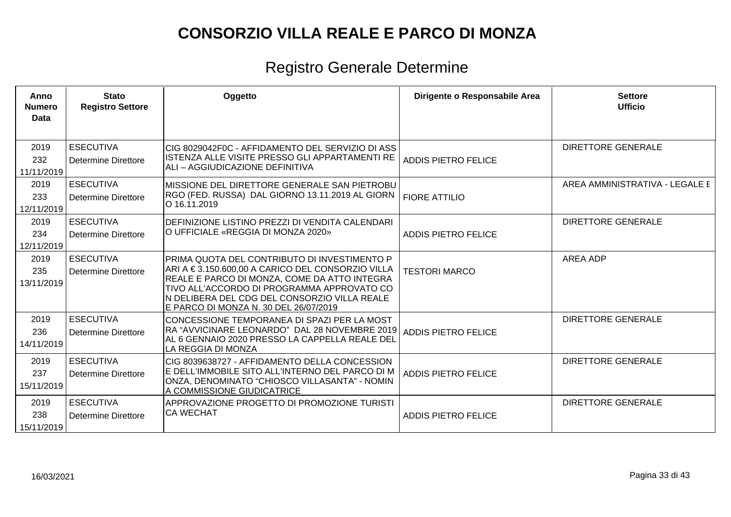| Anno<br><b>Numero</b><br>Data | <b>Stato</b><br><b>Registro Settore</b>        | Oggetto                                                                                                                                                                                                                                                                                 | Dirigente o Responsabile Area | <b>Settore</b><br><b>Ufficio</b> |
|-------------------------------|------------------------------------------------|-----------------------------------------------------------------------------------------------------------------------------------------------------------------------------------------------------------------------------------------------------------------------------------------|-------------------------------|----------------------------------|
|                               |                                                |                                                                                                                                                                                                                                                                                         |                               |                                  |
| 2019<br>232<br>11/11/2019     | <b>ESECUTIVA</b><br><b>Determine Direttore</b> | CIG 8029042F0C - AFFIDAMENTO DEL SERVIZIO DI ASS<br>ISTENZA ALLE VISITE PRESSO GLI APPARTAMENTI RE<br>ALI – AGGIUDICAZIONE DEFINITIVA                                                                                                                                                   | <b>ADDIS PIETRO FELICE</b>    | <b>DIRETTORE GENERALE</b>        |
| 2019<br>233<br>12/11/2019     | <b>ESECUTIVA</b><br><b>Determine Direttore</b> | MISSIONE DEL DIRETTORE GENERALE SAN PIETROBU<br>RGO (FED. RUSSA) DAL GIORNO 13.11.2019 AL GIORN<br>O 16.11.2019                                                                                                                                                                         | <b>FIORE ATTILIO</b>          | AREA AMMINISTRATIVA - LEGALE E   |
| 2019<br>234<br>12/11/2019     | <b>ESECUTIVA</b><br><b>Determine Direttore</b> | DEFINIZIONE LISTINO PREZZI DI VENDITA CALENDARI<br>O UFFICIALE «REGGIA DI MONZA 2020»                                                                                                                                                                                                   | <b>ADDIS PIETRO FELICE</b>    | <b>DIRETTORE GENERALE</b>        |
| 2019<br>235<br>13/11/2019     | <b>ESECUTIVA</b><br><b>Determine Direttore</b> | PRIMA QUOTA DEL CONTRIBUTO DI INVESTIMENTO P<br>ARI A €3.150.600,00 A CARICO DEL CONSORZIO VILLA<br>REALE E PARCO DI MONZA, COME DA ATTO INTEGRA<br>TIVO ALL'ACCORDO DI PROGRAMMA APPROVATO CO<br>N DELIBERA DEL CDG DEL CONSORZIO VILLA REALE<br>E PARCO DI MONZA N. 30 DEL 26/07/2019 | <b>TESTORI MARCO</b>          | <b>AREA ADP</b>                  |
| 2019<br>236<br>14/11/2019     | <b>ESECUTIVA</b><br><b>Determine Direttore</b> | CONCESSIONE TEMPORANEA DI SPAZI PER LA MOST<br>RA "AVVICINARE LEONARDO" DAL 28 NOVEMBRE 2019<br>AL 6 GENNAIO 2020 PRESSO LA CAPPELLA REALE DEL<br>LA REGGIA DI MONZA                                                                                                                    | <b>ADDIS PIETRO FELICE</b>    | <b>DIRETTORE GENERALE</b>        |
| 2019<br>237<br>15/11/2019     | <b>ESECUTIVA</b><br><b>Determine Direttore</b> | CIG 8039638727 - AFFIDAMENTO DELLA CONCESSION<br>E DELL'IMMOBILE SITO ALL'INTERNO DEL PARCO DI M<br>ONZA, DENOMINATO "CHIOSCO VILLASANTA" - NOMIN<br>A COMMISSIONE GIUDICATRICE                                                                                                         | <b>ADDIS PIETRO FELICE</b>    | <b>DIRETTORE GENERALE</b>        |
| 2019<br>238<br>15/11/2019     | <b>ESECUTIVA</b><br><b>Determine Direttore</b> | APPROVAZIONE PROGETTO DI PROMOZIONE TURISTI<br><b>CA WECHAT</b>                                                                                                                                                                                                                         | <b>ADDIS PIETRO FELICE</b>    | <b>DIRETTORE GENERALE</b>        |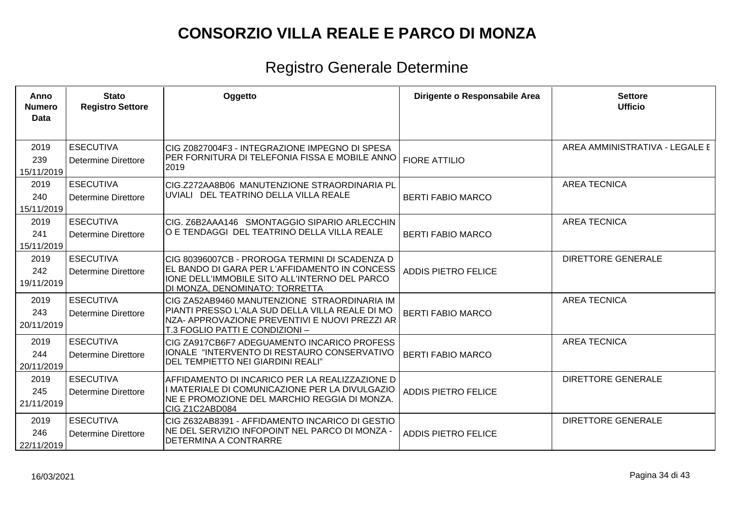| Anno<br><b>Numero</b><br><b>Data</b> | <b>Stato</b><br><b>Registro Settore</b>        | Oggetto                                                                                                                                                                              | Dirigente o Responsabile Area | <b>Settore</b><br><b>Ufficio</b> |
|--------------------------------------|------------------------------------------------|--------------------------------------------------------------------------------------------------------------------------------------------------------------------------------------|-------------------------------|----------------------------------|
| 2019<br>239<br>15/11/2019            | <b>ESECUTIVA</b><br><b>Determine Direttore</b> | CIG Z0827004F3 - INTEGRAZIONE IMPEGNO DI SPESA<br>PER FORNITURA DI TELEFONIA FISSA E MOBILE ANNO<br>2019                                                                             | <b>FIORE ATTILIO</b>          | AREA AMMINISTRATIVA - LEGALE E   |
| 2019<br>240<br>15/11/2019            | <b>ESECUTIVA</b><br>Determine Direttore        | CIG.Z272AA8B06 MANUTENZIONE STRAORDINARIA PL<br>UVIALI DEL TEATRINO DELLA VILLA REALE                                                                                                | <b>BERTI FABIO MARCO</b>      | <b>AREA TECNICA</b>              |
| 2019<br>241<br>15/11/2019            | <b>ESECUTIVA</b><br><b>Determine Direttore</b> | CIG. Z6B2AAA146 SMONTAGGIO SIPARIO ARLECCHIN<br>O E TENDAGGI DEL TEATRINO DELLA VILLA REALE                                                                                          | <b>BERTI FABIO MARCO</b>      | <b>AREA TECNICA</b>              |
| 2019<br>242<br>19/11/2019            | <b>ESECUTIVA</b><br><b>Determine Direttore</b> | CIG 80396007CB - PROROGA TERMINI DI SCADENZA D<br>EL BANDO DI GARA PER L'AFFIDAMENTO IN CONCESS<br>IONE DELL'IMMOBILE SITO ALL'INTERNO DEL PARCO<br>DI MONZA, DENOMINATO: TORRETTA   | <b>ADDIS PIETRO FELICE</b>    | <b>DIRETTORE GENERALE</b>        |
| 2019<br>243<br>20/11/2019            | <b>ESECUTIVA</b><br><b>Determine Direttore</b> | CIG ZA52AB9460 MANUTENZIONE STRAORDINARIA IM<br>PIANTI PRESSO L'ALA SUD DELLA VILLA REALE DI MO<br>NZA- APPROVAZIONE PREVENTIVI E NUOVI PREZZI AR<br>T.3 FOGLIO PATTI E CONDIZIONI – | <b>BERTI FABIO MARCO</b>      | <b>AREA TECNICA</b>              |
| 2019<br>244<br>20/11/2019            | <b>ESECUTIVA</b><br><b>Determine Direttore</b> | CIG ZA917CB6F7 ADEGUAMENTO INCARICO PROFESS<br>IONALE "INTERVENTO DI RESTAURO CONSERVATIVO<br>DEL TEMPIETTO NEI GIARDINI REALI"                                                      | <b>BERTI FABIO MARCO</b>      | <b>AREA TECNICA</b>              |
| 2019<br>245<br>21/11/2019            | <b>ESECUTIVA</b><br><b>Determine Direttore</b> | AFFIDAMENTO DI INCARICO PER LA REALIZZAZIONE D<br>I MATERIALE DI COMUNICAZIONE PER LA DIVULGAZIO<br>NE E PROMOZIONE DEL MARCHIO REGGIA DI MONZA.<br>CIG Z1C2ABD084                   | <b>ADDIS PIETRO FELICE</b>    | <b>DIRETTORE GENERALE</b>        |
| 2019<br>246<br>22/11/2019            | <b>ESECUTIVA</b><br><b>Determine Direttore</b> | CIG Z632AB8391 - AFFIDAMENTO INCARICO DI GESTIO<br>NE DEL SERVIZIO INFOPOINT NEL PARCO DI MONZA -<br>DETERMINA A CONTRARRE                                                           | <b>ADDIS PIETRO FELICE</b>    | <b>DIRETTORE GENERALE</b>        |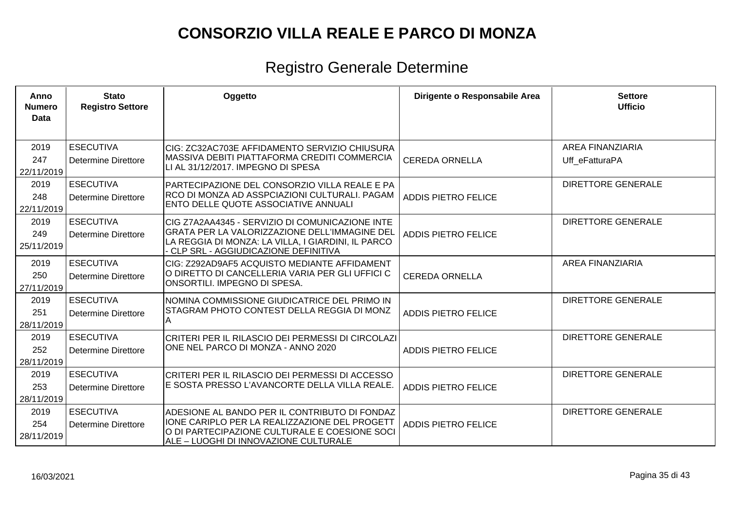| Anno<br><b>Numero</b><br>Data | <b>Stato</b><br><b>Registro Settore</b>        | Oggetto                                                                                                                                                                                         | Dirigente o Responsabile Area | <b>Settore</b><br><b>Ufficio</b>          |
|-------------------------------|------------------------------------------------|-------------------------------------------------------------------------------------------------------------------------------------------------------------------------------------------------|-------------------------------|-------------------------------------------|
| 2019<br>247<br>22/11/2019     | <b>ESECUTIVA</b><br>Determine Direttore        | CIG: ZC32AC703E AFFIDAMENTO SERVIZIO CHIUSURA<br>MASSIVA DEBITI PIATTAFORMA CREDITI COMMERCIA<br>LI AL 31/12/2017. IMPEGNO DI SPESA                                                             | <b>CEREDA ORNELLA</b>         | <b>AREA FINANZIARIA</b><br>Uff eFatturaPA |
| 2019<br>248<br>22/11/2019     | <b>ESECUTIVA</b><br><b>Determine Direttore</b> | PARTECIPAZIONE DEL CONSORZIO VILLA REALE E PA<br>RCO DI MONZA AD ASSPCIAZIONI CULTURALI. PAGAM<br><b>ENTO DELLE QUOTE ASSOCIATIVE ANNUALI</b>                                                   | <b>ADDIS PIETRO FELICE</b>    | <b>DIRETTORE GENERALE</b>                 |
| 2019<br>249<br>25/11/2019     | <b>ESECUTIVA</b><br>Determine Direttore        | CIG Z7A2AA4345 - SERVIZIO DI COMUNICAZIONE INTE<br>GRATA PER LA VALORIZZAZIONE DELL'IMMAGINE DEL<br>LA REGGIA DI MONZA: LA VILLA, I GIARDINI, IL PARCO<br>- CLP SRL - AGGIUDICAZIONE DEFINITIVA | <b>ADDIS PIETRO FELICE</b>    | <b>DIRETTORE GENERALE</b>                 |
| 2019<br>250<br>27/11/2019     | <b>ESECUTIVA</b><br><b>Determine Direttore</b> | CIG: Z292AD9AF5 ACQUISTO MEDIANTE AFFIDAMENT<br>O DIRETTO DI CANCELLERIA VARIA PER GLI UFFICI C<br>ONSORTILI. IMPEGNO DI SPESA.                                                                 | <b>CEREDA ORNELLA</b>         | <b>AREA FINANZIARIA</b>                   |
| 2019<br>251<br>28/11/2019     | <b>ESECUTIVA</b><br><b>Determine Direttore</b> | INOMINA COMMISSIONE GIUDICATRICE DEL PRIMO IN<br>STAGRAM PHOTO CONTEST DELLA REGGIA DI MONZ<br>lA.                                                                                              | <b>ADDIS PIETRO FELICE</b>    | DIRETTORE GENERALE                        |
| 2019<br>252<br>28/11/2019     | <b>ESECUTIVA</b><br>Determine Direttore        | CRITERI PER IL RILASCIO DEI PERMESSI DI CIRCOLAZI<br>ONE NEL PARCO DI MONZA - ANNO 2020                                                                                                         | <b>ADDIS PIETRO FELICE</b>    | <b>DIRETTORE GENERALE</b>                 |
| 2019<br>253<br>28/11/2019     | <b>ESECUTIVA</b><br><b>Determine Direttore</b> | CRITERI PER IL RILASCIO DEI PERMESSI DI ACCESSO<br>E SOSTA PRESSO L'AVANCORTE DELLA VILLA REALE.                                                                                                | <b>ADDIS PIETRO FELICE</b>    | <b>DIRETTORE GENERALE</b>                 |
| 2019<br>254<br>28/11/2019     | <b>ESECUTIVA</b><br>Determine Direttore        | ADESIONE AL BANDO PER IL CONTRIBUTO DI FONDAZ<br>IONE CARIPLO PER LA REALIZZAZIONE DEL PROGETT<br>O DI PARTECIPAZIONE CULTURALE E COESIONE SOCI<br>ALE – LUOGHI DI INNOVAZIONE CULTURALE        | <b>ADDIS PIETRO FELICE</b>    | <b>DIRETTORE GENERALE</b>                 |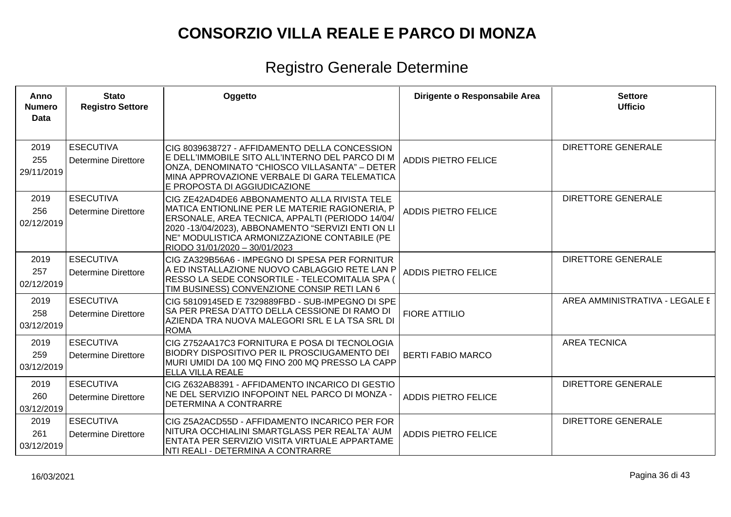| Anno<br><b>Numero</b><br><b>Data</b> | <b>Stato</b><br><b>Registro Settore</b>        | Oggetto                                                                                                                                                                                                                                                                                  | Dirigente o Responsabile Area | <b>Settore</b><br><b>Ufficio</b> |
|--------------------------------------|------------------------------------------------|------------------------------------------------------------------------------------------------------------------------------------------------------------------------------------------------------------------------------------------------------------------------------------------|-------------------------------|----------------------------------|
| 2019<br>255<br>29/11/2019            | <b>ESECUTIVA</b><br><b>Determine Direttore</b> | CIG 8039638727 - AFFIDAMENTO DELLA CONCESSION<br>E DELL'IMMOBILE SITO ALL'INTERNO DEL PARCO DI M<br>ONZA, DENOMINATO "CHIOSCO VILLASANTA" - DETER<br>MINA APPROVAZIONE VERBALE DI GARA TELEMATICA<br>E PROPOSTA DI AGGIUDICAZIONE                                                        | <b>ADDIS PIETRO FELICE</b>    | <b>DIRETTORE GENERALE</b>        |
| 2019<br>256<br>02/12/2019            | <b>ESECUTIVA</b><br><b>Determine Direttore</b> | CIG ZE42AD4DE6 ABBONAMENTO ALLA RIVISTA TELE<br>MATICA ENTIONLINE PER LE MATERIE RAGIONERIA, P<br>ERSONALE, AREA TECNICA, APPALTI (PERIODO 14/04/<br>2020 -13/04/2023), ABBONAMENTO "SERVIZI ENTI ON LI<br>NE" MODULISTICA ARMONIZZAZIONE CONTABILE (PE<br>RIODO 31/01/2020 - 30/01/2023 | <b>ADDIS PIETRO FELICE</b>    | <b>DIRETTORE GENERALE</b>        |
| 2019<br>257<br>02/12/2019            | <b>ESECUTIVA</b><br><b>Determine Direttore</b> | CIG ZA329B56A6 - IMPEGNO DI SPESA PER FORNITUR<br>A ED INSTALLAZIONE NUOVO CABLAGGIO RETE LAN P<br>RESSO LA SEDE CONSORTILE - TELECOMITALIA SPA (<br>TIM BUSINESS) CONVENZIONE CONSIP RETI LAN 6                                                                                         | <b>ADDIS PIETRO FELICE</b>    | <b>DIRETTORE GENERALE</b>        |
| 2019<br>258<br>03/12/2019            | <b>ESECUTIVA</b><br><b>Determine Direttore</b> | CIG 58109145ED E 7329889FBD - SUB-IMPEGNO DI SPE<br>SA PER PRESA D'ATTO DELLA CESSIONE DI RAMO DI<br>AZIENDA TRA NUOVA MALEGORI SRL E LA TSA SRL DI<br><b>ROMA</b>                                                                                                                       | <b>FIORE ATTILIO</b>          | AREA AMMINISTRATIVA - LEGALE E   |
| 2019<br>259<br>03/12/2019            | <b>ESECUTIVA</b><br>Determine Direttore        | CIG Z752AA17C3 FORNITURA E POSA DI TECNOLOGIA<br>BIODRY DISPOSITIVO PER IL PROSCIUGAMENTO DEI<br>MURI UMIDI DA 100 MQ FINO 200 MQ PRESSO LA CAPP<br>ELLA VILLA REALE                                                                                                                     | <b>BERTI FABIO MARCO</b>      | <b>AREA TECNICA</b>              |
| 2019<br>260<br>03/12/2019            | <b>ESECUTIVA</b><br>Determine Direttore        | CIG Z632AB8391 - AFFIDAMENTO INCARICO DI GESTIO<br>NE DEL SERVIZIO INFOPOINT NEL PARCO DI MONZA -<br><b>DETERMINA A CONTRARRE</b>                                                                                                                                                        | <b>ADDIS PIETRO FELICE</b>    | <b>DIRETTORE GENERALE</b>        |
| 2019<br>261<br>03/12/2019            | <b>ESECUTIVA</b><br>Determine Direttore        | CIG Z5A2ACD55D - AFFIDAMENTO INCARICO PER FOR<br>NITURA OCCHIALINI SMARTGLASS PER REALTA' AUM<br>ENTATA PER SERVIZIO VISITA VIRTUALE APPARTAME<br>NTI REALI - DETERMINA A CONTRARRE                                                                                                      | <b>ADDIS PIETRO FELICE</b>    | <b>DIRETTORE GENERALE</b>        |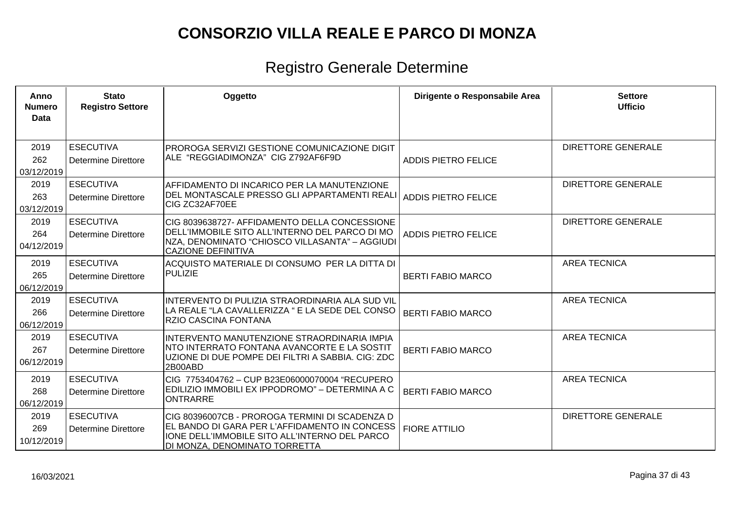| Anno<br><b>Numero</b><br>Data | <b>Stato</b><br><b>Registro Settore</b>        | Oggetto                                                                                                                                                                           | Dirigente o Responsabile Area | <b>Settore</b><br><b>Ufficio</b> |
|-------------------------------|------------------------------------------------|-----------------------------------------------------------------------------------------------------------------------------------------------------------------------------------|-------------------------------|----------------------------------|
| 2019<br>262<br>03/12/2019     | <b>ESECUTIVA</b><br>Determine Direttore        | PROROGA SERVIZI GESTIONE COMUNICAZIONE DIGIT<br>ALE "REGGIADIMONZA" CIG Z792AF6F9D                                                                                                | <b>ADDIS PIETRO FELICE</b>    | <b>DIRETTORE GENERALE</b>        |
| 2019<br>263<br>03/12/2019     | <b>ESECUTIVA</b><br>Determine Direttore        | AFFIDAMENTO DI INCARICO PER LA MANUTENZIONE<br>DEL MONTASCALE PRESSO GLI APPARTAMENTI REALI<br>ICIG ZC32AF70EE                                                                    | ADDIS PIETRO FELICE           | <b>DIRETTORE GENERALE</b>        |
| 2019<br>264<br>04/12/2019     | <b>ESECUTIVA</b><br>Determine Direttore        | CIG 8039638727- AFFIDAMENTO DELLA CONCESSIONE<br>DELL'IMMOBILE SITO ALL'INTERNO DEL PARCO DI MO<br>NZA, DENOMINATO "CHIOSCO VILLASANTA" – AGGIUDI<br><b>CAZIONE DEFINITIVA</b>    | <b>ADDIS PIETRO FELICE</b>    | <b>DIRETTORE GENERALE</b>        |
| 2019<br>265<br>06/12/2019     | <b>ESECUTIVA</b><br>Determine Direttore        | ACQUISTO MATERIALE DI CONSUMO PER LA DITTA DI<br>PULIZIE                                                                                                                          | <b>BERTI FABIO MARCO</b>      | <b>AREA TECNICA</b>              |
| 2019<br>266<br>06/12/2019     | <b>ESECUTIVA</b><br><b>Determine Direttore</b> | INTERVENTO DI PULIZIA STRAORDINARIA ALA SUD VIL<br>LA REALE "LA CAVALLERIZZA " E LA SEDE DEL CONSO<br><b>RZIO CASCINA FONTANA</b>                                                 | <b>BERTI FABIO MARCO</b>      | <b>AREA TECNICA</b>              |
| 2019<br>267<br>06/12/2019     | <b>ESECUTIVA</b><br>Determine Direttore        | INTERVENTO MANUTENZIONE STRAORDINARIA IMPIA<br>NTO INTERRATO FONTANA AVANCORTE E LA SOSTIT<br>UZIONE DI DUE POMPE DEI FILTRI A SABBIA. CIG: ZDC<br>2B00ABD                        | <b>BERTI FABIO MARCO</b>      | <b>AREA TECNICA</b>              |
| 2019<br>268<br>06/12/2019     | <b>ESECUTIVA</b><br><b>Determine Direttore</b> | CIG 7753404762 - CUP B23E06000070004 "RECUPERO<br> EDILIZIO IMMOBILI EX IPPODROMO" – DETERMINA A C<br><b>ONTRARRE</b>                                                             | <b>BERTI FABIO MARCO</b>      | <b>AREA TECNICA</b>              |
| 2019<br>269<br>10/12/2019     | <b>ESECUTIVA</b><br>Determine Direttore        | CIG 80396007CB - PROROGA TERMINI DI SCADENZA D<br>EL BANDO DI GARA PER L'AFFIDAMENTO IN CONCESS<br>IONE DELL'IMMOBILE SITO ALL'INTERNO DEL PARCO<br>DI MONZA, DENOMINATO TORRETTA | <b>FIORE ATTILIO</b>          | <b>DIRETTORE GENERALE</b>        |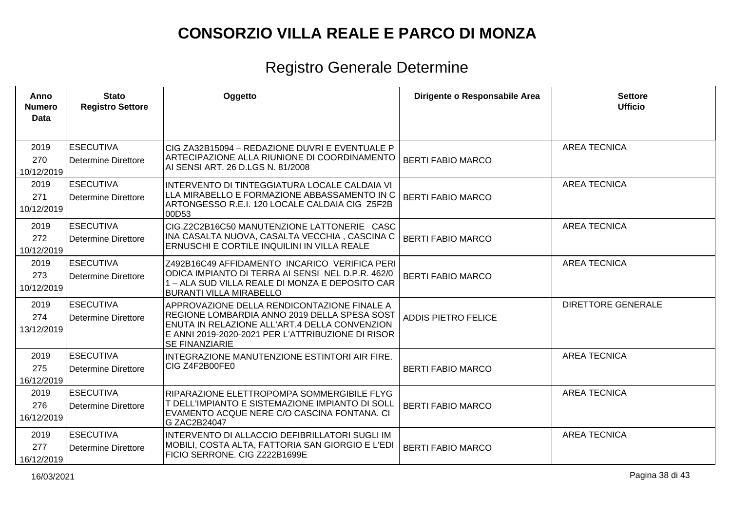| Anno<br><b>Numero</b><br>Data | <b>Stato</b><br><b>Registro Settore</b>        | Oggetto                                                                                                                                                                                                                    | Dirigente o Responsabile Area | <b>Settore</b><br><b>Ufficio</b> |
|-------------------------------|------------------------------------------------|----------------------------------------------------------------------------------------------------------------------------------------------------------------------------------------------------------------------------|-------------------------------|----------------------------------|
| 2019<br>270<br>10/12/2019     | <b>ESECUTIVA</b><br><b>Determine Direttore</b> | CIG ZA32B15094 - REDAZIONE DUVRI E EVENTUALE P<br>ARTECIPAZIONE ALLA RIUNIONE DI COORDINAMENTO<br>AI SENSI ART. 26 D.LGS N. 81/2008                                                                                        | <b>BERTI FABIO MARCO</b>      | <b>AREA TECNICA</b>              |
| 2019<br>271<br>10/12/2019     | <b>ESECUTIVA</b><br><b>Determine Direttore</b> | INTERVENTO DI TINTEGGIATURA LOCALE CALDAIA VI<br>LLA MIRABELLO E FORMAZIONE ABBASSAMENTO IN C<br>ARTONGESSO R.E.I. 120 LOCALE CALDAIA CIG Z5F2B<br>00D53                                                                   | <b>BERTI FABIO MARCO</b>      | <b>AREA TECNICA</b>              |
| 2019<br>272<br>10/12/2019     | <b>ESECUTIVA</b><br><b>Determine Direttore</b> | CIG.Z2C2B16C50 MANUTENZIONE LATTONERIE CASC<br>INA CASALTA NUOVA, CASALTA VECCHIA, CASCINA C<br>ERNUSCHI E CORTILE INQUILINI IN VILLA REALE                                                                                | <b>BERTI FABIO MARCO</b>      | <b>AREA TECNICA</b>              |
| 2019<br>273<br>10/12/2019     | <b>ESECUTIVA</b><br><b>Determine Direttore</b> | Z492B16C49 AFFIDAMENTO INCARICO VERIFICA PERI<br>ODICA IMPIANTO DI TERRA AI SENSI NEL D.P.R. 462/0<br>1 - ALA SUD VILLA REALE DI MONZA E DEPOSITO CAR<br><b>BURANTI VILLA MIRABELLO</b>                                    | <b>BERTI FABIO MARCO</b>      | <b>AREA TECNICA</b>              |
| 2019<br>274<br>13/12/2019     | <b>ESECUTIVA</b><br><b>Determine Direttore</b> | APPROVAZIONE DELLA RENDICONTAZIONE FINALE A<br>REGIONE LOMBARDIA ANNO 2019 DELLA SPESA SOST<br>ENUTA IN RELAZIONE ALL'ART.4 DELLA CONVENZION<br>E ANNI 2019-2020-2021 PER L'ATTRIBUZIONE DI RISOR<br><b>SE FINANZIARIE</b> | <b>ADDIS PIETRO FELICE</b>    | <b>DIRETTORE GENERALE</b>        |
| 2019<br>275<br>16/12/2019     | <b>ESECUTIVA</b><br><b>Determine Direttore</b> | INTEGRAZIONE MANUTENZIONE ESTINTORI AIR FIRE.<br>CIG Z4F2B00FE0                                                                                                                                                            | <b>BERTI FABIO MARCO</b>      | <b>AREA TECNICA</b>              |
| 2019<br>276<br>16/12/2019     | <b>ESECUTIVA</b><br><b>Determine Direttore</b> | RIPARAZIONE ELETTROPOMPA SOMMERGIBILE FLYG<br>T DELL'IMPIANTO E SISTEMAZIONE IMPIANTO DI SOLL<br>EVAMENTO ACQUE NERE C/O CASCINA FONTANA. CI<br>G ZAC2B24047                                                               | <b>BERTI FABIO MARCO</b>      | <b>AREA TECNICA</b>              |
| 2019<br>277<br>16/12/2019     | <b>ESECUTIVA</b><br><b>Determine Direttore</b> | INTERVENTO DI ALLACCIO DEFIBRILLATORI SUGLI IM<br>MOBILI, COSTA ALTA, FATTORIA SAN GIORGIO E L'EDI<br>FICIO SERRONE. CIG Z222B1699E                                                                                        | <b>BERTI FABIO MARCO</b>      | <b>AREA TECNICA</b>              |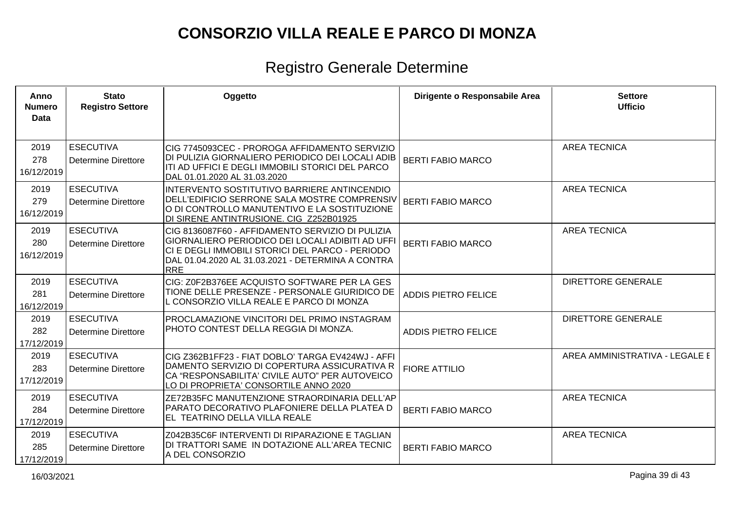| Anno<br><b>Numero</b><br>Data | <b>Stato</b><br><b>Registro Settore</b>        | Oggetto                                                                                                                                                                                                                    | Dirigente o Responsabile Area | <b>Settore</b><br><b>Ufficio</b> |
|-------------------------------|------------------------------------------------|----------------------------------------------------------------------------------------------------------------------------------------------------------------------------------------------------------------------------|-------------------------------|----------------------------------|
| 2019<br>278<br>16/12/2019     | <b>ESECUTIVA</b><br><b>Determine Direttore</b> | CIG 7745093CEC - PROROGA AFFIDAMENTO SERVIZIO<br>DI PULIZIA GIORNALIERO PERIODICO DEI LOCALI ADIB<br>ITI AD UFFICI E DEGLI IMMOBILI STORICI DEL PARCO<br>DAL 01.01.2020 AL 31.03.2020                                      | <b>BERTI FABIO MARCO</b>      | <b>AREA TECNICA</b>              |
| 2019<br>279<br>16/12/2019     | <b>ESECUTIVA</b><br><b>Determine Direttore</b> | INTERVENTO SOSTITUTIVO BARRIERE ANTINCENDIO<br>DELL'EDIFICIO SERRONE SALA MOSTRE COMPRENSIV<br>O DI CONTROLLO MANUTENTIVO E LA SOSTITUZIONE<br>DI SIRENE ANTINTRUSIONE. CIG Z252B01925                                     | <b>BERTI FABIO MARCO</b>      | <b>AREA TECNICA</b>              |
| 2019<br>280<br>16/12/2019     | <b>ESECUTIVA</b><br><b>Determine Direttore</b> | CIG 8136087F60 - AFFIDAMENTO SERVIZIO DI PULIZIA<br>GIORNALIERO PERIODICO DEI LOCALI ADIBITI AD UFFI<br>CI E DEGLI IMMOBILI STORICI DEL PARCO - PERIODO<br>DAL 01.04.2020 AL 31.03.2021 - DETERMINA A CONTRA<br><b>RRE</b> | <b>BERTI FABIO MARCO</b>      | <b>AREA TECNICA</b>              |
| 2019<br>281<br>16/12/2019     | <b>ESECUTIVA</b><br><b>Determine Direttore</b> | CIG: Z0F2B376EE ACQUISTO SOFTWARE PER LA GES<br>TIONE DELLE PRESENZE - PERSONALE GIURIDICO DE<br>L CONSORZIO VILLA REALE E PARCO DI MONZA                                                                                  | <b>ADDIS PIETRO FELICE</b>    | <b>DIRETTORE GENERALE</b>        |
| 2019<br>282<br>17/12/2019     | <b>ESECUTIVA</b><br><b>Determine Direttore</b> | PROCLAMAZIONE VINCITORI DEL PRIMO INSTAGRAM<br>PHOTO CONTEST DELLA REGGIA DI MONZA.                                                                                                                                        | <b>ADDIS PIETRO FELICE</b>    | <b>DIRETTORE GENERALE</b>        |
| 2019<br>283<br>17/12/2019     | <b>ESECUTIVA</b><br><b>Determine Direttore</b> | CIG Z362B1FF23 - FIAT DOBLO' TARGA EV424WJ - AFFI<br>DAMENTO SERVIZIO DI COPERTURA ASSICURATIVA R<br>CA "RESPONSABILITA' CIVILE AUTO" PER AUTOVEICO<br>LO DI PROPRIETA' CONSORTILE ANNO 2020                               | <b>FIORE ATTILIO</b>          | AREA AMMINISTRATIVA - LEGALE E   |
| 2019<br>284<br>17/12/2019     | <b>ESECUTIVA</b><br><b>Determine Direttore</b> | ZE72B35FC MANUTENZIONE STRAORDINARIA DELL'AP<br>PARATO DECORATIVO PLAFONIERE DELLA PLATEA D<br>EL TEATRINO DELLA VILLA REALE                                                                                               | <b>BERTI FABIO MARCO</b>      | <b>AREA TECNICA</b>              |
| 2019<br>285<br>17/12/2019     | <b>ESECUTIVA</b><br><b>Determine Direttore</b> | Z042B35C6F INTERVENTI DI RIPARAZIONE E TAGLIAN<br>DI TRATTORI SAME IN DOTAZIONE ALL'AREA TECNIC<br>A DEL CONSORZIO                                                                                                         | <b>BERTI FABIO MARCO</b>      | <b>AREA TECNICA</b>              |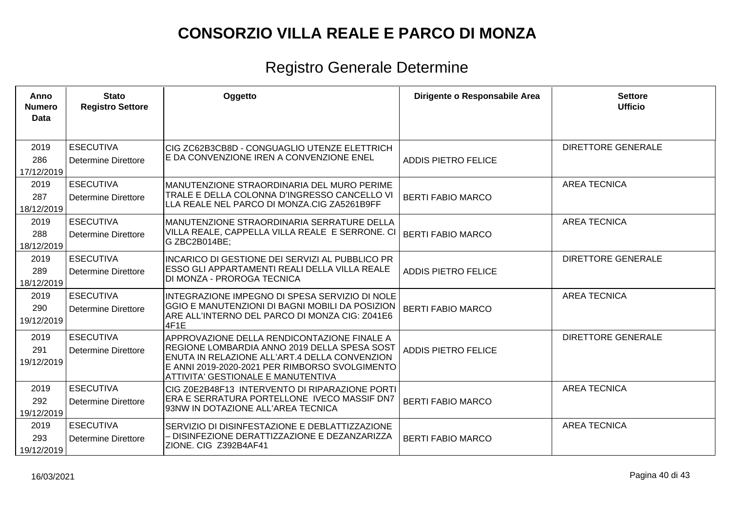| Anno<br><b>Numero</b><br>Data | <b>Stato</b><br><b>Registro Settore</b>        | Oggetto                                                                                                                                                                                                                              | Dirigente o Responsabile Area | <b>Settore</b><br><b>Ufficio</b> |
|-------------------------------|------------------------------------------------|--------------------------------------------------------------------------------------------------------------------------------------------------------------------------------------------------------------------------------------|-------------------------------|----------------------------------|
| 2019<br>286<br>17/12/2019     | <b>ESECUTIVA</b><br>Determine Direttore        | CIG ZC62B3CB8D - CONGUAGLIO UTENZE ELETTRICH<br>E DA CONVENZIONE IREN A CONVENZIONE ENEL                                                                                                                                             | <b>ADDIS PIETRO FELICE</b>    | <b>DIRETTORE GENERALE</b>        |
| 2019<br>287<br>18/12/2019     | <b>ESECUTIVA</b><br>Determine Direttore        | MANUTENZIONE STRAORDINARIA DEL MURO PERIME<br>TRALE E DELLA COLONNA D'INGRESSO CANCELLO VI<br>LLA REALE NEL PARCO DI MONZA.CIG ZA5261B9FF                                                                                            | <b>BERTI FABIO MARCO</b>      | <b>AREA TECNICA</b>              |
| 2019<br>288<br>18/12/2019     | <b>ESECUTIVA</b><br><b>Determine Direttore</b> | MANUTENZIONE STRAORDINARIA SERRATURE DELLA<br>VILLA REALE, CAPPELLA VILLA REALE E SERRONE. CI<br>G ZBC2B014BE;                                                                                                                       | <b>BERTI FABIO MARCO</b>      | <b>AREA TECNICA</b>              |
| 2019<br>289<br>18/12/2019     | <b>ESECUTIVA</b><br><b>Determine Direttore</b> | INCARICO DI GESTIONE DEI SERVIZI AL PUBBLICO PR<br><b>ESSO GLI APPARTAMENTI REALI DELLA VILLA REALE</b><br>DI MONZA - PROROGA TECNICA                                                                                                | <b>ADDIS PIETRO FELICE</b>    | <b>DIRETTORE GENERALE</b>        |
| 2019<br>290<br>19/12/2019     | <b>ESECUTIVA</b><br>Determine Direttore        | INTEGRAZIONE IMPEGNO DI SPESA SERVIZIO DI NOLE<br>GGIO E MANUTENZIONI DI BAGNI MOBILI DA POSIZION<br>ARE ALL'INTERNO DEL PARCO DI MONZA CIG: Z041E6<br>4F1E                                                                          | <b>BERTI FABIO MARCO</b>      | <b>AREA TECNICA</b>              |
| 2019<br>291<br>19/12/2019     | <b>ESECUTIVA</b><br>Determine Direttore        | APPROVAZIONE DELLA RENDICONTAZIONE FINALE A<br>REGIONE LOMBARDIA ANNO 2019 DELLA SPESA SOST<br>ENUTA IN RELAZIONE ALL'ART.4 DELLA CONVENZION<br>E ANNI 2019-2020-2021 PER RIMBORSO SVOLGIMENTO<br>ATTIVITA' GESTIONALE E MANUTENTIVA | <b>ADDIS PIETRO FELICE</b>    | <b>DIRETTORE GENERALE</b>        |
| 2019<br>292<br>19/12/2019     | <b>ESECUTIVA</b><br>Determine Direttore        | CIG Z0E2B48F13 INTERVENTO DI RIPARAZIONE PORTI<br>ERA E SERRATURA PORTELLONE IVECO MASSIF DN7<br>93NW IN DOTAZIONE ALL'AREA TECNICA                                                                                                  | <b>BERTI FABIO MARCO</b>      | <b>AREA TECNICA</b>              |
| 2019<br>293<br>19/12/2019     | <b>ESECUTIVA</b><br>Determine Direttore        | SERVIZIO DI DISINFESTAZIONE E DEBLATTIZZAZIONE<br>- DISINFEZIONE DERATTIZZAZIONE E DEZANZARIZZA<br>ZIONE. CIG Z392B4AF41                                                                                                             | <b>BERTI FABIO MARCO</b>      | <b>AREA TECNICA</b>              |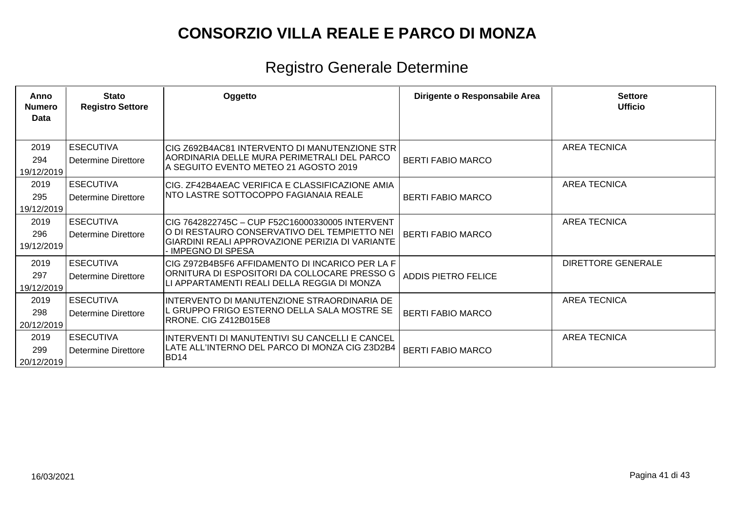| Anno<br><b>Numero</b><br>Data | <b>Stato</b><br><b>Registro Settore</b>        | Oggetto                                                                                                                                                                   | Dirigente o Responsabile Area | <b>Settore</b><br><b>Ufficio</b> |
|-------------------------------|------------------------------------------------|---------------------------------------------------------------------------------------------------------------------------------------------------------------------------|-------------------------------|----------------------------------|
| 2019<br>294<br>19/12/2019     | <b>ESECUTIVA</b><br><b>Determine Direttore</b> | ICIG Z692B4AC81 INTERVENTO DI MANUTENZIONE STR<br>AORDINARIA DELLE MURA PERIMETRALI DEL PARCO<br>A SEGUITO EVENTO METEO 21 AGOSTO 2019                                    | <b>BERTI FABIO MARCO</b>      | <b>AREA TECNICA</b>              |
| 2019<br>295<br>19/12/2019     | <b>ESECUTIVA</b><br>Determine Direttore        | CIG. ZF42B4AEAC VERIFICA E CLASSIFICAZIONE AMIA<br>INTO LASTRE SOTTOCOPPO FAGIANAIA REALE                                                                                 | <b>BERTI FABIO MARCO</b>      | <b>AREA TECNICA</b>              |
| 2019<br>296<br>19/12/2019     | <b>ESECUTIVA</b><br><b>Determine Direttore</b> | CIG 7642822745C - CUP F52C16000330005 INTERVENT<br>O DI RESTAURO CONSERVATIVO DEL TEMPIETTO NEI<br>İGIARDINI REALI APPROVAZIONE PERIZIA DI VARIANTE<br>- IMPEGNO DI SPESA | <b>BERTI FABIO MARCO</b>      | <b>AREA TECNICA</b>              |
| 2019<br>297<br>19/12/2019     | <b>ESECUTIVA</b><br>Determine Direttore        | CIG Z972B4B5F6 AFFIDAMENTO DI INCARICO PER LA F<br>ORNITURA DI ESPOSITORI DA COLLOCARE PRESSO G<br>ILI APPARTAMENTI REALI DELLA REGGIA DI MONZA                           | ADDIS PIETRO FELICE           | <b>DIRETTORE GENERALE</b>        |
| 2019<br>298<br>20/12/2019     | <b>ESECUTIVA</b><br>Determine Direttore        | INTERVENTO DI MANUTENZIONE STRAORDINARIA DE<br>L GRUPPO FRIGO ESTERNO DELLA SALA MOSTRE SE<br>IRRONE. CIG Z412B015E8                                                      | <b>BERTI FABIO MARCO</b>      | <b>AREA TECNICA</b>              |
| 2019<br>299<br>20/12/2019     | <b>ESECUTIVA</b><br>Determine Direttore        | IINTERVENTI DI MANUTENTIVI SU CANCELLI E CANCEL<br> LATE ALL'INTERNO DEL PARCO DI MONZA CIG Z3D2B4<br>BD14                                                                | <b>BERTI FABIO MARCO</b>      | <b>AREA TECNICA</b>              |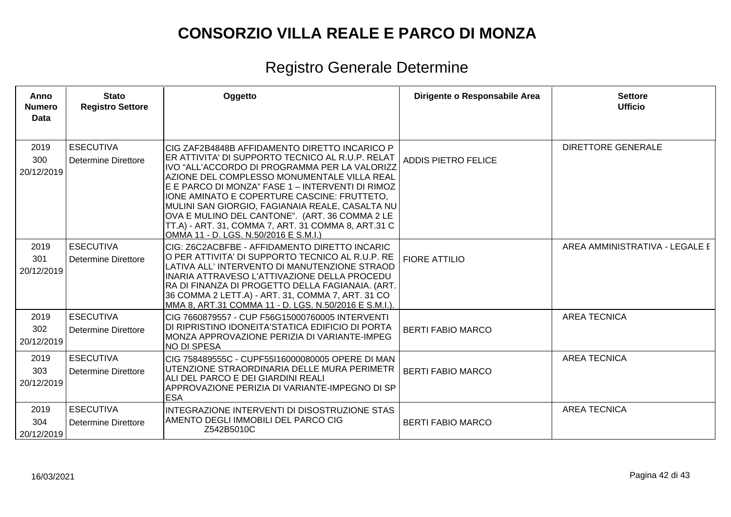| Anno<br><b>Numero</b><br><b>Data</b> | <b>Stato</b><br><b>Registro Settore</b>        | Oggetto                                                                                                                                                                                                                                                                                                                                                                                                                                                                                                   | Dirigente o Responsabile Area | <b>Settore</b><br><b>Ufficio</b> |
|--------------------------------------|------------------------------------------------|-----------------------------------------------------------------------------------------------------------------------------------------------------------------------------------------------------------------------------------------------------------------------------------------------------------------------------------------------------------------------------------------------------------------------------------------------------------------------------------------------------------|-------------------------------|----------------------------------|
| 2019<br>300<br>20/12/2019            | <b>ESECUTIVA</b><br><b>Determine Direttore</b> | CIG ZAF2B4848B AFFIDAMENTO DIRETTO INCARICO P<br>ER ATTIVITA' DI SUPPORTO TECNICO AL R.U.P. RELAT<br>IVO "ALL'ACCORDO DI PROGRAMMA PER LA VALORIZZ<br>AZIONE DEL COMPLESSO MONUMENTALE VILLA REAL<br>E E PARCO DI MONZA" FASE 1 - INTERVENTI DI RIMOZ<br>IONE AMINATO E COPERTURE CASCINE: FRUTTETO,<br>MULINI SAN GIORGIO, FAGIANAIA REALE, CASALTA NU<br>OVA E MULINO DEL CANTONE". (ART. 36 COMMA 2 LE<br>TT.A) - ART. 31, COMMA 7, ART. 31 COMMA 8, ART.31 C<br>OMMA 11 - D. LGS. N.50/2016 E S.M.I.) | <b>ADDIS PIETRO FELICE</b>    | <b>DIRETTORE GENERALE</b>        |
| 2019<br>301<br>20/12/2019            | <b>ESECUTIVA</b><br><b>Determine Direttore</b> | CIG: Z6C2ACBFBE - AFFIDAMENTO DIRETTO INCARIC<br>O PER ATTIVITA' DI SUPPORTO TECNICO AL R.U.P. RE<br>LATIVA ALL' INTERVENTO DI MANUTENZIONE STRAOD<br>INARIA ATTRAVESO L'ATTIVAZIONE DELLA PROCEDU<br>RA DI FINANZA DI PROGETTO DELLA FAGIANAIA. (ART.<br>36 COMMA 2 LETT.A) - ART. 31, COMMA 7, ART. 31 CO<br>MMA 8, ART.31 COMMA 11 - D. LGS. N.50/2016 E S.M.I.).                                                                                                                                      | <b>FIORE ATTILIO</b>          | AREA AMMINISTRATIVA - LEGALE E   |
| 2019<br>302<br>20/12/2019            | <b>ESECUTIVA</b><br><b>Determine Direttore</b> | CIG 7660879557 - CUP F56G15000760005 INTERVENTI<br>DI RIPRISTINO IDONEITA'STATICA EDIFICIO DI PORTA<br>MONZA APPROVAZIONE PERIZIA DI VARIANTE-IMPEG<br><b>NO DI SPESA</b>                                                                                                                                                                                                                                                                                                                                 | <b>BERTI FABIO MARCO</b>      | <b>AREA TECNICA</b>              |
| 2019<br>303<br>20/12/2019            | <b>ESECUTIVA</b><br><b>Determine Direttore</b> | CIG 758489555C - CUPF55I16000080005 OPERE DI MAN<br>UTENZIONE STRAORDINARIA DELLE MURA PERIMETR<br>ALI DEL PARCO E DEI GIARDINI REALI<br>APPROVAZIONE PERIZIA DI VARIANTE-IMPEGNO DI SP<br><b>ESA</b>                                                                                                                                                                                                                                                                                                     | <b>BERTI FABIO MARCO</b>      | <b>AREA TECNICA</b>              |
| 2019<br>304<br>20/12/2019            | <b>ESECUTIVA</b><br><b>Determine Direttore</b> | <b>INTEGRAZIONE INTERVENTI DI DISOSTRUZIONE STAS</b><br>AMENTO DEGLI IMMOBILI DEL PARCO CIG<br>Z542B5010C                                                                                                                                                                                                                                                                                                                                                                                                 | <b>BERTI FABIO MARCO</b>      | <b>AREA TECNICA</b>              |